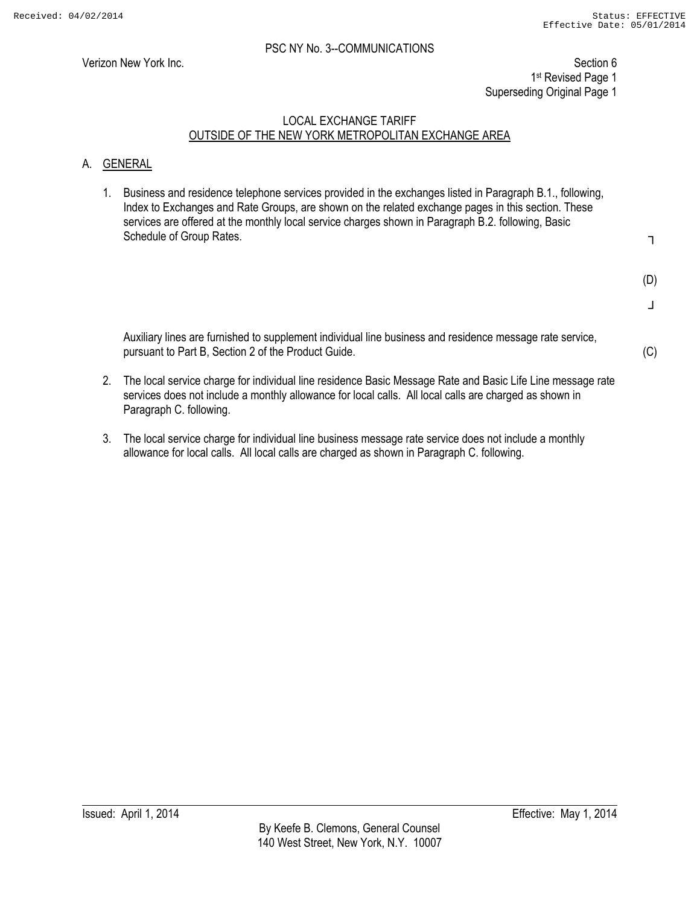Verizon New York Inc. Section 6 1st Revised Page 1 Superseding Original Page 1

# LOCAL EXCHANGE TARIFF OUTSIDE OF THE NEW YORK METROPOLITAN EXCHANGE AREA

#### A. GENERAL

1. Business and residence telephone services provided in the exchanges listed in Paragraph B.1., following, Index to Exchanges and Rate Groups, are shown on the related exchange pages in this section. These services are offered at the monthly local service charges shown in Paragraph B.2. following, Basic Schedule of Group Rates.

┐

(D)

┘

(C)

Auxiliary lines are furnished to supplement individual line business and residence message rate service, pursuant to Part B, Section 2 of the Product Guide.

- 2. The local service charge for individual line residence Basic Message Rate and Basic Life Line message rate services does not include a monthly allowance for local calls. All local calls are charged as shown in Paragraph C. following.
- 3. The local service charge for individual line business message rate service does not include a monthly allowance for local calls. All local calls are charged as shown in Paragraph C. following.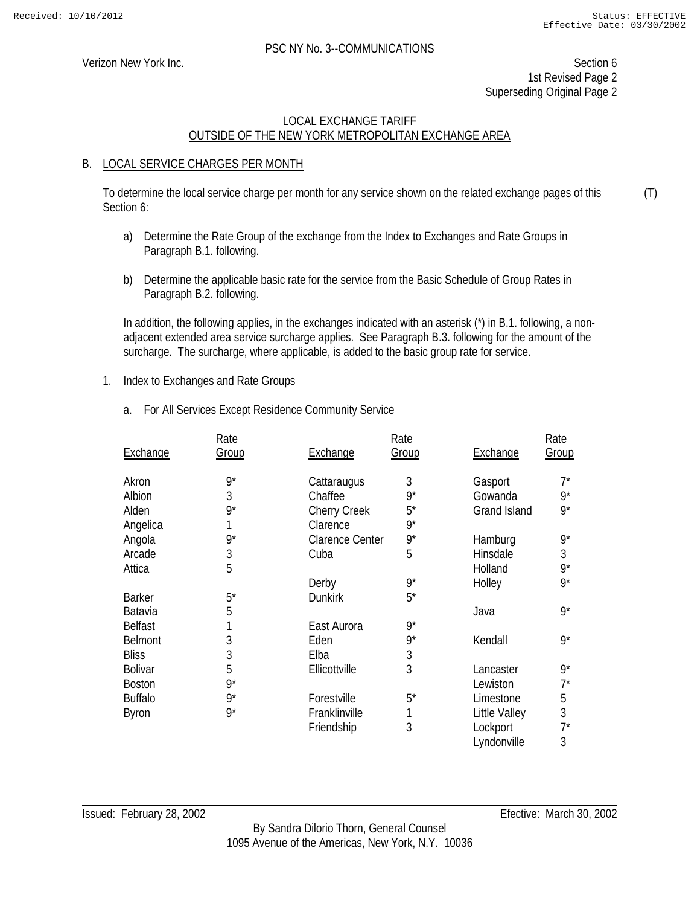(T)

#### PSC NY No. 3--COMMUNICATIONS

Verizon New York Inc. Section 6 1st Revised Page 2 Superseding Original Page 2

# LOCAL EXCHANGE TARIFF OUTSIDE OF THE NEW YORK METROPOLITAN EXCHANGE AREA

#### B. LOCAL SERVICE CHARGES PER MONTH

To determine the local service charge per month for any service shown on the related exchange pages of this Section 6:

- a) Determine the Rate Group of the exchange from the Index to Exchanges and Rate Groups in Paragraph B.1. following.
- b) Determine the applicable basic rate for the service from the Basic Schedule of Group Rates in Paragraph B.2. following.

In addition, the following applies, in the exchanges indicated with an asterisk (\*) in B.1. following, a nonadjacent extended area service surcharge applies. See Paragraph B.3. following for the amount of the surcharge. The surcharge, where applicable, is added to the basic group rate for service.

#### 1. Index to Exchanges and Rate Groups

a. For All Services Except Residence Community Service

|                 | Rate         |                        | Rate        |                     | Rate  |
|-----------------|--------------|------------------------|-------------|---------------------|-------|
| <b>Exchange</b> | <b>Group</b> | Exchange               | Group       | Exchange            | Group |
| Akron           | $9^*$        | Cattaraugus            | 3           | Gasport             | $7^*$ |
| Albion          | 3            | Chaffee                | $9*$        | Gowanda             | $9^*$ |
| Alden           | $9^*$        | <b>Cherry Creek</b>    | $5^*$       | <b>Grand Island</b> | $9^*$ |
| Angelica        |              | Clarence               | $9^*$       |                     |       |
| Angola          | $9^*$        | <b>Clarence Center</b> | $9^{\star}$ | Hamburg             | 9*    |
| Arcade          | 3            | Cuba                   | 5           | Hinsdale            | 3     |
| Attica          | 5            |                        |             | Holland             | 9*    |
|                 |              | Derby                  | $9^*$       | Holley              | $9^*$ |
| <b>Barker</b>   | $5^*$        | <b>Dunkirk</b>         | $5^*$       |                     |       |
| Batavia         | 5            |                        |             | Java                | 9*    |
| <b>Belfast</b>  |              | East Aurora            | $9^*$       |                     |       |
| <b>Belmont</b>  | 3            | Eden                   | $9^*$       | Kendall             | 9*    |
| <b>Bliss</b>    | 3            | Elba                   | 3           |                     |       |
| <b>Bolivar</b>  | 5            | Ellicottville          | 3           | Lancaster           | $9^*$ |
| <b>Boston</b>   | $9^*$        |                        |             | Lewiston            | $7^*$ |
| <b>Buffalo</b>  | $9^*$        | Forestville            | $5^*$       | Limestone           | 5     |
| Byron           | $9^*$        | Franklinville          | 1           | Little Valley       | 3     |
|                 |              | Friendship             | 3           | Lockport            | $7^*$ |
|                 |              |                        |             | Lyndonville         | 3     |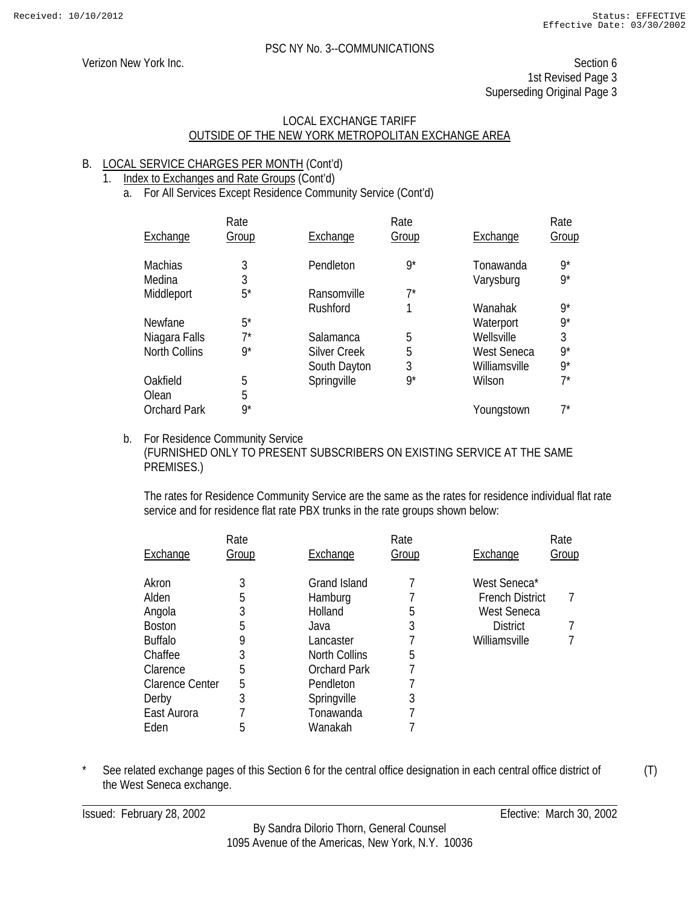# LOCAL EXCHANGE TARIFF OUTSIDE OF THE NEW YORK METROPOLITAN EXCHANGE AREA

# B. LOCAL SERVICE CHARGES PER MONTH (Cont'd)

- 1. Index to Exchanges and Rate Groups (Cont'd)
	- a. For All Services Except Residence Community Service (Cont'd)

|                      | Rate  |                     | Rate  |               | Rate  |
|----------------------|-------|---------------------|-------|---------------|-------|
| Exchange             | Group | Exchange            | Group | Exchange      | Group |
| <b>Machias</b>       | 3     | Pendleton           | $9^*$ | Tonawanda     | $9^*$ |
| Medina               | 3     |                     |       | Varysburg     | $9^*$ |
| Middleport           | $5^*$ | Ransomville         | $7^*$ |               |       |
|                      |       | Rushford            |       | Wanahak       | $9^*$ |
| Newfane              | $5^*$ |                     |       | Waterport     | $9^*$ |
| Niagara Falls        | 7*    | Salamanca           | 5     | Wellsville    | 3     |
| <b>North Collins</b> | $9^*$ | <b>Silver Creek</b> | 5     | West Seneca   | $9^*$ |
|                      |       | South Dayton        | 3     | Williamsville | $9^*$ |
| Oakfield             | 5     | Springville         | $9^*$ | Wilson        | $7^*$ |
| Olean                | 5     |                     |       |               |       |
| <b>Orchard Park</b>  | $9^*$ |                     |       | Youngstown    | 7*    |

#### b. For Residence Community Service (FURNISHED ONLY TO PRESENT SUBSCRIBERS ON EXISTING SERVICE AT THE SAME PREMISES.)

The rates for Residence Community Service are the same as the rates for residence individual flat rate service and for residence flat rate PBX trunks in the rate groups shown below:

| Exchange               | Rate<br>Group | Exchange            | Rate<br>Group | Exchange               | Rate<br><u>Group</u> |
|------------------------|---------------|---------------------|---------------|------------------------|----------------------|
| Akron                  | 3             | <b>Grand Island</b> |               | West Seneca*           |                      |
| Alden                  | 5             | Hamburg             |               | <b>French District</b> |                      |
| Angola                 | 3             | Holland             | 5             | West Seneca            |                      |
| <b>Boston</b>          | 5             | Java                | 3             | <b>District</b>        |                      |
| <b>Buffalo</b>         | 9             | Lancaster           |               | Williamsville          |                      |
| Chaffee                | 3             | North Collins       | 5             |                        |                      |
| Clarence               | 5             | <b>Orchard Park</b> |               |                        |                      |
| <b>Clarence Center</b> | 5             | Pendleton           |               |                        |                      |
| Derby                  | 3             | Springville         | 3             |                        |                      |
| East Aurora            |               | Tonawanda           |               |                        |                      |
| Eden                   | 5             | Wanakah             |               |                        |                      |

\* See related exchange pages of this Section 6 for the central office designation in each central office district of the West Seneca exchange.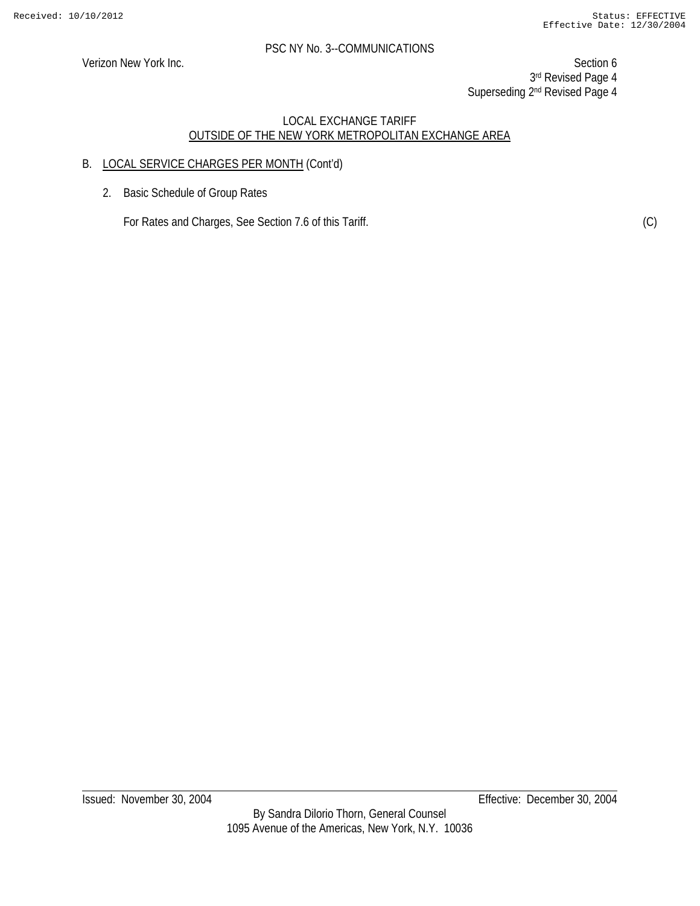Verizon New York Inc. Section 6 3rd Revised Page 4 Superseding 2<sup>nd</sup> Revised Page 4

# LOCAL EXCHANGE TARIFF OUTSIDE OF THE NEW YORK METROPOLITAN EXCHANGE AREA

# B. LOCAL SERVICE CHARGES PER MONTH (Cont'd)

2. Basic Schedule of Group Rates

For Rates and Charges, See Section 7.6 of this Tariff. (C) (C)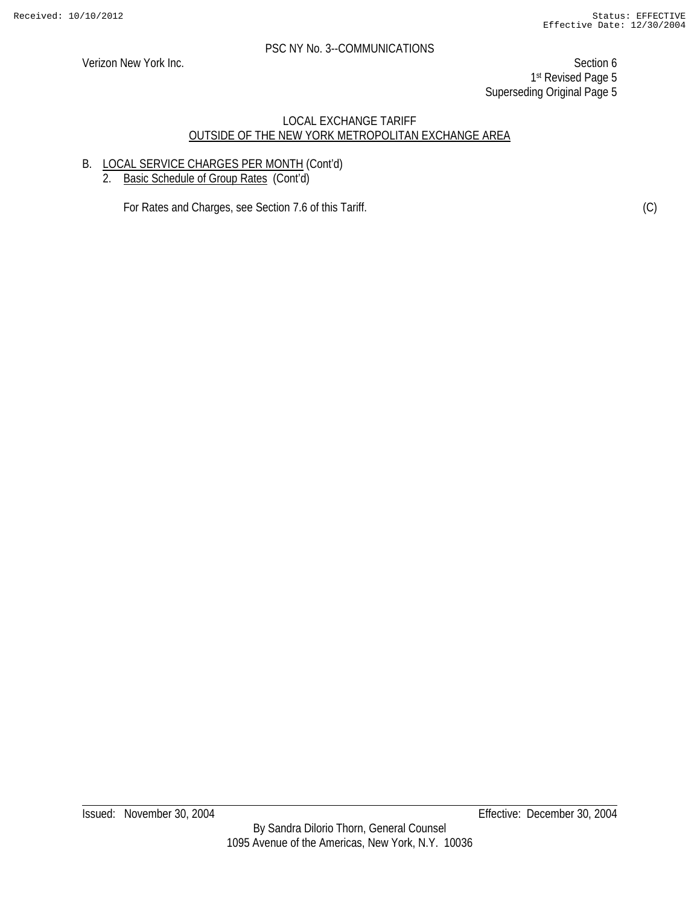Verizon New York Inc. Section 6 1st Revised Page 5 Superseding Original Page 5

#### LOCAL EXCHANGE TARIFF OUTSIDE OF THE NEW YORK METROPOLITAN EXCHANGE AREA

# B. LOCAL SERVICE CHARGES PER MONTH (Cont'd)

2. Basic Schedule of Group Rates (Cont'd)

For Rates and Charges, see Section 7.6 of this Tariff. (C) (C)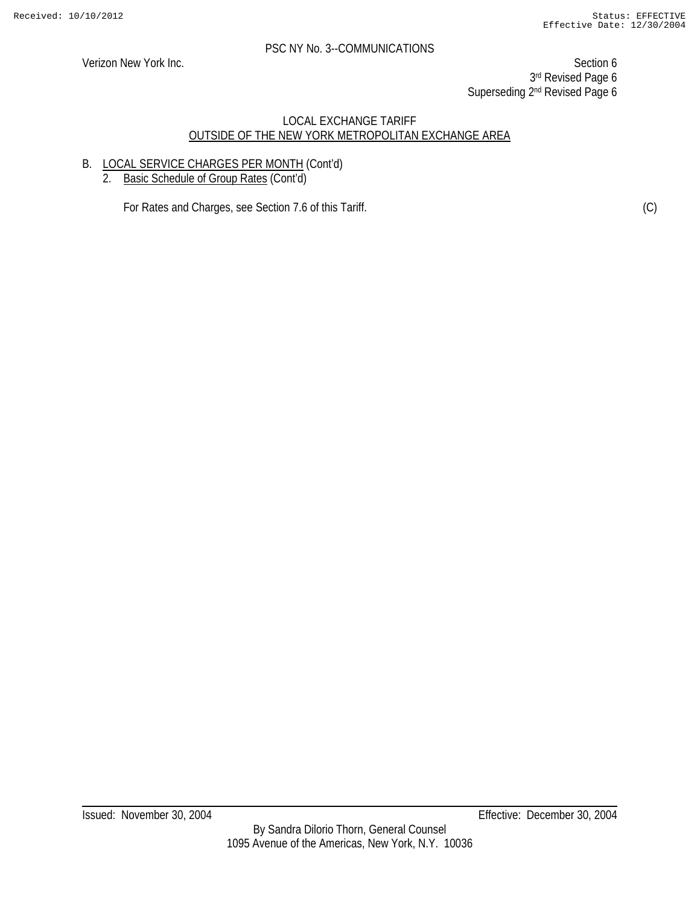Verizon New York Inc. Section 6 3rd Revised Page 6 Superseding 2<sup>nd</sup> Revised Page 6

#### LOCAL EXCHANGE TARIFF OUTSIDE OF THE NEW YORK METROPOLITAN EXCHANGE AREA

# B. LOCAL SERVICE CHARGES PER MONTH (Cont'd)

2. Basic Schedule of Group Rates (Cont'd)

For Rates and Charges, see Section 7.6 of this Tariff. (C) (C)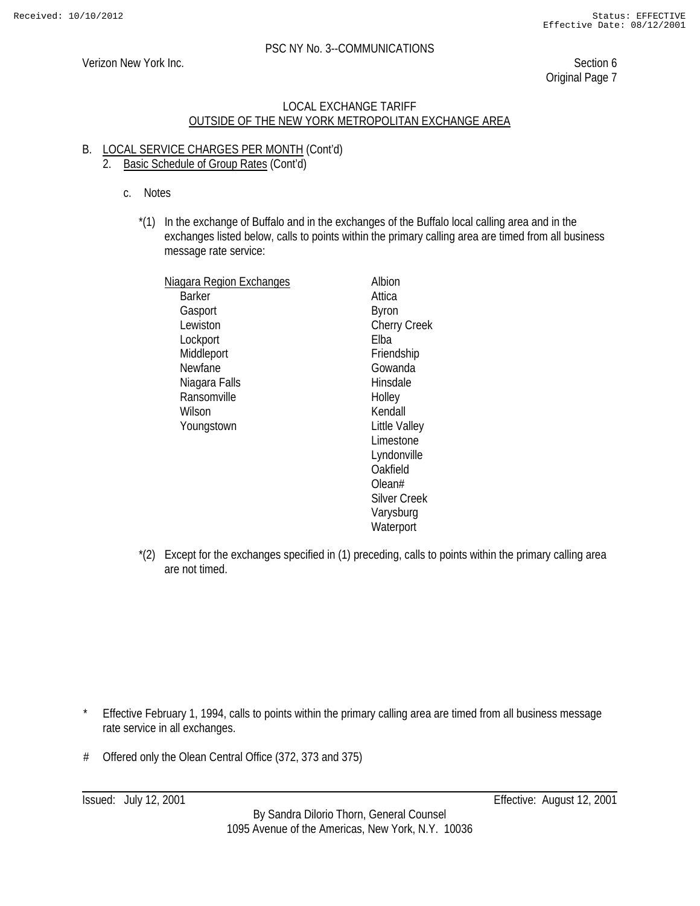Verizon New York Inc. Section 6 Original Page 7

#### LOCAL EXCHANGE TARIFF OUTSIDE OF THE NEW YORK METROPOLITAN EXCHANGE AREA

# B. LOCAL SERVICE CHARGES PER MONTH (Cont'd)

# 2. Basic Schedule of Group Rates (Cont'd)

- c. Notes
	- \*(1) In the exchange of Buffalo and in the exchanges of the Buffalo local calling area and in the exchanges listed below, calls to points within the primary calling area are timed from all business message rate service:

| <u>Niagara Region Exchanges</u> | Albion              |
|---------------------------------|---------------------|
| Barker                          | Attica              |
| Gasport                         | Byron               |
| Lewiston                        | <b>Cherry Creek</b> |
| Lockport                        | Flba                |
| Middleport                      | Friendship          |
| Newfane                         | Gowanda             |
| Niagara Falls                   | Hinsdale            |
| Ransomville                     | Holley              |
| Wilson                          | Kendall             |
| Youngstown                      | Little Valley       |
|                                 | Limestone           |
|                                 | Lyndonville         |
|                                 | Oakfield            |
|                                 | Olean#              |
|                                 | Silver Creek        |
|                                 | Varysburg           |
|                                 | Waterport           |

\*(2) Except for the exchanges specified in (1) preceding, calls to points within the primary calling area are not timed.

- \* Effective February 1, 1994, calls to points within the primary calling area are timed from all business message rate service in all exchanges.
- # Offered only the Olean Central Office (372, 373 and 375)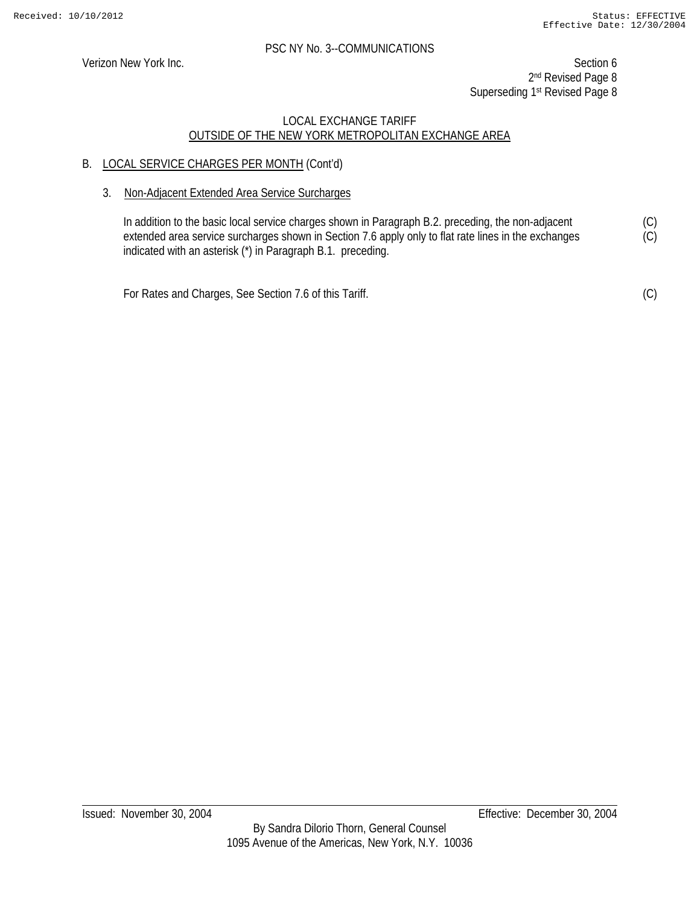Verizon New York Inc. Section 6 2<sup>nd</sup> Revised Page 8 Superseding 1<sup>st</sup> Revised Page 8

#### LOCAL EXCHANGE TARIFF OUTSIDE OF THE NEW YORK METROPOLITAN EXCHANGE AREA

# B. LOCAL SERVICE CHARGES PER MONTH (Cont'd)

3. Non-Adjacent Extended Area Service Surcharges

In addition to the basic local service charges shown in Paragraph B.2. preceding, the non-adjacent extended area service surcharges shown in Section 7.6 apply only to flat rate lines in the exchanges indicated with an asterisk (\*) in Paragraph B.1. preceding.

For Rates and Charges, See Section 7.6 of this Tariff.

(C)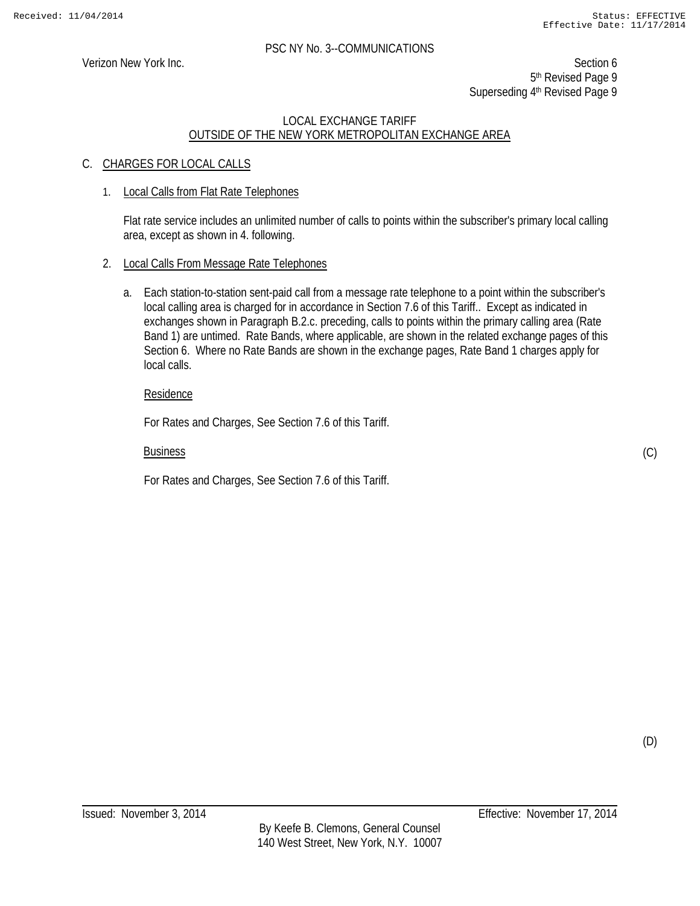Verizon New York Inc. Section 6 5<sup>th</sup> Revised Page 9 Superseding 4<sup>th</sup> Revised Page 9

# LOCAL EXCHANGE TARIFF OUTSIDE OF THE NEW YORK METROPOLITAN EXCHANGE AREA

# C. CHARGES FOR LOCAL CALLS

#### 1. Local Calls from Flat Rate Telephones

Flat rate service includes an unlimited number of calls to points within the subscriber's primary local calling area, except as shown in 4. following.

#### 2. Local Calls From Message Rate Telephones

a. Each station-to-station sent-paid call from a message rate telephone to a point within the subscriber's local calling area is charged for in accordance in Section 7.6 of this Tariff.. Except as indicated in exchanges shown in Paragraph B.2.c. preceding, calls to points within the primary calling area (Rate Band 1) are untimed. Rate Bands, where applicable, are shown in the related exchange pages of this Section 6. Where no Rate Bands are shown in the exchange pages, Rate Band 1 charges apply for local calls.

#### Residence

For Rates and Charges, See Section 7.6 of this Tariff.

#### Business

For Rates and Charges, See Section 7.6 of this Tariff.

(C)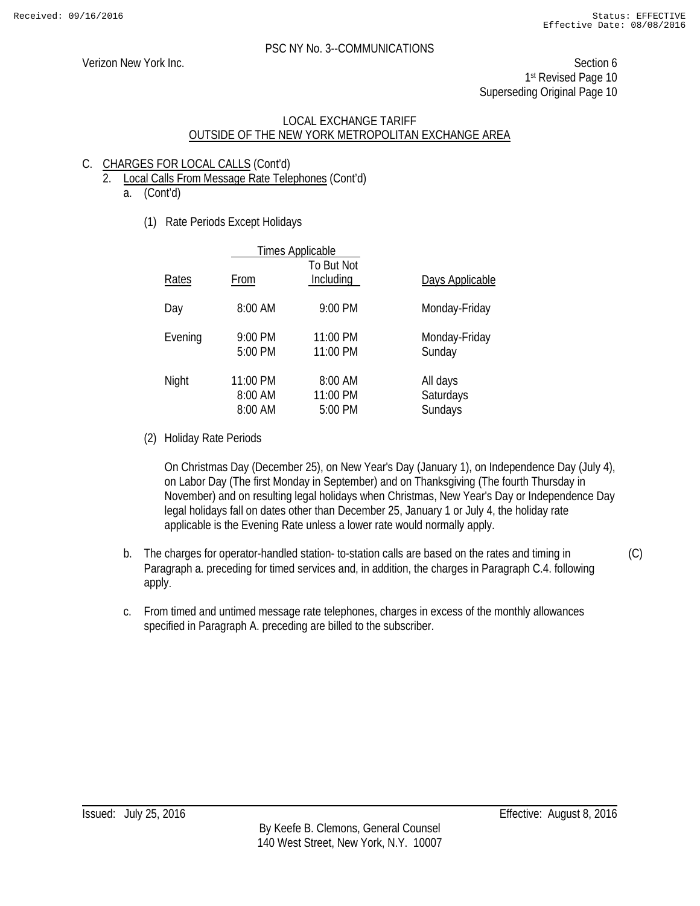Verizon New York Inc. Section 6 1st Revised Page 10 Superseding Original Page 10

#### LOCAL EXCHANGE TARIFF OUTSIDE OF THE NEW YORK METROPOLITAN EXCHANGE AREA

# C. CHARGES FOR LOCAL CALLS (Cont'd)

- 2. Local Calls From Message Rate Telephones (Cont'd)
	- a. (Cont'd)
		- (1) Rate Periods Except Holidays

|         |                                | <b>Times Applicable</b>        |                                  |
|---------|--------------------------------|--------------------------------|----------------------------------|
| Rates   | From                           | To But Not<br>Including        | Days Applicable                  |
| Day     | 8:00 AM                        | 9:00 PM                        | Monday-Friday                    |
| Evening | 9:00 PM<br>5:00 PM             | 11:00 PM<br>11:00 PM           | Monday-Friday<br>Sunday          |
| Night   | 11:00 PM<br>8:00 AM<br>8:00 AM | 8:00 AM<br>11:00 PM<br>5:00 PM | All days<br>Saturdays<br>Sundays |

(2) Holiday Rate Periods

On Christmas Day (December 25), on New Year's Day (January 1), on Independence Day (July 4), on Labor Day (The first Monday in September) and on Thanksgiving (The fourth Thursday in November) and on resulting legal holidays when Christmas, New Year's Day or Independence Day legal holidays fall on dates other than December 25, January 1 or July 4, the holiday rate applicable is the Evening Rate unless a lower rate would normally apply.

- b. The charges for operator-handled station- to-station calls are based on the rates and timing in Paragraph a. preceding for timed services and, in addition, the charges in Paragraph C.4. following apply. (C)
- c. From timed and untimed message rate telephones, charges in excess of the monthly allowances specified in Paragraph A. preceding are billed to the subscriber.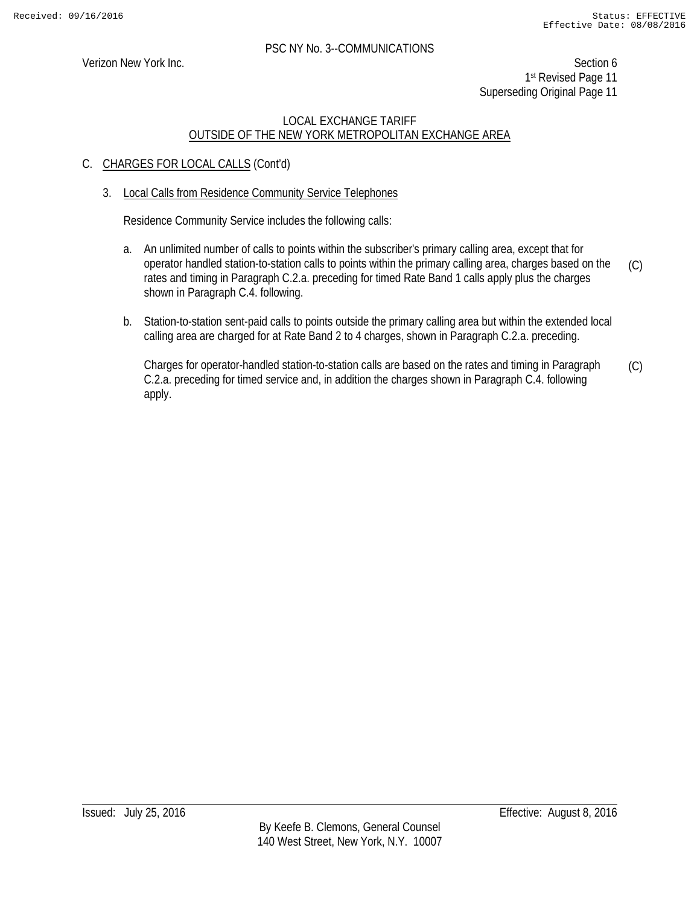Verizon New York Inc. Section 6 1st Revised Page 11 Superseding Original Page 11

# LOCAL EXCHANGE TARIFF OUTSIDE OF THE NEW YORK METROPOLITAN EXCHANGE AREA

# C. CHARGES FOR LOCAL CALLS (Cont'd)

#### 3. Local Calls from Residence Community Service Telephones

Residence Community Service includes the following calls:

- a. An unlimited number of calls to points within the subscriber's primary calling area, except that for operator handled station-to-station calls to points within the primary calling area, charges based on the rates and timing in Paragraph C.2.a. preceding for timed Rate Band 1 calls apply plus the charges shown in Paragraph C.4. following. (C)
- b. Station-to-station sent-paid calls to points outside the primary calling area but within the extended local calling area are charged for at Rate Band 2 to 4 charges, shown in Paragraph C.2.a. preceding.

Charges for operator-handled station-to-station calls are based on the rates and timing in Paragraph C.2.a. preceding for timed service and, in addition the charges shown in Paragraph C.4. following apply. (C)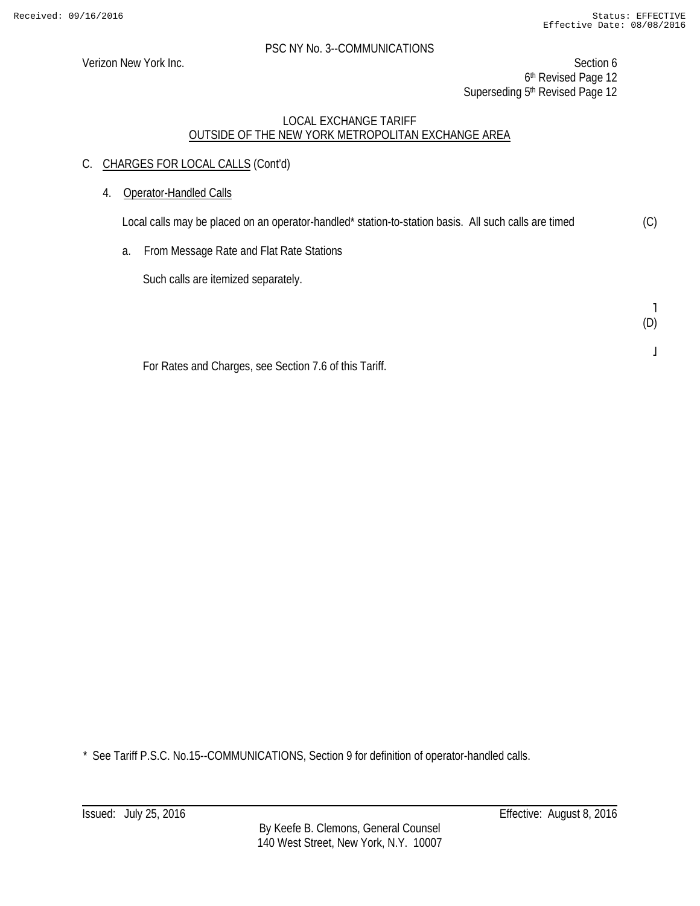Verizon New York Inc. Section 6 6<sup>th</sup> Revised Page 12 Superseding 5<sup>th</sup> Revised Page 12

# LOCAL EXCHANGE TARIFF OUTSIDE OF THE NEW YORK METROPOLITAN EXCHANGE AREA

- C. CHARGES FOR LOCAL CALLS (Cont'd)
	- 4. Operator-Handled Calls

Local calls may be placed on an operator-handled\* station-to-station basis. All such calls are timed (C)

a. From Message Rate and Flat Rate Stations

Such calls are itemized separately.

˥ (D)

 $\mathsf I$ 

For Rates and Charges, see Section 7.6 of this Tariff.

\* See Tariff P.S.C. No.15--COMMUNICATIONS, Section 9 for definition of operator-handled calls.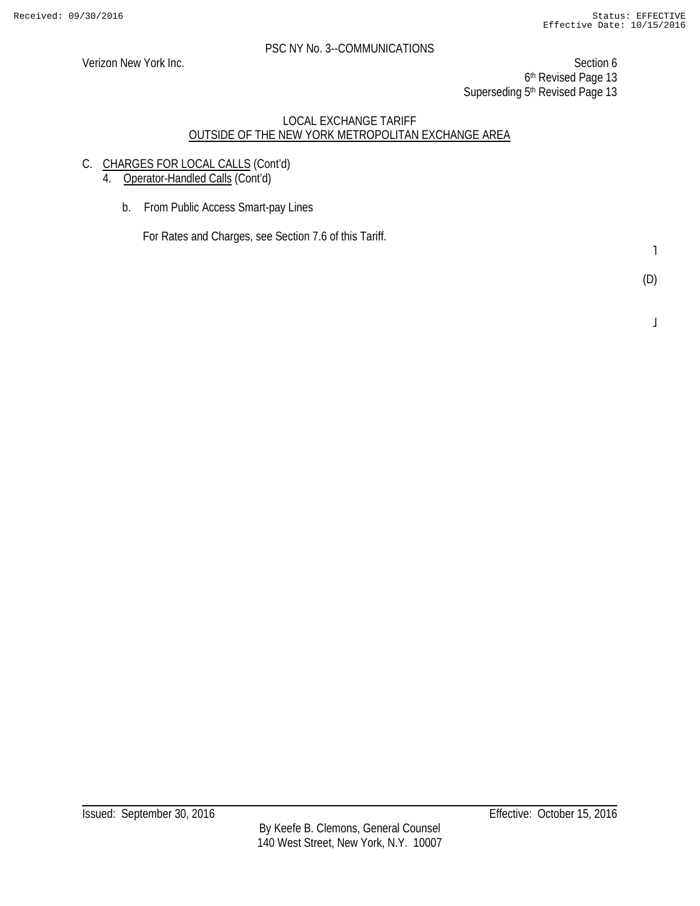Verizon New York Inc. Section 6 6th Revised Page 13 Superseding 5<sup>th</sup> Revised Page 13

#### LOCAL EXCHANGE TARIFF OUTSIDE OF THE NEW YORK METROPOLITAN EXCHANGE AREA

C. CHARGES FOR LOCAL CALLS (Cont'd)

4. Operator-Handled Calls (Cont'd)

b. From Public Access Smart-pay Lines

For Rates and Charges, see Section 7.6 of this Tariff.

 $\mathbf{1}$ 

 $\overline{1}$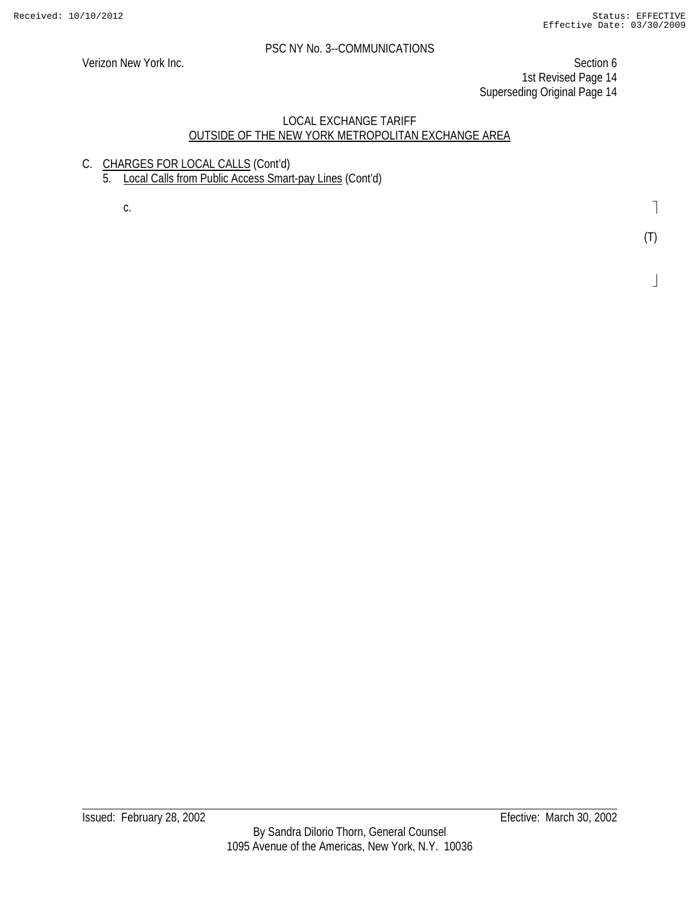Verizon New York Inc. Section 6 1st Revised Page 14 Superseding Original Page 14

# LOCAL EXCHANGE TARIFF OUTSIDE OF THE NEW YORK METROPOLITAN EXCHANGE AREA

C. CHARGES FOR LOCAL CALLS (Cont'd) 5. Local Calls from Public Access Smart-pay Lines (Cont'd)

c.

 $\overline{\phantom{a}}$ 

 $\perp$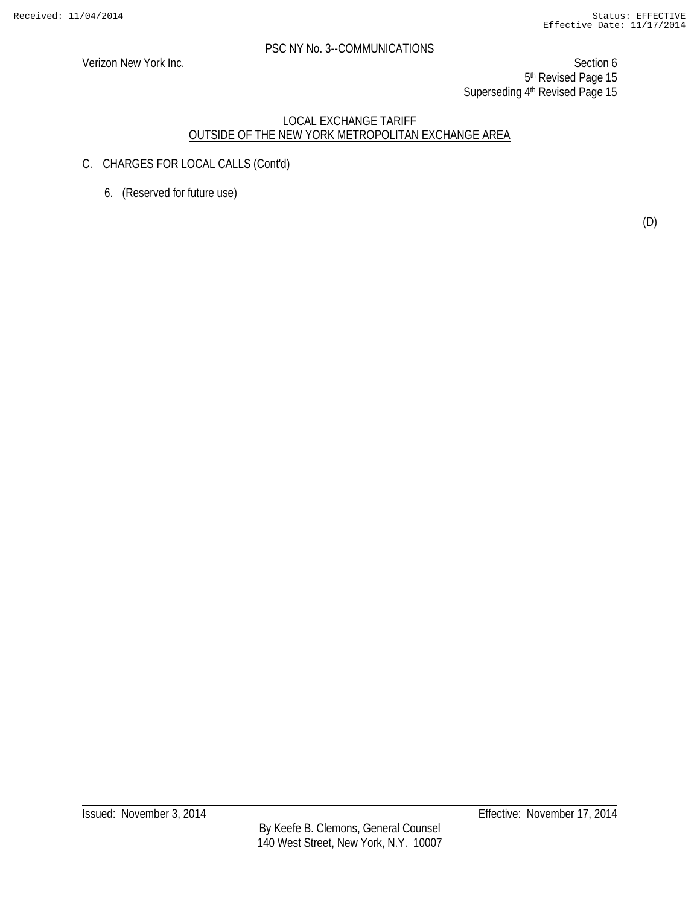Verizon New York Inc. Section 6 5<sup>th</sup> Revised Page 15 Superseding 4<sup>th</sup> Revised Page 15

- C. CHARGES FOR LOCAL CALLS (Cont'd)
	- 6. (Reserved for future use)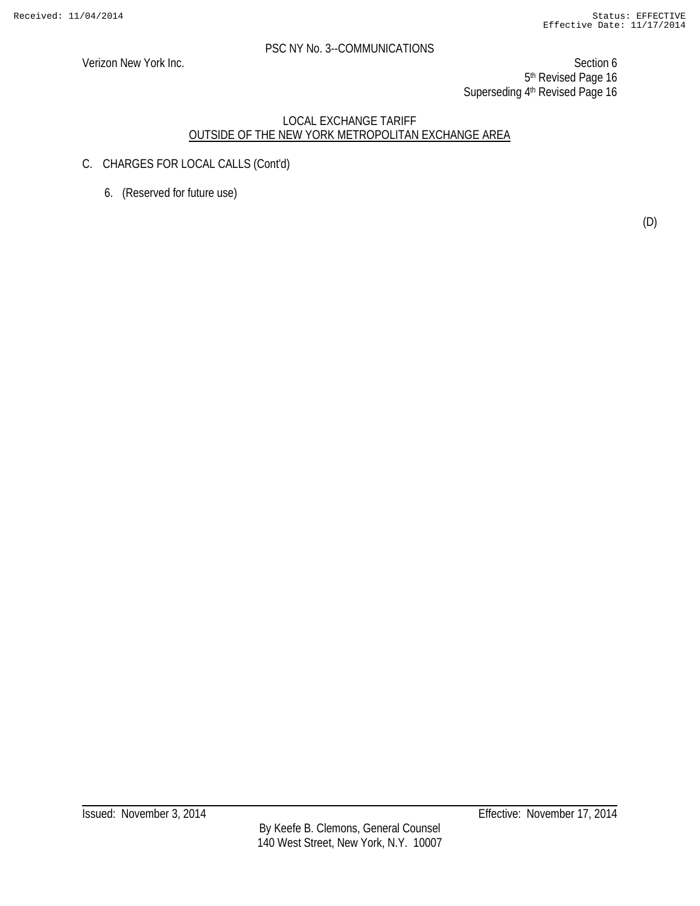Verizon New York Inc. Section 6 5<sup>th</sup> Revised Page 16 Superseding 4<sup>th</sup> Revised Page 16

- C. CHARGES FOR LOCAL CALLS (Cont'd)
	- 6. (Reserved for future use)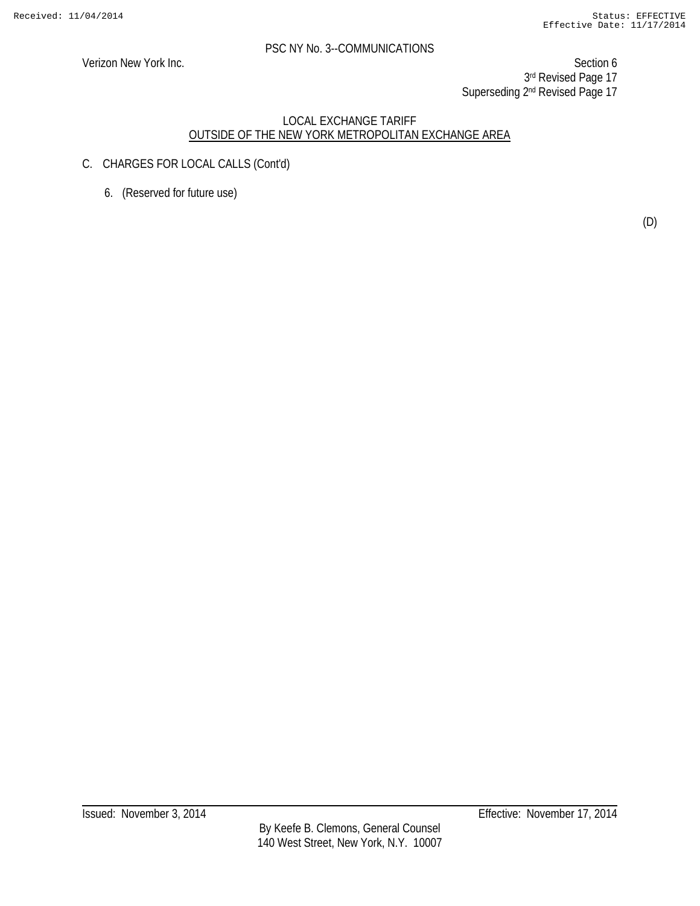Verizon New York Inc. Section 6 3rd Revised Page 17 Superseding 2<sup>nd</sup> Revised Page 17

- C. CHARGES FOR LOCAL CALLS (Cont'd)
	- 6. (Reserved for future use)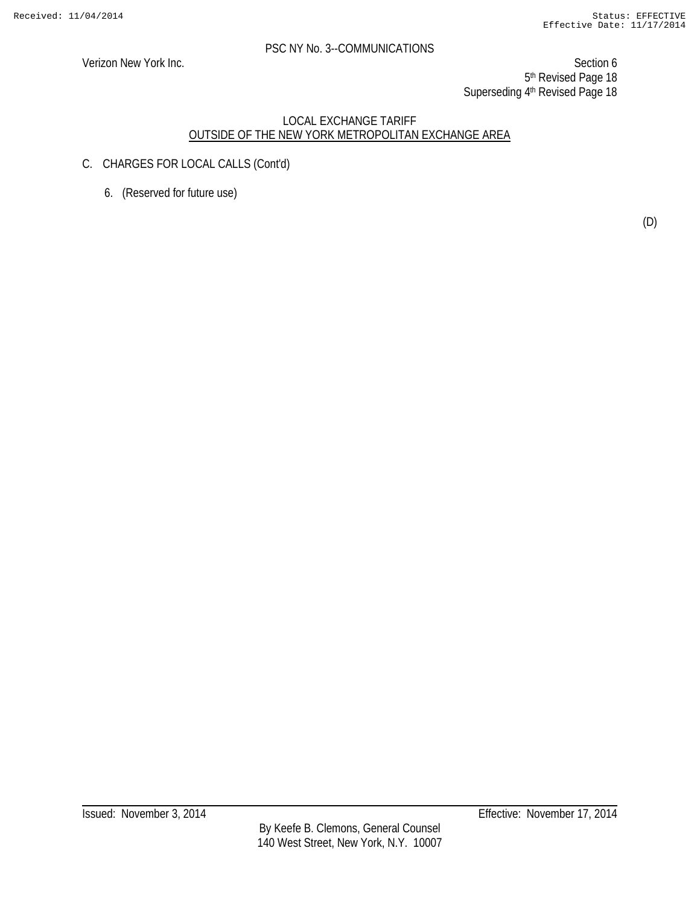Verizon New York Inc. Section 6 5<sup>th</sup> Revised Page 18 Superseding 4th Revised Page 18

- C. CHARGES FOR LOCAL CALLS (Cont'd)
	- 6. (Reserved for future use)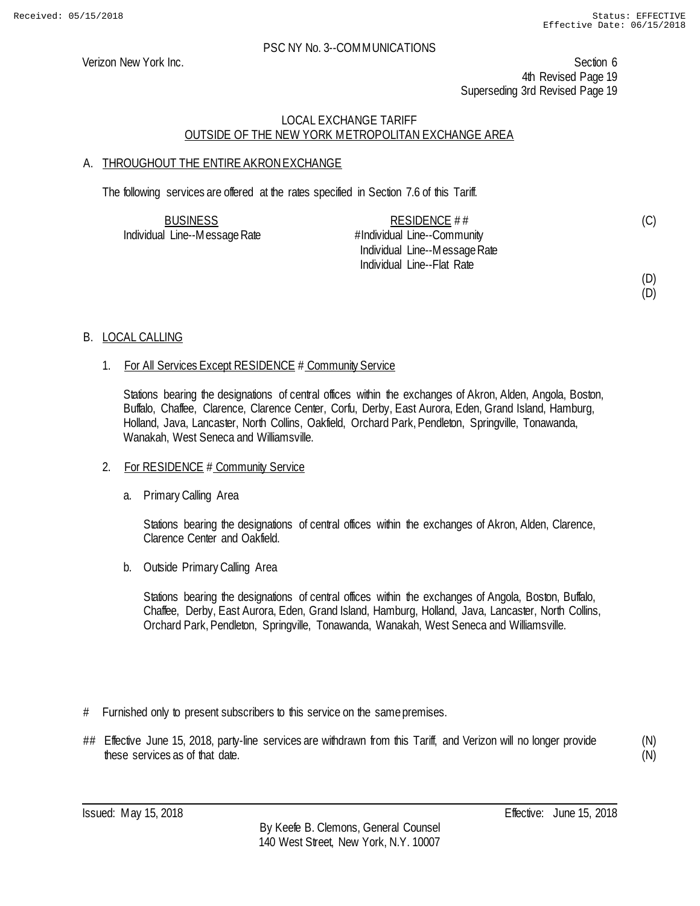(D)

#### PSC NY No. 3--COMMUNICATIONS

Verizon New York Inc. Section 6 4th Revised Page 19 Superseding 3rd Revised Page 19

# LOCAL EXCHANGE TARIFF OUTSIDE OF THE NEW YORK METROPOLITAN EXCHANGE AREA

# A. THROUGHOUT THE ENTIRE AKRON EXCHANGE

The following services are offered at the rates specified in Section 7.6 of this Tariff.

| <b>BUSINESS</b>               | RESIDENCE ##                  | (C) |
|-------------------------------|-------------------------------|-----|
| Individual Line--Message Rate | #Individual Line--Community   |     |
|                               | Individual Line--Message Rate |     |
|                               | Individual Line--Flat Rate    |     |
|                               |                               | (D) |

B. LOCAL CALLING

#### 1. For All Services Except RESIDENCE # Community Service

Stations bearing the designations of central offices within the exchanges of Akron, Alden, Angola, Boston, Buffalo, Chaffee, Clarence, Clarence Center, Corfu, Derby, East Aurora, Eden, Grand Island, Hamburg, Holland, Java, Lancaster, North Collins, Oakfield, Orchard Park, Pendleton, Springville, Tonawanda, Wanakah, West Seneca and Williamsville.

- 2. For RESIDENCE # Community Service
	- a. Primary Calling Area

Stations bearing the designations of central offices within the exchanges of Akron, Alden, Clarence, Clarence Center and Oakfield.

b. Outside Primary Calling Area

Stations bearing the designations of central offices within the exchanges of Angola, Boston, Buffalo, Chaffee, Derby, East Aurora, Eden, Grand Island, Hamburg, Holland, Java, Lancaster, North Collins, Orchard Park, Pendleton, Springville, Tonawanda, Wanakah, West Seneca and Williamsville.

- # Furnished only to present subscribers to this service on the same premises.
- ## Effective June 15, 2018, party-line services are withdrawn from this Tariff, and Verizon will no longer provide these services as of that date.

(N) (N)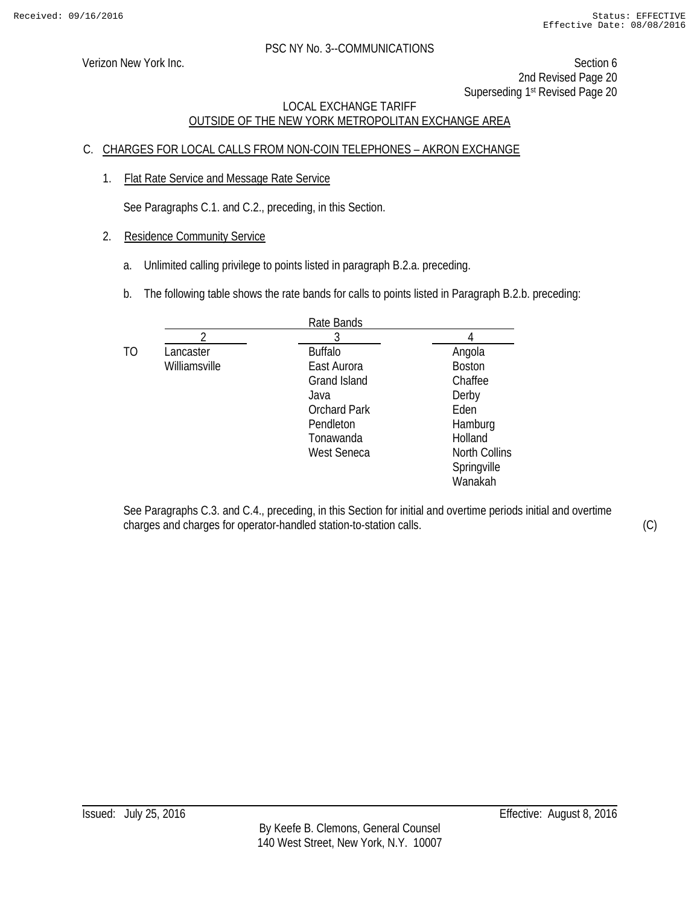Verizon New York Inc. Section 6 2nd Revised Page 20 Superseding 1<sup>st</sup> Revised Page 20

# LOCAL EXCHANGE TARIFF OUTSIDE OF THE NEW YORK METROPOLITAN EXCHANGE AREA

# C. CHARGES FOR LOCAL CALLS FROM NON-COIN TELEPHONES – AKRON EXCHANGE

1. Flat Rate Service and Message Rate Service

See Paragraphs C.1. and C.2., preceding, in this Section.

- 2. Residence Community Service
	- a. Unlimited calling privilege to points listed in paragraph B.2.a. preceding.
	- b. The following table shows the rate bands for calls to points listed in Paragraph B.2.b. preceding:

|    |               | Rate Bands          |                      |
|----|---------------|---------------------|----------------------|
|    |               |                     |                      |
| TO | Lancaster     | <b>Buffalo</b>      | Angola               |
|    | Williamsville | East Aurora         | <b>Boston</b>        |
|    |               | Grand Island        | Chaffee              |
|    |               | Java                | Derby                |
|    |               | <b>Orchard Park</b> | Eden                 |
|    |               | Pendleton           | Hamburg              |
|    |               | Tonawanda           | Holland              |
|    |               | <b>West Seneca</b>  | <b>North Collins</b> |
|    |               |                     | Springville          |
|    |               |                     | Wanakah              |

See Paragraphs C.3. and C.4., preceding, in this Section for initial and overtime periods initial and overtime charges and charges for operator-handled station-to-station calls. (C)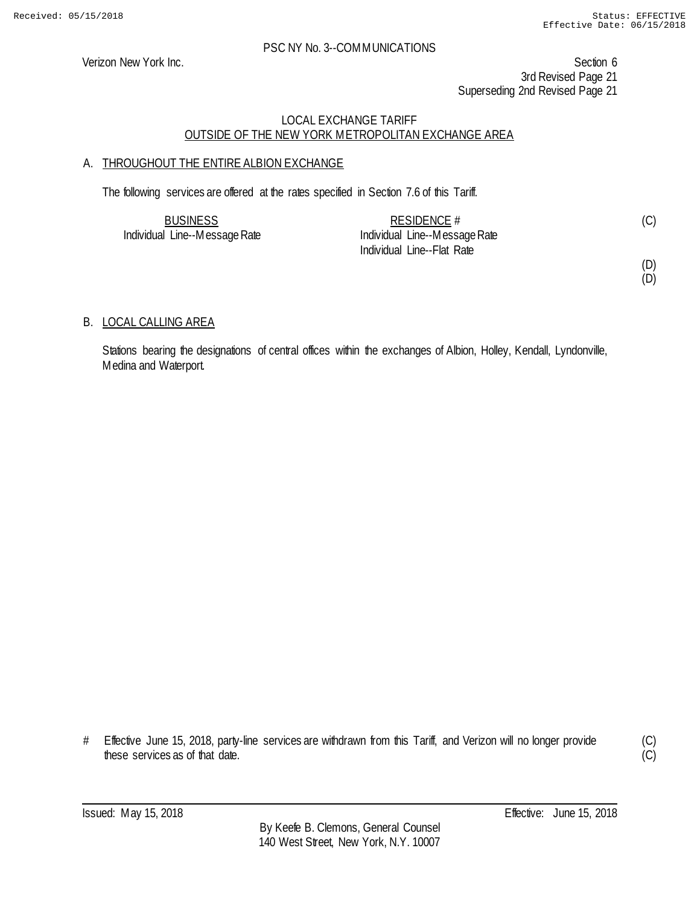Verizon New York Inc. Section 6 3rd Revised Page 21 Superseding 2nd Revised Page 21

# LOCAL EXCHANGE TARIFF OUTSIDE OF THE NEW YORK METROPOLITAN EXCHANGE AREA

# A. THROUGHOUT THE ENTIRE ALBION EXCHANGE

The following services are offered at the rates specified in Section 7.6 of this Tariff.

| <b>BUSINESS</b>               | RESIDENCE $#$                 |  |
|-------------------------------|-------------------------------|--|
| Individual Line--Message Rate | Individual Line--Message Rate |  |
|                               | Individual Line--Flat Rate    |  |

(D) (D)

B. LOCAL CALLING AREA

Stations bearing the designations of central offices within the exchanges of Albion, Holley, Kendall, Lyndonville, Medina and Waterport.

# Effective June 15, 2018, party-line services are withdrawn from this Tariff, and Verizon will no longer provide these services as of that date.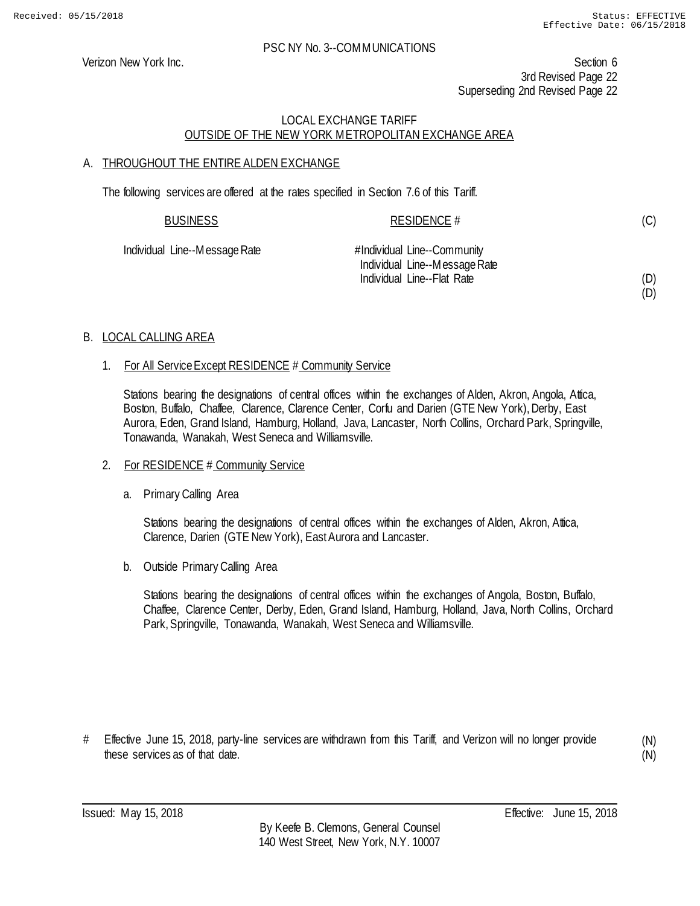(D)

#### PSC NY No. 3--COMMUNICATIONS

Verizon New York Inc. Section 6 3rd Revised Page 22 Superseding 2nd Revised Page 22

# LOCAL EXCHANGE TARIFF OUTSIDE OF THE NEW YORK METROPOLITAN EXCHANGE AREA

# A. THROUGHOUT THE ENTIRE ALDEN EXCHANGE

The following services are offered at the rates specified in Section 7.6 of this Tariff.

| <b>BUSINESS</b>               | RESIDENCE #                   | (C) |
|-------------------------------|-------------------------------|-----|
| Individual Line--Message Rate | #Individual Line--Community   |     |
|                               | Individual Line--Message Rate |     |
|                               | Individual Line--Flat Rate    | (D) |

# B. LOCAL CALLING AREA

#### 1. For All Service Except RESIDENCE # Community Service

Stations bearing the designations of central offices within the exchanges of Alden, Akron, Angola, Attica, Boston, Buffalo, Chaffee, Clarence, Clarence Center, Corfu and Darien (GTE New York), Derby, East Aurora, Eden, Grand Island, Hamburg, Holland, Java, Lancaster, North Collins, Orchard Park, Springville, Tonawanda, Wanakah, West Seneca and Williamsville.

# 2. For RESIDENCE # Community Service

a. Primary Calling Area

Stations bearing the designations of central offices within the exchanges of Alden, Akron, Attica, Clarence, Darien (GTE New York), East Aurora and Lancaster.

b. Outside Primary Calling Area

Stations bearing the designations of central offices within the exchanges of Angola, Boston, Buffalo, Chaffee, Clarence Center, Derby, Eden, Grand Island, Hamburg, Holland, Java, North Collins, Orchard Park, Springville, Tonawanda, Wanakah, West Seneca and Williamsville.

# Effective June 15, 2018, party-line services are withdrawn from this Tariff, and Verizon will no longer provide these services as of that date.

(N) (N)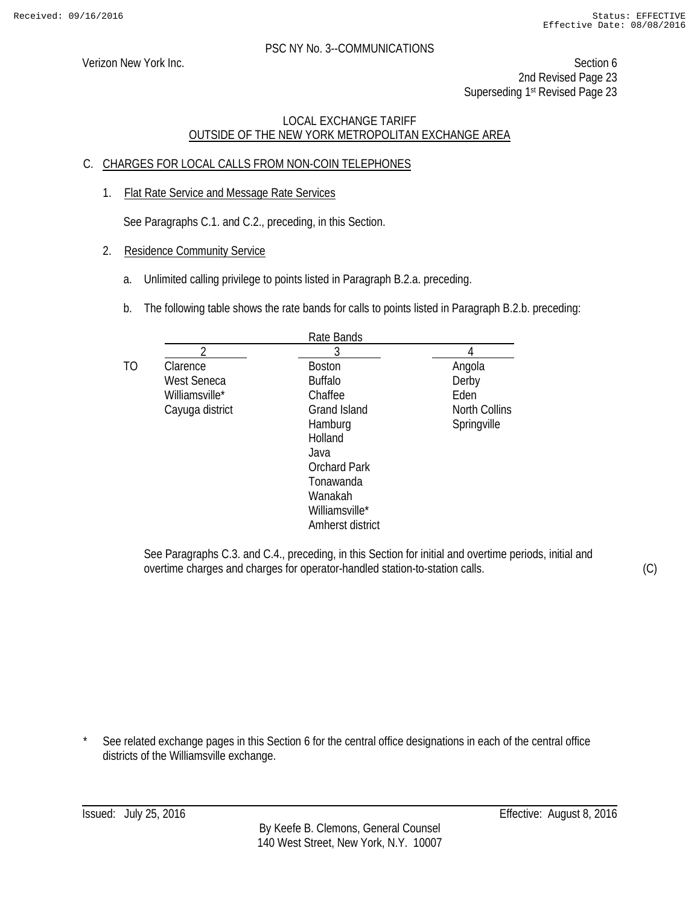Verizon New York Inc. Section 6 2nd Revised Page 23 Superseding 1<sup>st</sup> Revised Page 23

# LOCAL EXCHANGE TARIFF OUTSIDE OF THE NEW YORK METROPOLITAN EXCHANGE AREA

# C. CHARGES FOR LOCAL CALLS FROM NON-COIN TELEPHONES

1. Flat Rate Service and Message Rate Services

See Paragraphs C.1. and C.2., preceding, in this Section.

- 2. Residence Community Service
	- a. Unlimited calling privilege to points listed in Paragraph B.2.a. preceding.
	- b. The following table shows the rate bands for calls to points listed in Paragraph B.2.b. preceding:

|    |                 | Rate Bands          |               |
|----|-----------------|---------------------|---------------|
|    | 2               | 3                   |               |
| TO | Clarence        | <b>Boston</b>       | Angola        |
|    | West Seneca     | <b>Buffalo</b>      | Derby         |
|    | Williamsville*  | Chaffee             | Eden          |
|    | Cayuga district | Grand Island        | North Collins |
|    |                 | Hamburg             | Springville   |
|    |                 | Holland             |               |
|    |                 | Java                |               |
|    |                 | <b>Orchard Park</b> |               |
|    |                 | Tonawanda           |               |
|    |                 | Wanakah             |               |
|    |                 | Williamsville*      |               |
|    |                 | Amherst district    |               |

See Paragraphs C.3. and C.4., preceding, in this Section for initial and overtime periods, initial and overtime charges and charges for operator-handled station-to-station calls.

(C)

See related exchange pages in this Section 6 for the central office designations in each of the central office districts of the Williamsville exchange.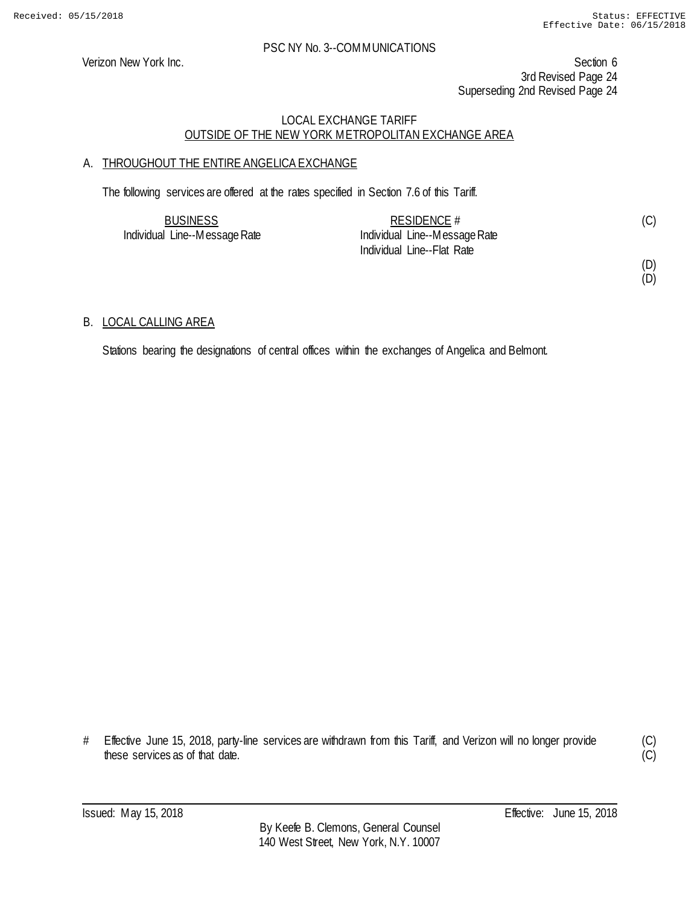Verizon New York Inc. Section 6 3rd Revised Page 24 Superseding 2nd Revised Page 24

# LOCAL EXCHANGE TARIFF OUTSIDE OF THE NEW YORK METROPOLITAN EXCHANGE AREA

# A. THROUGHOUT THE ENTIRE ANGELICA EXCHANGE

The following services are offered at the rates specified in Section 7.6 of this Tariff.

| <b>BUSINESS</b>               | RESIDENCE $#$                 | (C) |
|-------------------------------|-------------------------------|-----|
| Individual Line--Message Rate | Individual Line--Message Rate |     |
|                               | Individual Line--Flat Rate    |     |

(D) (D)

#### B. LOCAL CALLING AREA

Stations bearing the designations of central offices within the exchanges of Angelica and Belmont.

# Effective June 15, 2018, party-line services are withdrawn from this Tariff, and Verizon will no longer provide these services as of that date.

(C)  $\overline{C}$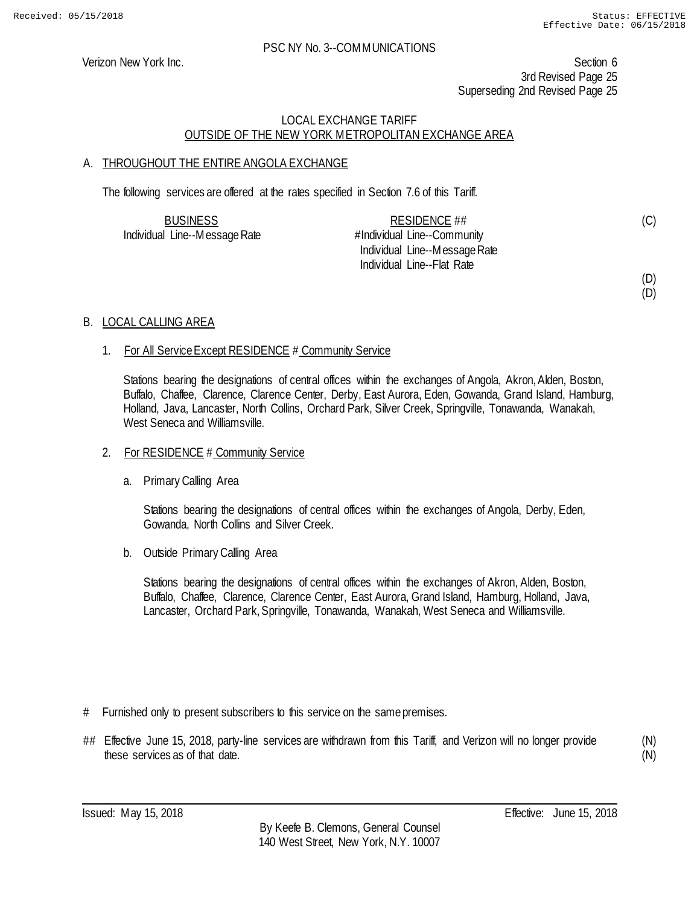(D)

#### PSC NY No. 3--COMMUNICATIONS

Verizon New York Inc. Section 6 3rd Revised Page 25 Superseding 2nd Revised Page 25

# LOCAL EXCHANGE TARIFF OUTSIDE OF THE NEW YORK METROPOLITAN EXCHANGE AREA

# A. THROUGHOUT THE ENTIRE ANGOLA EXCHANGE

The following services are offered at the rates specified in Section 7.6 of this Tariff.

| <b>BUSINESS</b>               | RESIDENCE ##                  | (C) |
|-------------------------------|-------------------------------|-----|
| Individual Line--Message Rate | #Individual Line--Community   |     |
|                               | Individual Line--Message Rate |     |
|                               | Individual Line--Flat Rate    |     |
|                               |                               | (D) |

#### B. LOCAL CALLING AREA

#### 1. For All Service Except RESIDENCE # Community Service

Stations bearing the designations of central offices within the exchanges of Angola, Akron, Alden, Boston, Buffalo, Chaffee, Clarence, Clarence Center, Derby, East Aurora, Eden, Gowanda, Grand Island, Hamburg, Holland, Java, Lancaster, North Collins, Orchard Park, Silver Creek, Springville, Tonawanda, Wanakah, West Seneca and Williamsville.

#### 2. For RESIDENCE # Community Service

a. Primary Calling Area

Stations bearing the designations of central offices within the exchanges of Angola, Derby, Eden, Gowanda, North Collins and Silver Creek.

b. Outside Primary Calling Area

Stations bearing the designations of central offices within the exchanges of Akron, Alden, Boston, Buffalo, Chaffee, Clarence, Clarence Center, East Aurora, Grand Island, Hamburg, Holland, Java, Lancaster, Orchard Park, Springville, Tonawanda, Wanakah, West Seneca and Williamsville.

- # Furnished only to present subscribers to this service on the same premises.
- ## Effective June 15, 2018, party-line services are withdrawn from this Tariff, and Verizon will no longer provide these services as of that date.

(N) (N)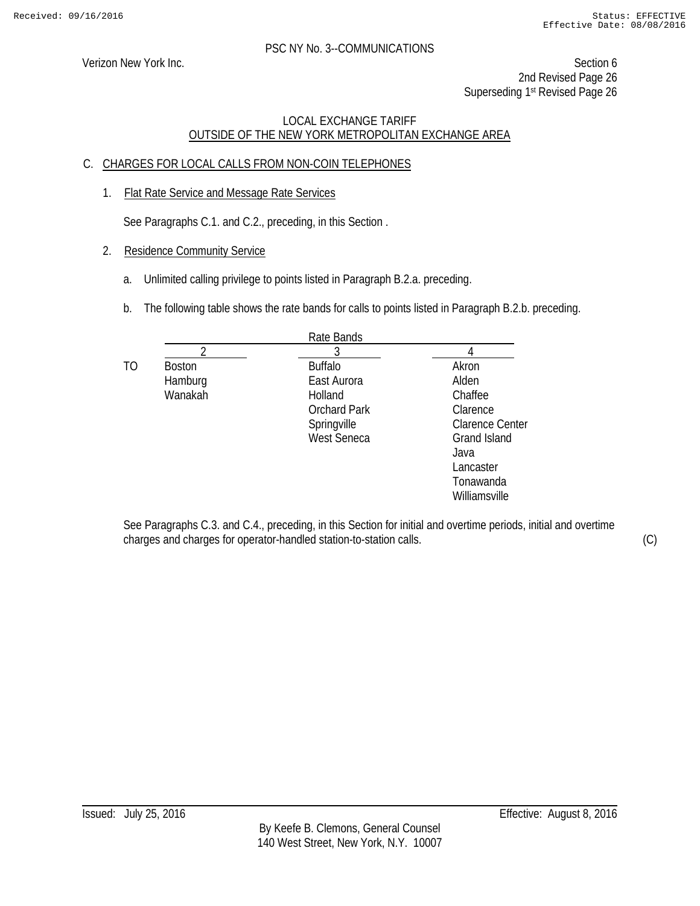Verizon New York Inc. Section 6 2nd Revised Page 26 Superseding 1<sup>st</sup> Revised Page 26

# LOCAL EXCHANGE TARIFF OUTSIDE OF THE NEW YORK METROPOLITAN EXCHANGE AREA

# C. CHARGES FOR LOCAL CALLS FROM NON-COIN TELEPHONES

1. Flat Rate Service and Message Rate Services

See Paragraphs C.1. and C.2., preceding, in this Section .

- 2. Residence Community Service
	- a. Unlimited calling privilege to points listed in Paragraph B.2.a. preceding.
	- b. The following table shows the rate bands for calls to points listed in Paragraph B.2.b. preceding.

|    |               | Rate Bands          |                        |
|----|---------------|---------------------|------------------------|
|    |               |                     |                        |
| TO | <b>Boston</b> | <b>Buffalo</b>      | Akron                  |
|    | Hamburg       | East Aurora         | Alden                  |
|    | Wanakah       | Holland             | Chaffee                |
|    |               | <b>Orchard Park</b> | Clarence               |
|    |               | Springville         | <b>Clarence Center</b> |
|    |               | <b>West Seneca</b>  | <b>Grand Island</b>    |
|    |               |                     | Java                   |
|    |               |                     | Lancaster              |
|    |               |                     | Tonawanda              |
|    |               |                     | Williamsville          |

See Paragraphs C.3. and C.4., preceding, in this Section for initial and overtime periods, initial and overtime charges and charges for operator-handled station-to-station calls. (C)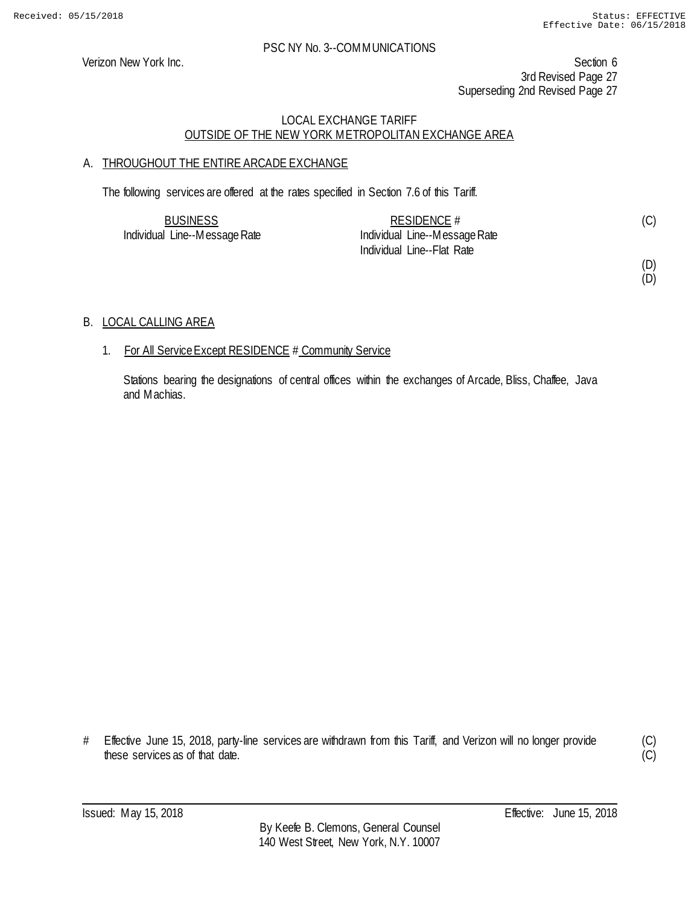Verizon New York Inc. Section 6 3rd Revised Page 27 Superseding 2nd Revised Page 27

# LOCAL EXCHANGE TARIFF OUTSIDE OF THE NEW YORK METROPOLITAN EXCHANGE AREA

# A. THROUGHOUT THE ENTIRE ARCADE EXCHANGE

The following services are offered at the rates specified in Section 7.6 of this Tariff.

| <b>BUSINESS</b>               | RESIDENCE #                   | (C) |
|-------------------------------|-------------------------------|-----|
| Individual Line--Message Rate | Individual Line--Message Rate |     |
|                               | Individual Line--Flat Rate    |     |

(D)

(D)

# B. LOCAL CALLING AREA

#### 1. For All Service Except RESIDENCE # Community Service

Stations bearing the designations of central offices within the exchanges of Arcade, Bliss, Chaffee, Java and Machias.

# Effective June 15, 2018, party-line services are withdrawn from this Tariff, and Verizon will no longer provide these services as of that date.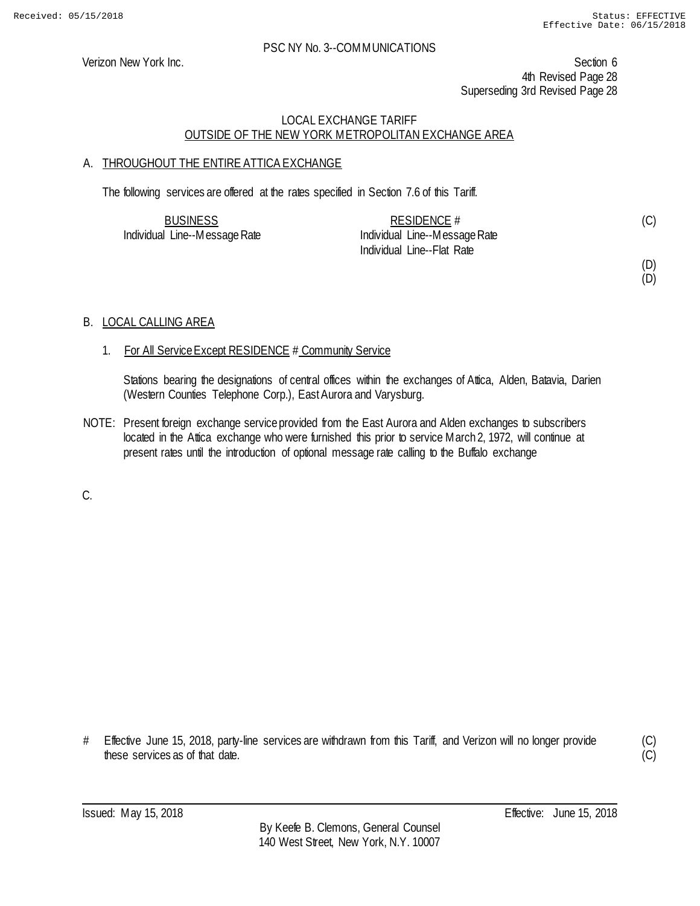Verizon New York Inc. Section 6 4th Revised Page 28 Superseding 3rd Revised Page 28

# LOCAL EXCHANGE TARIFF OUTSIDE OF THE NEW YORK METROPOLITAN EXCHANGE AREA

# A. THROUGHOUT THE ENTIRE ATTICA EXCHANGE

The following services are offered at the rates specified in Section 7.6 of this Tariff.

| <b>BUSINESS</b>               | RESIDENCE $#$                 | (C) |
|-------------------------------|-------------------------------|-----|
| Individual Line--Message Rate | Individual Line--Message Rate |     |
|                               | Individual Line--Flat Rate    |     |

(D) (D)

# B. LOCAL CALLING AREA

# 1. For All Service Except RESIDENCE # Community Service

Stations bearing the designations of central offices within the exchanges of Attica, Alden, Batavia, Darien (Western Counties Telephone Corp.), East Aurora and Varysburg.

NOTE: Present foreign exchange service provided from the East Aurora and Alden exchanges to subscribers located in the Attica exchange who were furnished this prior to service March 2, 1972, will continue at present rates until the introduction of optional message rate calling to the Buffalo exchange

C.

<sup>#</sup> Effective June 15, 2018, party-line services are withdrawn from this Tariff, and Verizon will no longer provide these services as of that date.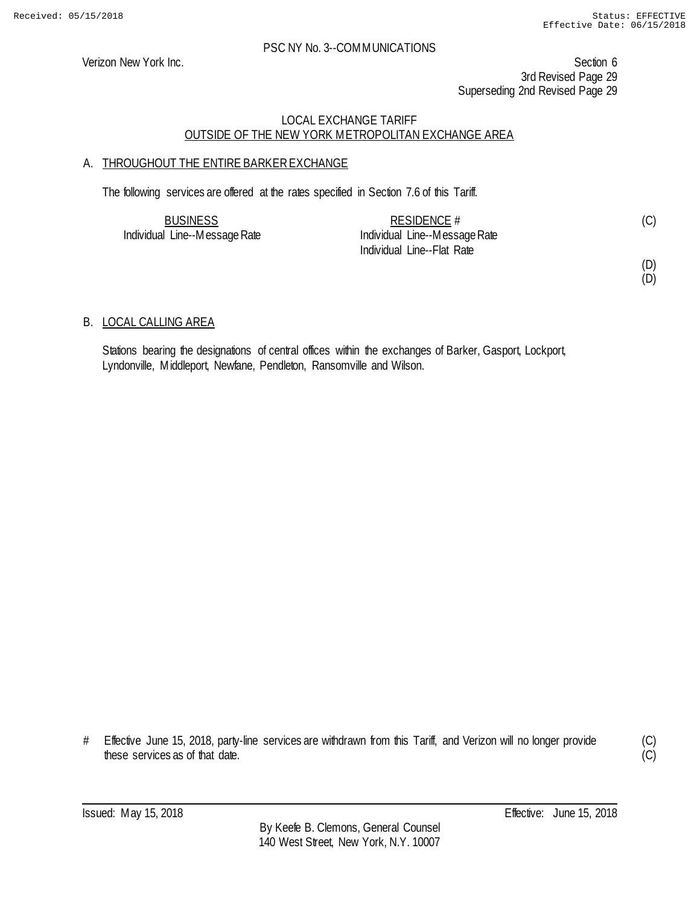Verizon New York Inc. Section 6 3rd Revised Page 29 Superseding 2nd Revised Page 29

# LOCAL EXCHANGE TARIFF OUTSIDE OF THE NEW YORK METROPOLITAN EXCHANGE AREA

# A. THROUGHOUT THE ENTIRE BARKER EXCHANGE

The following services are offered at the rates specified in Section 7.6 of this Tariff.

| <b>BUSINESS</b>               | RESIDENCE $#$                 | (C) |
|-------------------------------|-------------------------------|-----|
| Individual Line--Message Rate | Individual Line--Message Rate |     |
|                               | Individual Line--Flat Rate    |     |

(D) (D)

#### B. LOCAL CALLING AREA

Stations bearing the designations of central offices within the exchanges of Barker, Gasport, Lockport, Lyndonville, Middleport, Newfane, Pendleton, Ransomville and Wilson.

# Effective June 15, 2018, party-line services are withdrawn from this Tariff, and Verizon will no longer provide these services as of that date.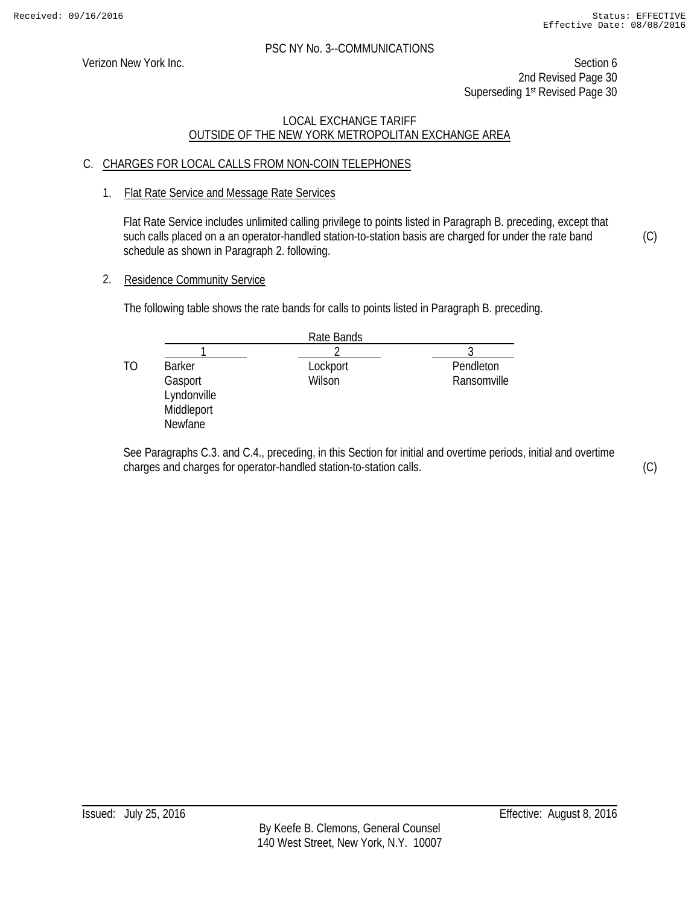Verizon New York Inc. Section 6 2nd Revised Page 30 Superseding 1<sup>st</sup> Revised Page 30

# LOCAL EXCHANGE TARIFF OUTSIDE OF THE NEW YORK METROPOLITAN EXCHANGE AREA

# C. CHARGES FOR LOCAL CALLS FROM NON-COIN TELEPHONES

1. Flat Rate Service and Message Rate Services

Flat Rate Service includes unlimited calling privilege to points listed in Paragraph B. preceding, except that such calls placed on a an operator-handled station-to-station basis are charged for under the rate band schedule as shown in Paragraph 2. following.

2. Residence Community Service

The following table shows the rate bands for calls to points listed in Paragraph B. preceding.

|    |                                                 | Rate Bands |             |
|----|-------------------------------------------------|------------|-------------|
|    |                                                 |            |             |
| TΟ | <b>Barker</b>                                   | Lockport   | Pendleton   |
|    | Gasport<br>Lyndonville<br>Middleport<br>Newfane | Wilson     | Ransomville |

See Paragraphs C.3. and C.4., preceding, in this Section for initial and overtime periods, initial and overtime charges and charges for operator-handled station-to-station calls.

(C)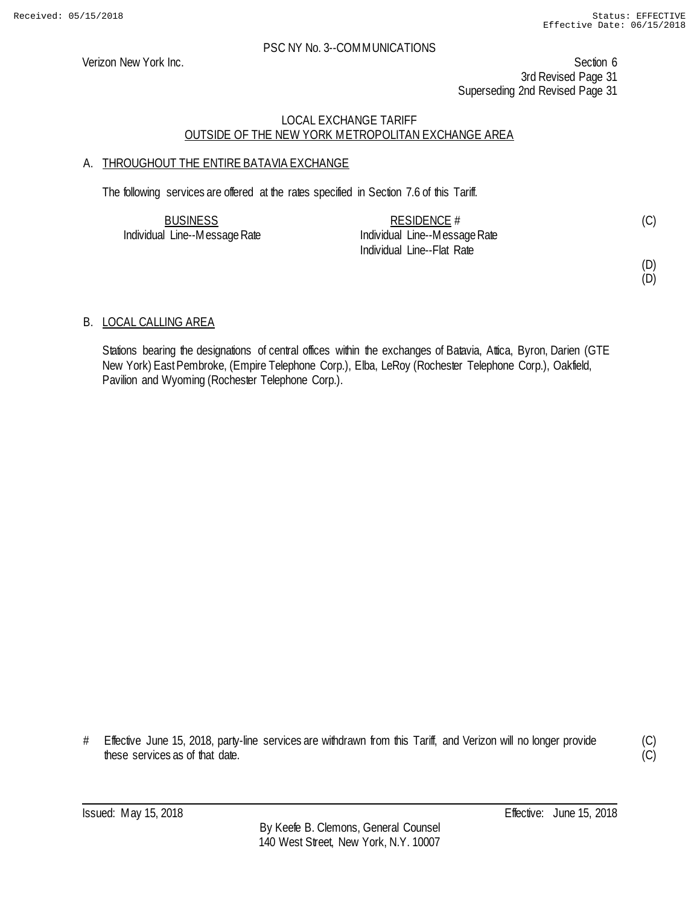Verizon New York Inc. Section 6 3rd Revised Page 31 Superseding 2nd Revised Page 31

#### LOCAL EXCHANGE TARIFF OUTSIDE OF THE NEW YORK METROPOLITAN EXCHANGE AREA

# A. THROUGHOUT THE ENTIRE BATAVIA EXCHANGE

The following services are offered at the rates specified in Section 7.6 of this Tariff.

| <b>BUSINESS</b>               | RESIDENCE #                   |  |
|-------------------------------|-------------------------------|--|
| Individual Line--Message Rate | Individual Line--Message Rate |  |
|                               | Individual Line--Flat Rate    |  |

(D) (D)

#### B. LOCAL CALLING AREA

Stations bearing the designations of central offices within the exchanges of Batavia, Attica, Byron, Darien (GTE New York) East Pembroke, (Empire Telephone Corp.), Elba, LeRoy (Rochester Telephone Corp.), Oakfield, Pavilion and Wyoming (Rochester Telephone Corp.).

# Effective June 15, 2018, party-line services are withdrawn from this Tariff, and Verizon will no longer provide these services as of that date.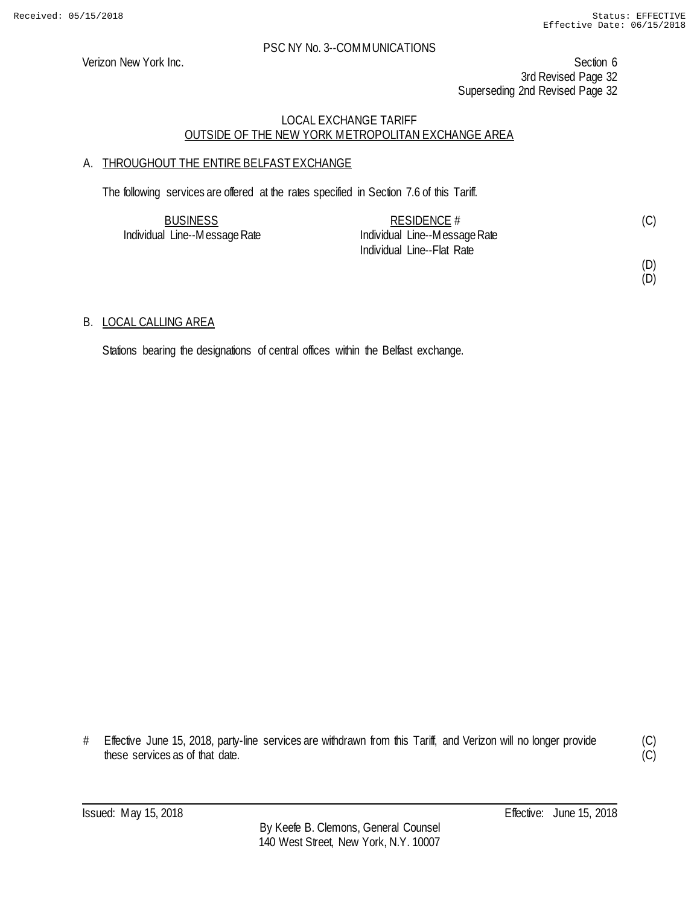Verizon New York Inc. Section 6 3rd Revised Page 32 Superseding 2nd Revised Page 32

# LOCAL EXCHANGE TARIFF OUTSIDE OF THE NEW YORK METROPOLITAN EXCHANGE AREA

# A. THROUGHOUT THE ENTIRE BELFAST EXCHANGE

The following services are offered at the rates specified in Section 7.6 of this Tariff.

| <b>BUSINESS</b>               | RESIDENCE $#$                 |  |
|-------------------------------|-------------------------------|--|
| Individual Line--Message Rate | Individual Line--Message Rate |  |
|                               | Individual Line--Flat Rate    |  |

(D) (D)

#### B. LOCAL CALLING AREA

Stations bearing the designations of central offices within the Belfast exchange.

# Effective June 15, 2018, party-line services are withdrawn from this Tariff, and Verizon will no longer provide these services as of that date.

(C)  $\overline{C}$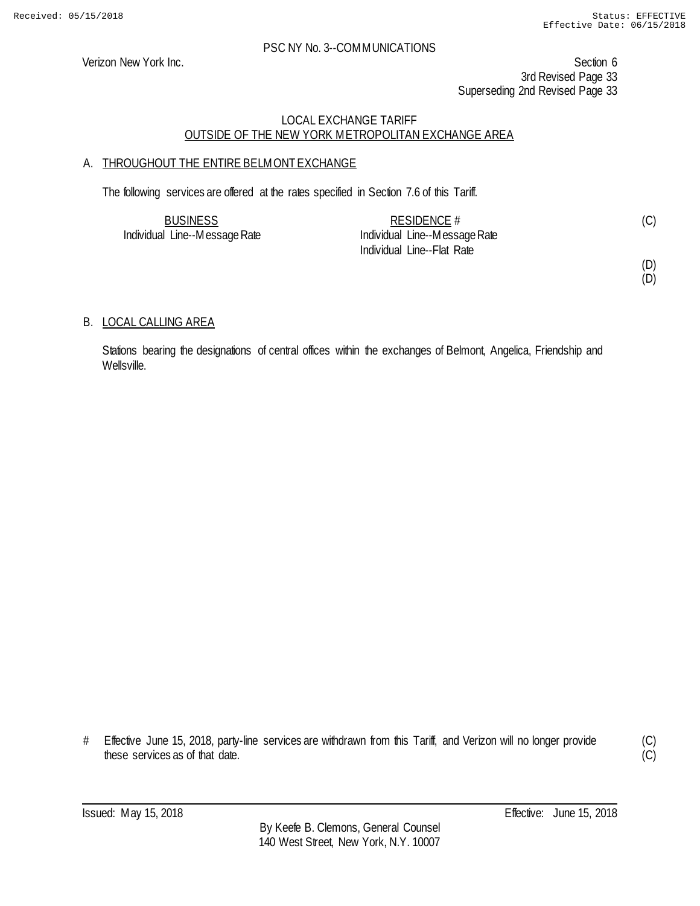Verizon New York Inc. Section 6 3rd Revised Page 33 Superseding 2nd Revised Page 33

# LOCAL EXCHANGE TARIFF OUTSIDE OF THE NEW YORK METROPOLITAN EXCHANGE AREA

# A. THROUGHOUT THE ENTIRE BELMONT EXCHANGE

The following services are offered at the rates specified in Section 7.6 of this Tariff.

| <b>BUSINESS</b>               | RESIDENCE $#$                 | (C) |
|-------------------------------|-------------------------------|-----|
| Individual Line--Message Rate | Individual Line--Message Rate |     |
|                               | Individual Line--Flat Rate    |     |

(D) (D)

B. LOCAL CALLING AREA

Stations bearing the designations of central offices within the exchanges of Belmont, Angelica, Friendship and Wellsville.

# Effective June 15, 2018, party-line services are withdrawn from this Tariff, and Verizon will no longer provide these services as of that date.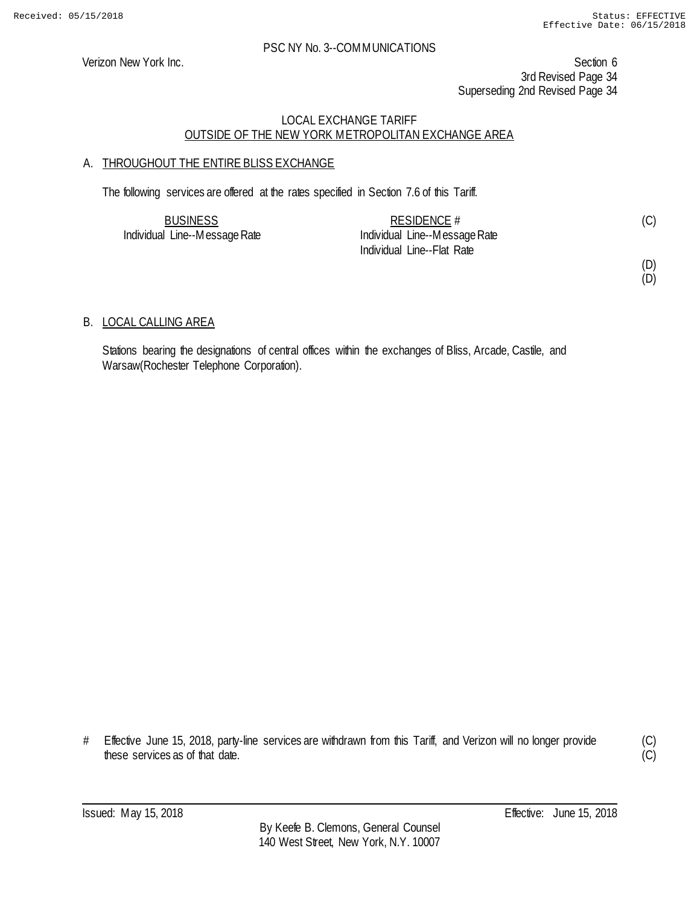Verizon New York Inc. Section 6 3rd Revised Page 34 Superseding 2nd Revised Page 34

# LOCAL EXCHANGE TARIFF OUTSIDE OF THE NEW YORK METROPOLITAN EXCHANGE AREA

# A. THROUGHOUT THE ENTIRE BLISS EXCHANGE

The following services are offered at the rates specified in Section 7.6 of this Tariff.

| <b>BUSINESS</b>               | RESIDENCE $#$                 | (C) |
|-------------------------------|-------------------------------|-----|
| Individual Line--Message Rate | Individual Line--Message Rate |     |
|                               | Individual Line--Flat Rate    |     |

(D) (D)

#### B. LOCAL CALLING AREA

Stations bearing the designations of central offices within the exchanges of Bliss, Arcade, Castile, and Warsaw(Rochester Telephone Corporation).

# Effective June 15, 2018, party-line services are withdrawn from this Tariff, and Verizon will no longer provide these services as of that date.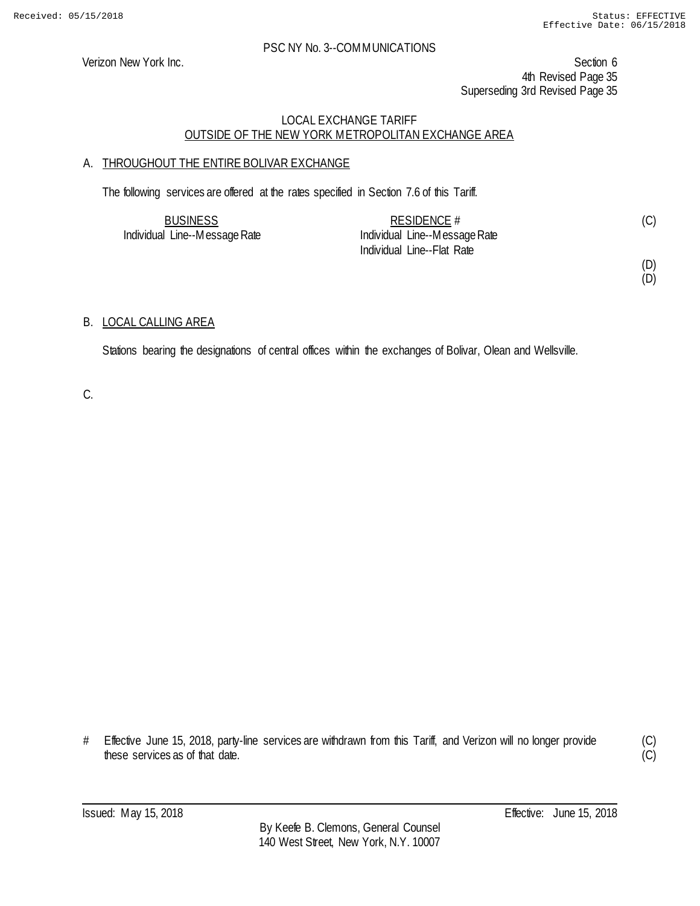Verizon New York Inc. Section 6 4th Revised Page 35 Superseding 3rd Revised Page 35

# LOCAL EXCHANGE TARIFF OUTSIDE OF THE NEW YORK METROPOLITAN EXCHANGE AREA

# A. THROUGHOUT THE ENTIRE BOLIVAR EXCHANGE

The following services are offered at the rates specified in Section 7.6 of this Tariff.

| <b>BUSINESS</b>               | RESIDENCE $#$                 |  |
|-------------------------------|-------------------------------|--|
| Individual Line--Message Rate | Individual Line--Message Rate |  |
|                               | Individual Line--Flat Rate    |  |

(D) (D)

# B. LOCAL CALLING AREA

Stations bearing the designations of central offices within the exchanges of Bolivar, Olean and Wellsville.

C.

# Effective June 15, 2018, party-line services are withdrawn from this Tariff, and Verizon will no longer provide these services as of that date.

(C)  $\overline{C}$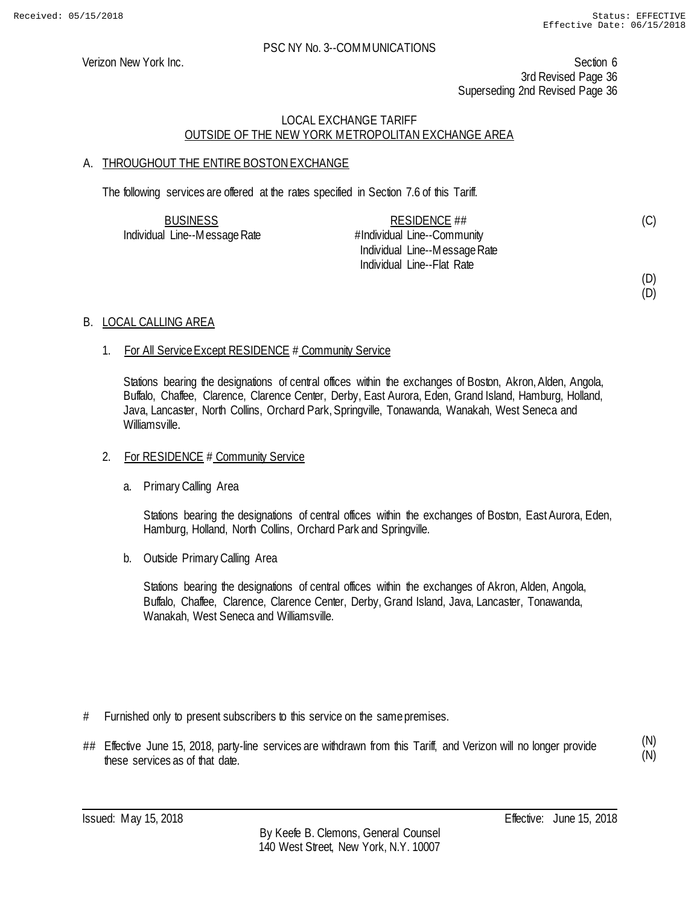(D)

#### PSC NY No. 3--COMMUNICATIONS

Verizon New York Inc. Section 6 3rd Revised Page 36 Superseding 2nd Revised Page 36

# LOCAL EXCHANGE TARIFF OUTSIDE OF THE NEW YORK METROPOLITAN EXCHANGE AREA

# A. THROUGHOUT THE ENTIRE BOSTON EXCHANGE

The following services are offered at the rates specified in Section 7.6 of this Tariff.

| <b>BUSINESS</b>               | RESIDENCE ##                  | (C) |
|-------------------------------|-------------------------------|-----|
| Individual Line--Message Rate | #Individual Line--Community   |     |
|                               | Individual Line--Message Rate |     |
|                               | Individual Line--Flat Rate    |     |
|                               |                               | (D) |

#### B. LOCAL CALLING AREA

#### 1. For All Service Except RESIDENCE # Community Service

Stations bearing the designations of central offices within the exchanges of Boston, Akron, Alden, Angola, Buffalo, Chaffee, Clarence, Clarence Center, Derby, East Aurora, Eden, Grand Island, Hamburg, Holland, Java, Lancaster, North Collins, Orchard Park, Springville, Tonawanda, Wanakah, West Seneca and Williamsville.

#### 2. For RESIDENCE # Community Service

a. Primary Calling Area

Stations bearing the designations of central offices within the exchanges of Boston, East Aurora, Eden, Hamburg, Holland, North Collins, Orchard Park and Springville.

b. Outside Primary Calling Area

Stations bearing the designations of central offices within the exchanges of Akron, Alden, Angola, Buffalo, Chaffee, Clarence, Clarence Center, Derby, Grand Island, Java, Lancaster, Tonawanda, Wanakah, West Seneca and Williamsville.

- # Furnished only to present subscribers to this service on the same premises.
- ## Effective June 15, 2018, party-line services are withdrawn from this Tariff, and Verizon will no longer provide these services as of that date.

(N) (N)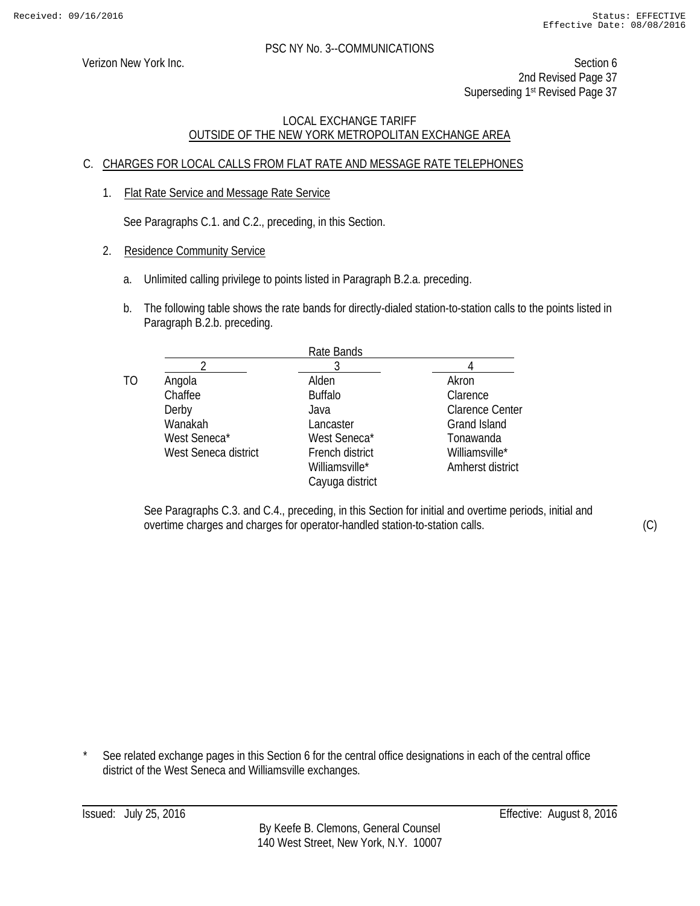Verizon New York Inc. Section 6 2nd Revised Page 37 Superseding 1<sup>st</sup> Revised Page 37

# LOCAL EXCHANGE TARIFF OUTSIDE OF THE NEW YORK METROPOLITAN EXCHANGE AREA

# C. CHARGES FOR LOCAL CALLS FROM FLAT RATE AND MESSAGE RATE TELEPHONES

1. Flat Rate Service and Message Rate Service

See Paragraphs C.1. and C.2., preceding, in this Section.

- 2. Residence Community Service
	- a. Unlimited calling privilege to points listed in Paragraph B.2.a. preceding.
	- b. The following table shows the rate bands for directly-dialed station-to-station calls to the points listed in Paragraph B.2.b. preceding.

|    |                      | Rate Bands      |                        |
|----|----------------------|-----------------|------------------------|
|    |                      |                 |                        |
| TO | Angola               | Alden           | Akron                  |
|    | Chaffee              | <b>Buffalo</b>  | Clarence               |
|    | Derby                | Java            | <b>Clarence Center</b> |
|    | Wanakah              | Lancaster       | Grand Island           |
|    | West Seneca*         | West Seneca*    | Tonawanda              |
|    | West Seneca district | French district | Williamsville*         |
|    |                      | Williamsville*  | Amherst district       |
|    |                      | Cayuga district |                        |
|    |                      |                 |                        |

See Paragraphs C.3. and C.4., preceding, in this Section for initial and overtime periods, initial and overtime charges and charges for operator-handled station-to-station calls.

See related exchange pages in this Section 6 for the central office designations in each of the central office district of the West Seneca and Williamsville exchanges.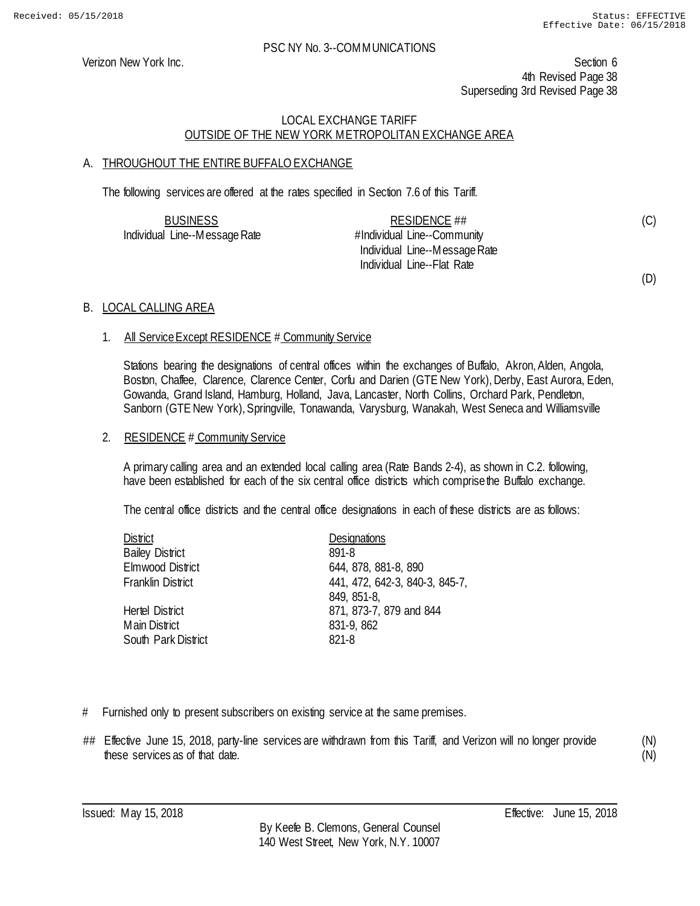(C)

(D)

#### PSC NY No. 3--COMMUNICATIONS

Verizon New York Inc. Section 6 4th Revised Page 38 Superseding 3rd Revised Page 38

# LOCAL EXCHANGE TARIFF OUTSIDE OF THE NEW YORK METROPOLITAN EXCHANGE AREA

# A. THROUGHOUT THE ENTIRE BUFFALO EXCHANGE

The following services are offered at the rates specified in Section 7.6 of this Tariff.

| <b>BUSINESS</b>               | RESIDENCE ##                  |  |
|-------------------------------|-------------------------------|--|
| Individual Line--Message Rate | #Individual Line--Community   |  |
|                               | Individual Line--Message Rate |  |
|                               | Individual Line--Flat Rate    |  |

#### B. LOCAL CALLING AREA

#### 1. All Service Except RESIDENCE # Community Service

Stations bearing the designations of central offices within the exchanges of Buffalo, Akron, Alden, Angola, Boston, Chaffee, Clarence, Clarence Center, Corfu and Darien (GTE New York), Derby, East Aurora, Eden, Gowanda, Grand Island, Hamburg, Holland, Java, Lancaster, North Collins, Orchard Park, Pendleton, Sanborn (GTE New York), Springville, Tonawanda, Varysburg, Wanakah, West Seneca and Williamsville

#### 2. RESIDENCE # Community Service

A primary calling area and an extended local calling area (Rate Bands 2-4), as shown in C.2. following, have been established for each of the six central office districts which comprise the Buffalo exchange.

The central office districts and the central office designations in each of these districts are as follows:

| <b>District</b>         | <b>Designations</b>            |
|-------------------------|--------------------------------|
| <b>Bailey District</b>  | 891-8                          |
| <b>Elmwood District</b> | 644, 878, 881-8, 890           |
| Franklin District       | 441, 472, 642-3, 840-3, 845-7, |
|                         | 849, 851-8,                    |
| Hertel District         | 871, 873-7, 879 and 844        |
| Main District           | 831-9, 862                     |
| South Park District     | 821-8                          |
|                         |                                |

- # Furnished only to present subscribers on existing service at the same premises.
- ## Effective June 15, 2018, party-line services are withdrawn from this Tariff, and Verizon will no longer provide these services as of that date.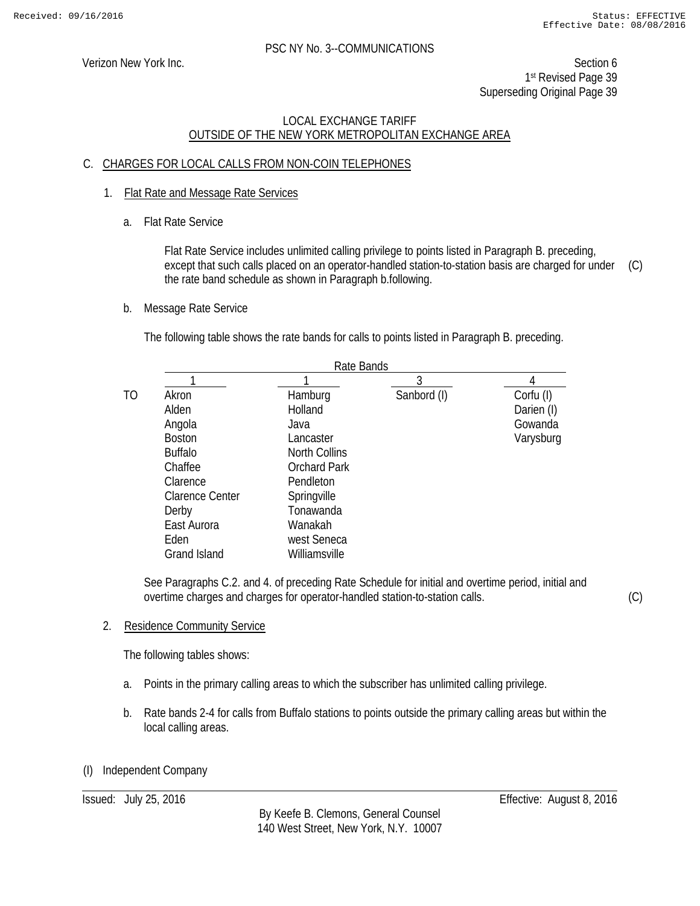Verizon New York Inc. Section 6 1st Revised Page 39 Superseding Original Page 39

# LOCAL EXCHANGE TARIFF OUTSIDE OF THE NEW YORK METROPOLITAN EXCHANGE AREA

# C. CHARGES FOR LOCAL CALLS FROM NON-COIN TELEPHONES

- 1. Flat Rate and Message Rate Services
	- a. Flat Rate Service

Flat Rate Service includes unlimited calling privilege to points listed in Paragraph B. preceding, except that such calls placed on an operator-handled station-to-station basis are charged for under the rate band schedule as shown in Paragraph b.following. (C)

b. Message Rate Service

The following table shows the rate bands for calls to points listed in Paragraph B. preceding.

|                |                        | Rate Bands           |             |            |  |
|----------------|------------------------|----------------------|-------------|------------|--|
|                |                        |                      | 3           |            |  |
| T <sub>O</sub> | Akron                  | Hamburg              | Sanbord (I) | Corfu (I)  |  |
|                | Alden                  | Holland              |             | Darien (I) |  |
|                | Angola                 | Java                 |             | Gowanda    |  |
|                | <b>Boston</b>          | Lancaster            |             | Varysburg  |  |
|                | <b>Buffalo</b>         | <b>North Collins</b> |             |            |  |
|                | Chaffee                | <b>Orchard Park</b>  |             |            |  |
|                | Clarence               | Pendleton            |             |            |  |
|                | <b>Clarence Center</b> | Springville          |             |            |  |
|                | Derby                  | Tonawanda            |             |            |  |
|                | East Aurora            | Wanakah              |             |            |  |
|                | Eden                   | west Seneca          |             |            |  |
|                | Grand Island           | Williamsville        |             |            |  |

See Paragraphs C.2. and 4. of preceding Rate Schedule for initial and overtime period, initial and overtime charges and charges for operator-handled station-to-station calls.

(C)

2. Residence Community Service

The following tables shows:

- a. Points in the primary calling areas to which the subscriber has unlimited calling privilege.
- b. Rate bands 2-4 for calls from Buffalo stations to points outside the primary calling areas but within the local calling areas.

# (I) Independent Company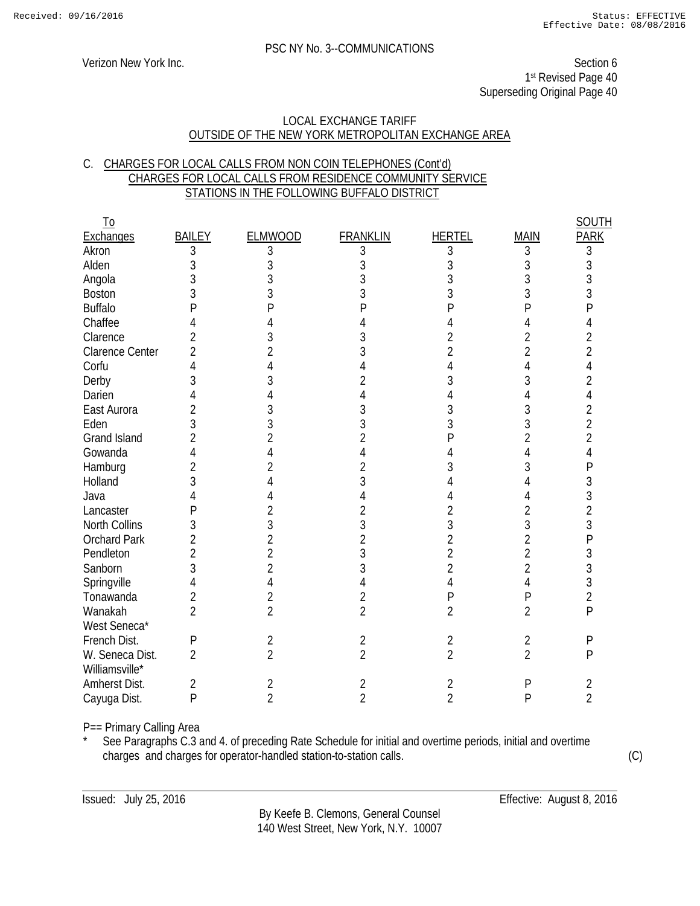Verizon New York Inc. Section 6 1st Revised Page 40 Superseding Original Page 40

#### LOCAL EXCHANGE TARIFF OUTSIDE OF THE NEW YORK METROPOLITAN EXCHANGE AREA

### C. CHARGES FOR LOCAL CALLS FROM NON COIN TELEPHONES (Cont'd) CHARGES FOR LOCAL CALLS FROM RESIDENCE COMMUNITY SERVICE STATIONS IN THE FOLLOWING BUFFALO DISTRICT

| <u>To</u>                         |                |                |                 |                |                | <b>SOUTH</b>   |
|-----------------------------------|----------------|----------------|-----------------|----------------|----------------|----------------|
| <b>Exchanges</b>                  | <b>BAILEY</b>  | <b>ELMWOOD</b> | <b>FRANKLIN</b> | <b>HERTEL</b>  | <b>MAIN</b>    | <b>PARK</b>    |
| Akron                             | 3              | 3              | 3               | 3              | $\sqrt{3}$     | 3              |
| Alden                             | 3              | 3              | 3               | 3              | 3              | 3              |
| Angola                            | 3              | 3              |                 | 3              | 3              | 3              |
| <b>Boston</b>                     | 3              | 3              | 3               | 3              | 3              | 3              |
| <b>Buffalo</b>                    | Ρ              | Ρ              |                 | P              | P              | P              |
| Chaffee                           | 4              |                |                 | 4              | 4              | 4              |
| Clarence                          | $\overline{2}$ | 3              | 3               | $\overline{2}$ | 2              | $\overline{2}$ |
| <b>Clarence Center</b>            | $\overline{2}$ | $\overline{2}$ |                 | $\overline{2}$ | 2              | $\overline{2}$ |
| Corfu                             | 4              |                |                 |                | 4              | 4              |
| Derby                             | 3              | 3              |                 | 3              | 3              | $\overline{2}$ |
| Darien                            | 4              |                |                 |                | 4              | 4              |
| East Aurora                       | $\overline{2}$ | 3              | 3               | 3              | 3              | 2              |
| Eden                              | 3              | 3              | 3               | 3              | 3              | $\overline{2}$ |
| <b>Grand Island</b>               | $\overline{2}$ | 2              | 2               | P              | 2              | $\overline{2}$ |
| Gowanda                           | 4              | 4              | 4               |                | 4              | 4              |
| Hamburg                           | $\overline{2}$ | 2              | 2               | 3              | 3              | P              |
| Holland                           | 3              |                | 3               |                | 4              | 3              |
| Java                              |                |                |                 |                |                | 3              |
| Lancaster                         | Ρ              | 2              | 2               | 2              | 2              | $\overline{2}$ |
| North Collins                     | 3              | 3              | 3               | 3              | 3              | 3              |
| <b>Orchard Park</b>               | $\overline{2}$ | $\overline{2}$ | $\overline{2}$  | $\overline{2}$ | $\overline{2}$ | P              |
| Pendleton                         | $\overline{2}$ | $\overline{2}$ | 3               | $\overline{2}$ | $\overline{2}$ | 3              |
| Sanborn                           | 3              | $\overline{2}$ | 3               | 2              | $\overline{2}$ | 3              |
| Springville                       | 4              | 4              | 4               | 4              | 4              | 3              |
| Tonawanda                         | $\overline{2}$ | 2              | 2               | $\mathsf{P}$   | P              | $\overline{2}$ |
| Wanakah                           | $\overline{2}$ | $\overline{2}$ | $\overline{2}$  | $\overline{2}$ | $\overline{2}$ | $\mathsf{P}$   |
| West Seneca*                      |                |                |                 |                |                |                |
| French Dist.                      | $\mathsf{P}$   | $\sqrt{2}$     | $\overline{2}$  | $\overline{2}$ | $\overline{2}$ | P              |
| W. Seneca Dist.<br>Williamsville* | $\overline{2}$ | $\overline{2}$ | $\overline{2}$  | $\overline{2}$ | $\overline{2}$ | P              |
| Amherst Dist.                     | 2              | 2              | 2               | 2              | Ρ              | 2              |
| Cayuga Dist.                      | $\mathsf{P}$   | $\overline{2}$ | $\overline{2}$  | $\overline{2}$ | P              | $\overline{2}$ |
|                                   |                |                |                 |                |                |                |

P== Primary Calling Area

See Paragraphs C.3 and 4. of preceding Rate Schedule for initial and overtime periods, initial and overtime charges and charges for operator-handled station-to-station calls. (C)

By Keefe B. Clemons, General Counsel 140 West Street, New York, N.Y. 10007

Issued: July 25, 2016 Effective: August 8, 2016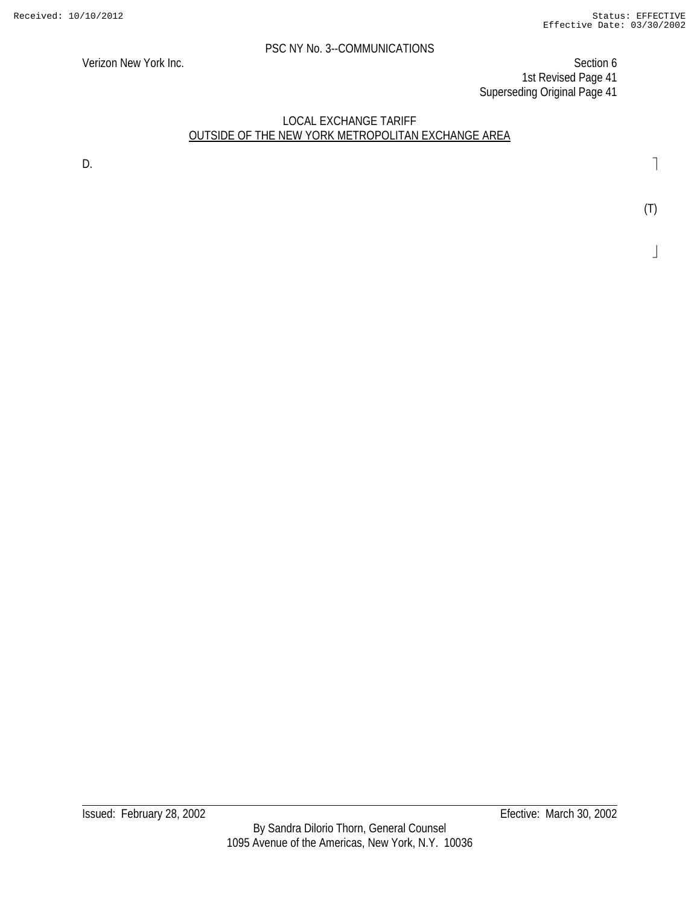Verizon New York Inc. Section 6 1st Revised Page 41 Superseding Original Page 41

# LOCAL EXCHANGE TARIFF OUTSIDE OF THE NEW YORK METROPOLITAN EXCHANGE AREA

D. **D. Example 1 D. Contract 2 D. Contract 2 D. Contract 2 D. Contract 2 D. Contract 2 D. Contract 2 Contract 2 Contract 2 Contract 2 Contract 2 Contract 2 Contract 2 Contract 2 Co**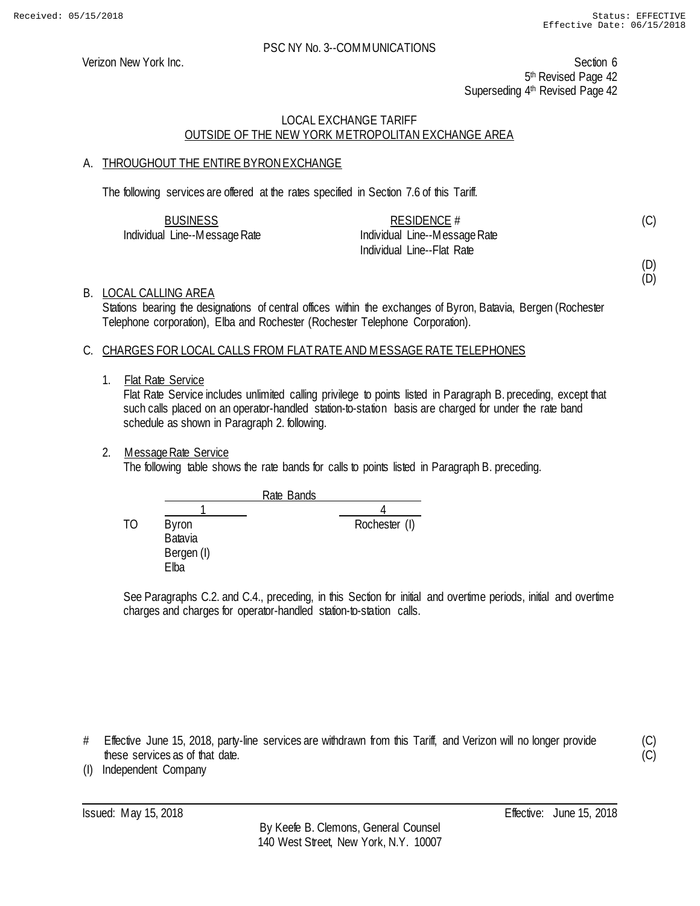Verizon New York Inc. Section 6 5<sup>th</sup> Revised Page 42 Superseding 4<sup>th</sup> Revised Page 42

# LOCAL EXCHANGE TARIFF OUTSIDE OF THE NEW YORK METROPOLITAN EXCHANGE AREA

# A. THROUGHOUT THE ENTIRE BYRON EXCHANGE

The following services are offered at the rates specified in Section 7.6 of this Tariff.

| <b>BUSINESS</b>               | RESIDENCE #                   |  |
|-------------------------------|-------------------------------|--|
| Individual Line--Message Rate | Individual Line--Message Rate |  |
|                               | Individual Line--Flat Rate    |  |

(C)

(D) (D)

(C)  $(C)$ 

### B. LOCAL CALLING AREA

Stations bearing the designations of central offices within the exchanges of Byron, Batavia, Bergen (Rochester Telephone corporation), Elba and Rochester (Rochester Telephone Corporation).

### C. CHARGES FOR LOCAL CALLS FROM FLAT RATE AND MESSAGE RATE TELEPHONES

#### 1. Flat Rate Service

Flat Rate Service includes unlimited calling privilege to points listed in Paragraph B. preceding, except that such calls placed on an operator-handled station-to-station basis are charged for under the rate band schedule as shown in Paragraph 2. following.

### 2. Message Rate Service

The following table shows the rate bands for calls to points listed in Paragraph B. preceding.

Rate Bands 1 4 TO Byron Rochester (I) Batavia Bergen (I) Elba

See Paragraphs C.2. and C.4., preceding, in this Section for initial and overtime periods, initial and overtime charges and charges for operator-handled station-to-station calls.

# Effective June 15, 2018, party-line services are withdrawn from this Tariff, and Verizon will no longer provide these services as of that date.

(I) Independent Company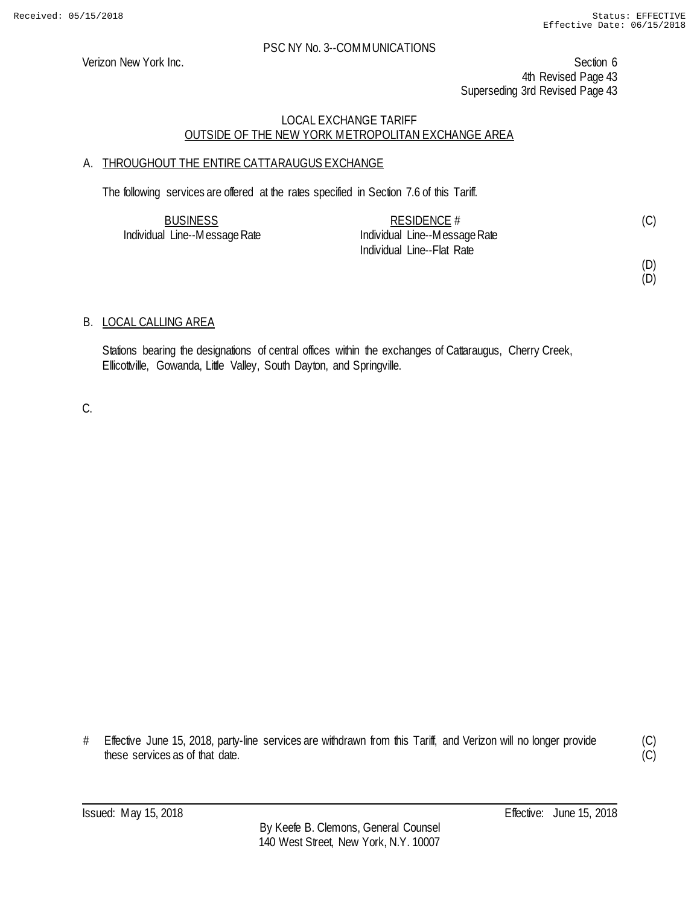Verizon New York Inc. Section 6 4th Revised Page 43 Superseding 3rd Revised Page 43

# LOCAL EXCHANGE TARIFF OUTSIDE OF THE NEW YORK METROPOLITAN EXCHANGE AREA

# A. THROUGHOUT THE ENTIRE CATTARAUGUS EXCHANGE

The following services are offered at the rates specified in Section 7.6 of this Tariff.

| <b>BUSINESS</b>               | RESIDENCE $#$                 | (C) |
|-------------------------------|-------------------------------|-----|
| Individual Line--Message Rate | Individual Line--Message Rate |     |
|                               | Individual Line--Flat Rate    |     |

(D) (D)

# B. LOCAL CALLING AREA

Stations bearing the designations of central offices within the exchanges of Cattaraugus, Cherry Creek, Ellicottville, Gowanda, Little Valley, South Dayton, and Springville.

C.

# Effective June 15, 2018, party-line services are withdrawn from this Tariff, and Verizon will no longer provide these services as of that date.

(C)  $(C)$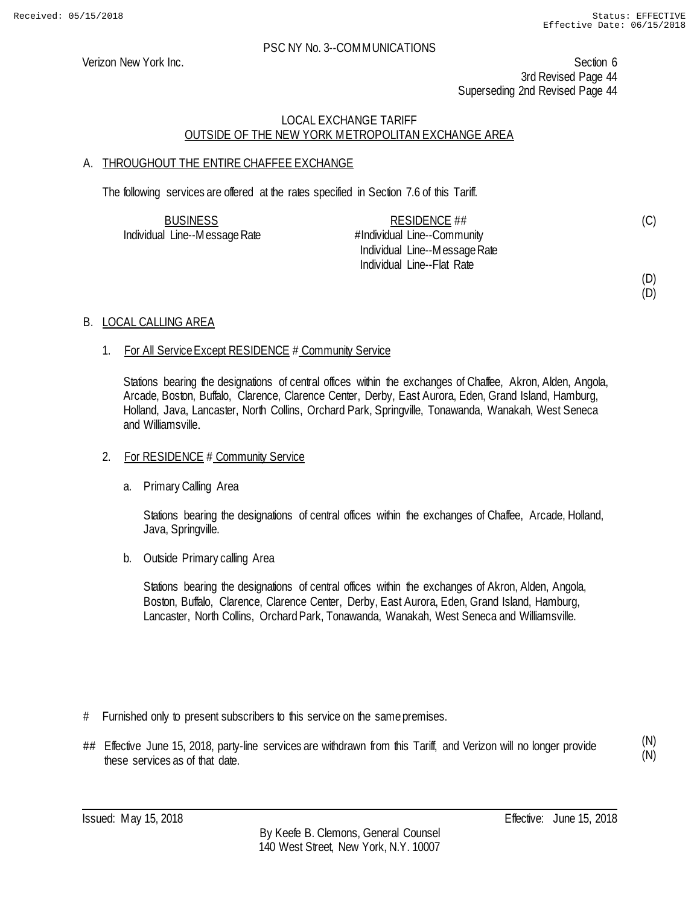(D)

### PSC NY No. 3--COMMUNICATIONS

Verizon New York Inc. Section 6 3rd Revised Page 44 Superseding 2nd Revised Page 44

# LOCAL EXCHANGE TARIFF OUTSIDE OF THE NEW YORK METROPOLITAN EXCHANGE AREA

# A. THROUGHOUT THE ENTIRE CHAFFEE EXCHANGE

The following services are offered at the rates specified in Section 7.6 of this Tariff.

| <b>BUSINESS</b>               | RESIDENCE ##                  | (C) |
|-------------------------------|-------------------------------|-----|
| Individual Line--Message Rate | #Individual Line--Community   |     |
|                               | Individual Line--Message Rate |     |
|                               | Individual Line--Flat Rate    |     |
|                               |                               | (D) |

### B. LOCAL CALLING AREA

### 1. For All Service Except RESIDENCE # Community Service

Stations bearing the designations of central offices within the exchanges of Chaffee, Akron, Alden, Angola, Arcade, Boston, Buffalo, Clarence, Clarence Center, Derby, East Aurora, Eden, Grand Island, Hamburg, Holland, Java, Lancaster, North Collins, Orchard Park, Springville, Tonawanda, Wanakah, West Seneca and Williamsville.

#### 2. For RESIDENCE # Community Service

a. Primary Calling Area

Stations bearing the designations of central offices within the exchanges of Chaffee, Arcade, Holland, Java, Springville.

b. Outside Primary calling Area

Stations bearing the designations of central offices within the exchanges of Akron, Alden, Angola, Boston, Buffalo, Clarence, Clarence Center, Derby, East Aurora, Eden, Grand Island, Hamburg, Lancaster, North Collins, Orchard Park, Tonawanda, Wanakah, West Seneca and Williamsville.

- # Furnished only to present subscribers to this service on the same premises.
- ## Effective June 15, 2018, party-line services are withdrawn from this Tariff, and Verizon will no longer provide these services as of that date.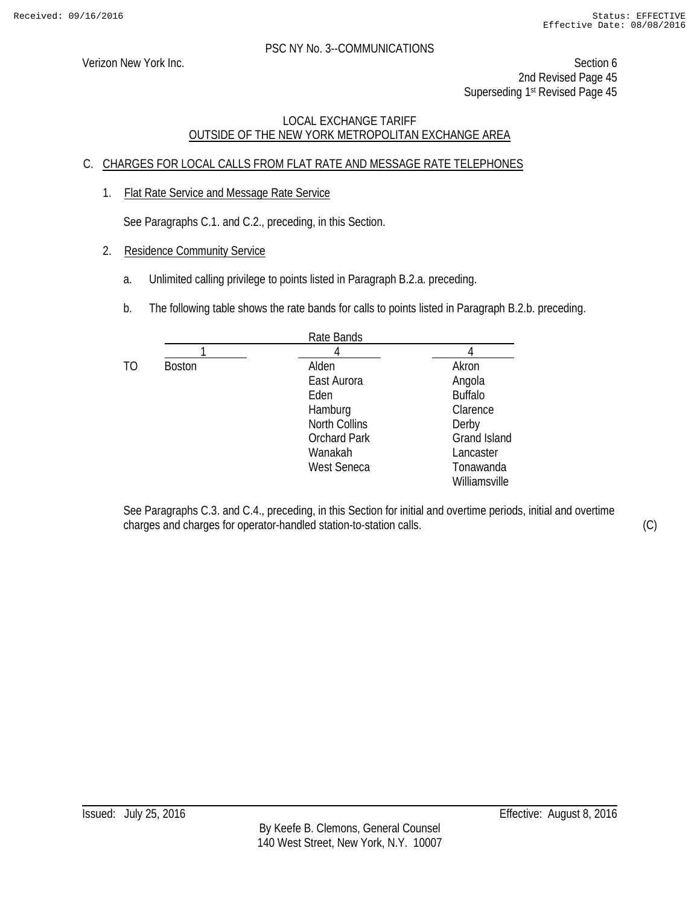Verizon New York Inc. Section 6 2nd Revised Page 45 Superseding 1<sup>st</sup> Revised Page 45

# LOCAL EXCHANGE TARIFF OUTSIDE OF THE NEW YORK METROPOLITAN EXCHANGE AREA

# C. CHARGES FOR LOCAL CALLS FROM FLAT RATE AND MESSAGE RATE TELEPHONES

1. Flat Rate Service and Message Rate Service

See Paragraphs C.1. and C.2., preceding, in this Section.

- 2. Residence Community Service
	- a. Unlimited calling privilege to points listed in Paragraph B.2.a. preceding.
	- b. The following table shows the rate bands for calls to points listed in Paragraph B.2.b. preceding.

|     |               | Rate Bands           |                     |
|-----|---------------|----------------------|---------------------|
|     |               |                      |                     |
| TO. | <b>Boston</b> | Alden                | Akron               |
|     |               | East Aurora          | Angola              |
|     |               | Eden                 | <b>Buffalo</b>      |
|     |               | Hamburg              | Clarence            |
|     |               | <b>North Collins</b> | Derby               |
|     |               | <b>Orchard Park</b>  | <b>Grand Island</b> |
|     |               | Wanakah              | Lancaster           |
|     |               | West Seneca          | Tonawanda           |
|     |               |                      | Williamsville       |

See Paragraphs C.3. and C.4., preceding, in this Section for initial and overtime periods, initial and overtime charges and charges for operator-handled station-to-station calls. (C)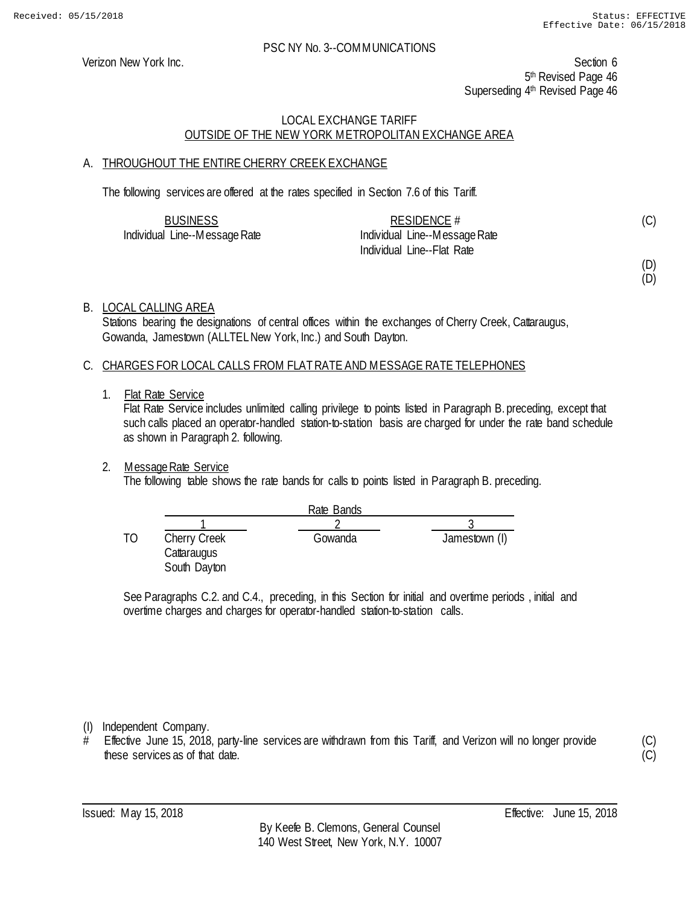Verizon New York Inc. Section 6 5<sup>th</sup> Revised Page 46 Superseding 4<sup>th</sup> Revised Page 46

# LOCAL EXCHANGE TARIFF OUTSIDE OF THE NEW YORK METROPOLITAN EXCHANGE AREA

# A. THROUGHOUT THE ENTIRE CHERRY CREEK EXCHANGE

The following services are offered at the rates specified in Section 7.6 of this Tariff.

| <b>BUSINESS</b>               | RESIDENCE #                   |  |
|-------------------------------|-------------------------------|--|
| Individual Line--Message Rate | Individual Line--Message Rate |  |
|                               | Individual Line--Flat Rate    |  |

(D) (D)

(C)

# B. LOCAL CALLING AREA

Stations bearing the designations of central offices within the exchanges of Cherry Creek, Cattaraugus, Gowanda, Jamestown (ALLTEL New York, Inc.) and South Dayton.

### C. CHARGES FOR LOCAL CALLS FROM FLAT RATE AND MESSAGE RATE TELEPHONES

1. Flat Rate Service

Flat Rate Service includes unlimited calling privilege to points listed in Paragraph B. preceding, except that such calls placed an operator-handled station-to-station basis are charged for under the rate band schedule as shown in Paragraph 2. following.

# 2. Message Rate Service

The following table shows the rate bands for calls to points listed in Paragraph B. preceding.

|    |                                                    | Rate Bands |               |
|----|----------------------------------------------------|------------|---------------|
|    |                                                    |            |               |
| TO | <b>Cherry Creek</b><br>Cattaraugus<br>South Dayton | Gowanda    | Jamestown (I) |

See Paragraphs C.2. and C.4., preceding, in this Section for initial and overtime periods , initial and overtime charges and charges for operator-handled station-to-station calls.

(I) Independent Company.

Effective June 15, 2018, party-line services are withdrawn from this Tariff, and Verizon will no longer provide these services as of that date.

(C)  $(C)$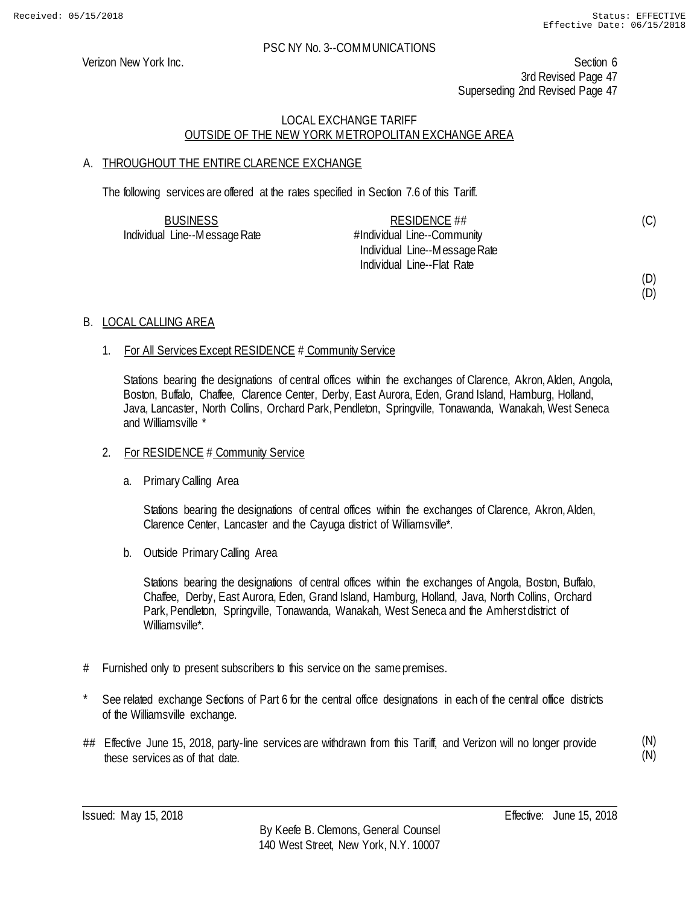(C)

(D) (D)

#### PSC NY No. 3--COMMUNICATIONS

Verizon New York Inc. Section 6 3rd Revised Page 47 Superseding 2nd Revised Page 47

# LOCAL EXCHANGE TARIFF OUTSIDE OF THE NEW YORK METROPOLITAN EXCHANGE AREA

# A. THROUGHOUT THE ENTIRE CLARENCE EXCHANGE

The following services are offered at the rates specified in Section 7.6 of this Tariff.

| <b>BUSINESS</b>               | RESIDENCE $\#$                |  |
|-------------------------------|-------------------------------|--|
| Individual Line--Message Rate | #Individual Line--Community   |  |
|                               | Individual Line--Message Rate |  |
|                               | Individual Line--Flat Rate    |  |

### B. LOCAL CALLING AREA

### 1. For All Services Except RESIDENCE # Community Service

Stations bearing the designations of central offices within the exchanges of Clarence, Akron, Alden, Angola, Boston, Buffalo, Chaffee, Clarence Center, Derby, East Aurora, Eden, Grand Island, Hamburg, Holland, Java, Lancaster, North Collins, Orchard Park, Pendleton, Springville, Tonawanda, Wanakah, West Seneca and Williamsville \*

#### 2. For RESIDENCE # Community Service

a. Primary Calling Area

Stations bearing the designations of central offices within the exchanges of Clarence, Akron, Alden, Clarence Center, Lancaster and the Cayuga district of Williamsville\*.

b. Outside Primary Calling Area

Stations bearing the designations of central offices within the exchanges of Angola, Boston, Buffalo, Chaffee, Derby, East Aurora, Eden, Grand Island, Hamburg, Holland, Java, North Collins, Orchard Park, Pendleton, Springville, Tonawanda, Wanakah, West Seneca and the Amherst district of Williamsville\*.

- # Furnished only to present subscribers to this service on the same premises.
- See related exchange Sections of Part 6 for the central office designations in each of the central office districts of the Williamsville exchange.
- ## Effective June 15, 2018, party-line services are withdrawn from this Tariff, and Verizon will no longer provide these services as of that date.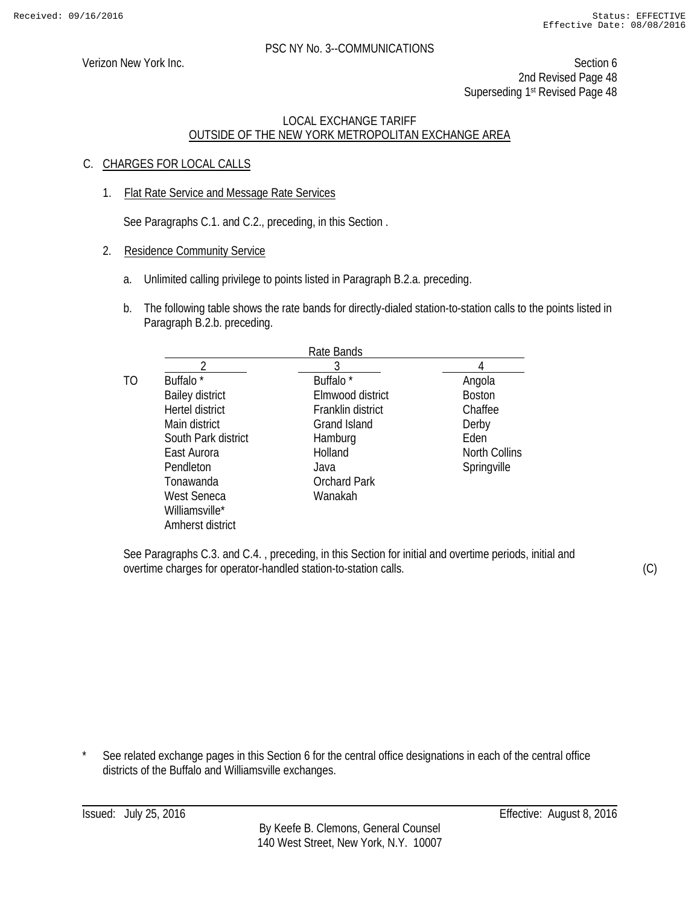Verizon New York Inc. Section 6 2nd Revised Page 48 Superseding 1st Revised Page 48

### LOCAL EXCHANGE TARIFF OUTSIDE OF THE NEW YORK METROPOLITAN EXCHANGE AREA

# C. CHARGES FOR LOCAL CALLS

1. Flat Rate Service and Message Rate Services

See Paragraphs C.1. and C.2., preceding, in this Section .

- 2. Residence Community Service
	- a. Unlimited calling privilege to points listed in Paragraph B.2.a. preceding.
	- b. The following table shows the rate bands for directly-dialed station-to-station calls to the points listed in Paragraph B.2.b. preceding.

|    | Rate Bands             |                      |                      |  |
|----|------------------------|----------------------|----------------------|--|
|    |                        |                      |                      |  |
| TO | Buffalo <sup>*</sup>   | Buffalo <sup>*</sup> | Angola               |  |
|    | <b>Bailey district</b> | Elmwood district     | <b>Boston</b>        |  |
|    | Hertel district        | Franklin district    | Chaffee              |  |
|    | Main district          | Grand Island         | Derby                |  |
|    | South Park district    | Hamburg              | Eden                 |  |
|    | East Aurora            | Holland              | <b>North Collins</b> |  |
|    | Pendleton              | Java                 | Springville          |  |
|    | Tonawanda              | <b>Orchard Park</b>  |                      |  |
|    | West Seneca            | Wanakah              |                      |  |
|    | Williamsville*         |                      |                      |  |
|    | Amherst district       |                      |                      |  |

See Paragraphs C.3. and C.4. , preceding, in this Section for initial and overtime periods, initial and overtime charges for operator-handled station-to-station calls.

(C)

See related exchange pages in this Section 6 for the central office designations in each of the central office districts of the Buffalo and Williamsville exchanges.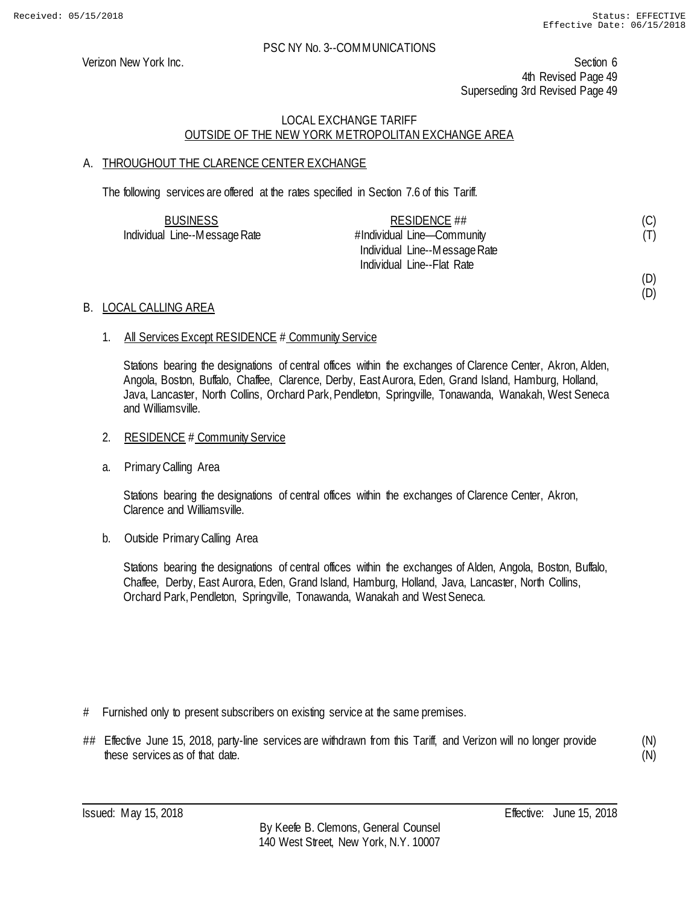(D)

### PSC NY No. 3--COMMUNICATIONS

Verizon New York Inc. Section 6 4th Revised Page 49 Superseding 3rd Revised Page 49

# LOCAL EXCHANGE TARIFF OUTSIDE OF THE NEW YORK METROPOLITAN EXCHANGE AREA

# A. THROUGHOUT THE CLARENCE CENTER EXCHANGE

The following services are offered at the rates specified in Section 7.6 of this Tariff.

| <b>BUSINESS</b>               | RESIDENCE ##                  | (C) |
|-------------------------------|-------------------------------|-----|
| Individual Line--Message Rate | #Individual Line-Community    | (T) |
|                               | Individual Line--Message Rate |     |
|                               | Individual Line--Flat Rate    |     |
|                               |                               | (D) |

### B. LOCAL CALLING AREA

### 1. All Services Except RESIDENCE # Community Service

Stations bearing the designations of central offices within the exchanges of Clarence Center, Akron, Alden, Angola, Boston, Buffalo, Chaffee, Clarence, Derby, East Aurora, Eden, Grand Island, Hamburg, Holland, Java, Lancaster, North Collins, Orchard Park, Pendleton, Springville, Tonawanda, Wanakah, West Seneca and Williamsville.

### 2. RESIDENCE # Community Service

a. Primary Calling Area

Stations bearing the designations of central offices within the exchanges of Clarence Center, Akron, Clarence and Williamsville.

b. Outside Primary Calling Area

Stations bearing the designations of central offices within the exchanges of Alden, Angola, Boston, Buffalo, Chaffee, Derby, East Aurora, Eden, Grand Island, Hamburg, Holland, Java, Lancaster, North Collins, Orchard Park, Pendleton, Springville, Tonawanda, Wanakah and West Seneca.

- # Furnished only to present subscribers on existing service at the same premises.
- ## Effective June 15, 2018, party-line services are withdrawn from this Tariff, and Verizon will no longer provide these services as of that date.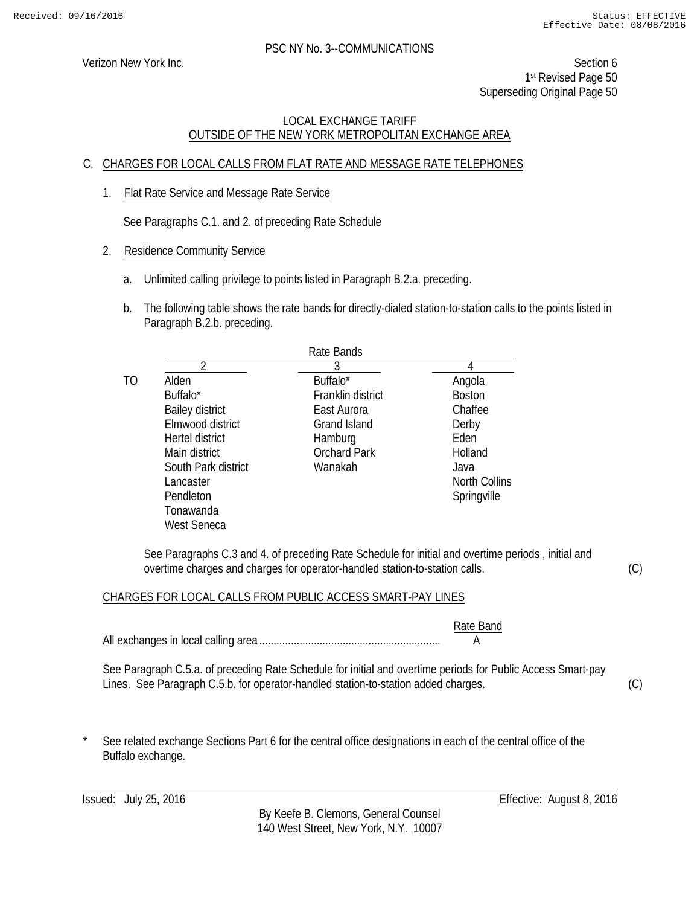Verizon New York Inc. Section 6 1st Revised Page 50 Superseding Original Page 50

# LOCAL EXCHANGE TARIFF OUTSIDE OF THE NEW YORK METROPOLITAN EXCHANGE AREA

# C. CHARGES FOR LOCAL CALLS FROM FLAT RATE AND MESSAGE RATE TELEPHONES

1. Flat Rate Service and Message Rate Service

See Paragraphs C.1. and 2. of preceding Rate Schedule

- 2. Residence Community Service
	- a. Unlimited calling privilege to points listed in Paragraph B.2.a. preceding.
	- b. The following table shows the rate bands for directly-dialed station-to-station calls to the points listed in Paragraph B.2.b. preceding.

|    | Rate Bands             |                     |               |  |
|----|------------------------|---------------------|---------------|--|
|    |                        |                     |               |  |
| TO | Alden                  | Buffalo*            | Angola        |  |
|    | Buffalo <sup>*</sup>   | Franklin district   | <b>Boston</b> |  |
|    | <b>Bailey district</b> | East Aurora         | Chaffee       |  |
|    | Elmwood district       | Grand Island        | Derby         |  |
|    | Hertel district        | Hamburg             | Fden          |  |
|    | Main district          | <b>Orchard Park</b> | Holland       |  |
|    | South Park district    | Wanakah             | Java          |  |
|    | Lancaster              |                     | North Collins |  |
|    | Pendleton              |                     | Springville   |  |
|    | Tonawanda              |                     |               |  |
|    | West Seneca            |                     |               |  |

See Paragraphs C.3 and 4. of preceding Rate Schedule for initial and overtime periods , initial and overtime charges and charges for operator-handled station-to-station calls.

CHARGES FOR LOCAL CALLS FROM PUBLIC ACCESS SMART-PAY LINES

|                                                                                                                                                                                                    | Rate Band |     |
|----------------------------------------------------------------------------------------------------------------------------------------------------------------------------------------------------|-----------|-----|
| See Paragraph C.5.a. of preceding Rate Schedule for initial and overtime periods for Public Access Smart-pay<br>Lines. See Paragraph C.5.b. for operator-handled station-to-station added charges. |           | (C) |
|                                                                                                                                                                                                    |           |     |

See related exchange Sections Part 6 for the central office designations in each of the central office of the Buffalo exchange.

By Keefe B. Clemons, General Counsel 140 West Street, New York, N.Y. 10007

Issued: July 25, 2016 Effective: August 8, 2016

(C)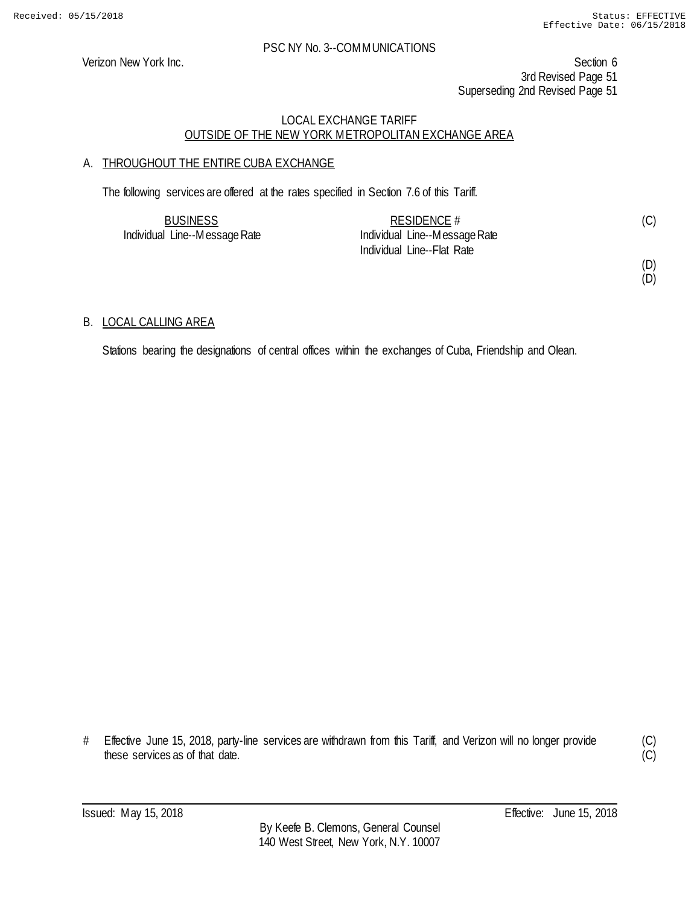Verizon New York Inc. Section 6 3rd Revised Page 51 Superseding 2nd Revised Page 51

### LOCAL EXCHANGE TARIFF OUTSIDE OF THE NEW YORK METROPOLITAN EXCHANGE AREA

# A. THROUGHOUT THE ENTIRE CUBA EXCHANGE

The following services are offered at the rates specified in Section 7.6 of this Tariff.

| <b>BUSINESS</b>               | RESIDENCE $#$                 | (C) |
|-------------------------------|-------------------------------|-----|
| Individual Line--Message Rate | Individual Line--Message Rate |     |
|                               | Individual Line--Flat Rate    |     |

(D) (D)

### B. LOCAL CALLING AREA

Stations bearing the designations of central offices within the exchanges of Cuba, Friendship and Olean.

# Effective June 15, 2018, party-line services are withdrawn from this Tariff, and Verizon will no longer provide these services as of that date.

(C)  $\overline{C}$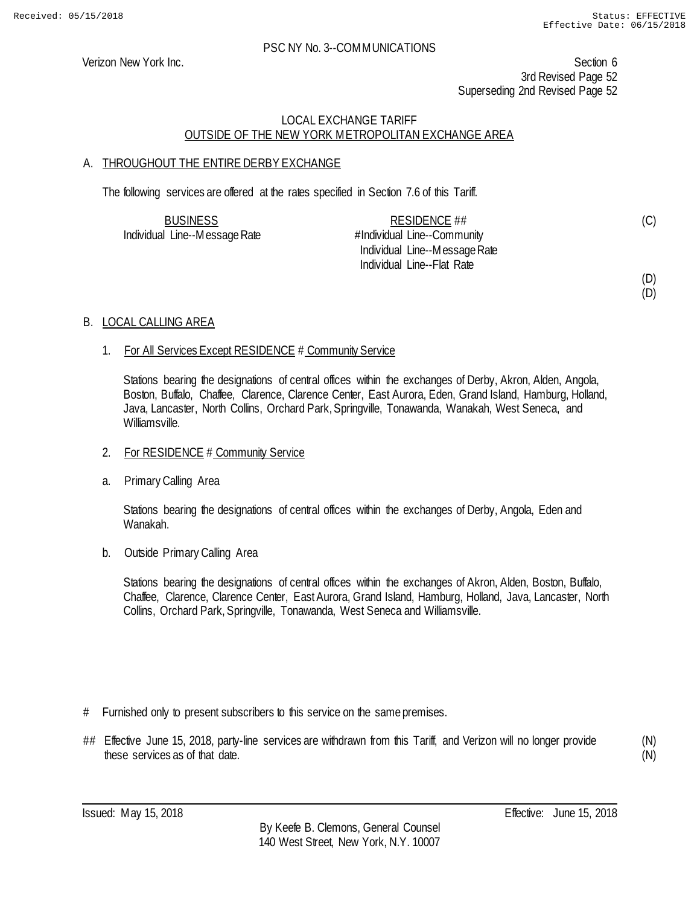(D)

#### PSC NY No. 3--COMMUNICATIONS

Verizon New York Inc. Section 6 3rd Revised Page 52 Superseding 2nd Revised Page 52

# LOCAL EXCHANGE TARIFF OUTSIDE OF THE NEW YORK METROPOLITAN EXCHANGE AREA

# A. THROUGHOUT THE ENTIRE DERBY EXCHANGE

The following services are offered at the rates specified in Section 7.6 of this Tariff.

| <b>BUSINESS</b>               | RESIDENCE ##                  | (C) |
|-------------------------------|-------------------------------|-----|
| Individual Line--Message Rate | #Individual Line--Community   |     |
|                               | Individual Line--Message Rate |     |
|                               | Individual Line--Flat Rate    |     |
|                               |                               | (D) |

### B. LOCAL CALLING AREA

### 1. For All Services Except RESIDENCE # Community Service

Stations bearing the designations of central offices within the exchanges of Derby, Akron, Alden, Angola, Boston, Buffalo, Chaffee, Clarence, Clarence Center, East Aurora, Eden, Grand Island, Hamburg, Holland, Java, Lancaster, North Collins, Orchard Park, Springville, Tonawanda, Wanakah, West Seneca, and Williamsville.

### 2. For RESIDENCE # Community Service

a. Primary Calling Area

Stations bearing the designations of central offices within the exchanges of Derby, Angola, Eden and Wanakah.

b. Outside Primary Calling Area

Stations bearing the designations of central offices within the exchanges of Akron, Alden, Boston, Buffalo, Chaffee, Clarence, Clarence Center, East Aurora, Grand Island, Hamburg, Holland, Java, Lancaster, North Collins, Orchard Park, Springville, Tonawanda, West Seneca and Williamsville.

- # Furnished only to present subscribers to this service on the same premises.
- ## Effective June 15, 2018, party-line services are withdrawn from this Tariff, and Verizon will no longer provide these services as of that date.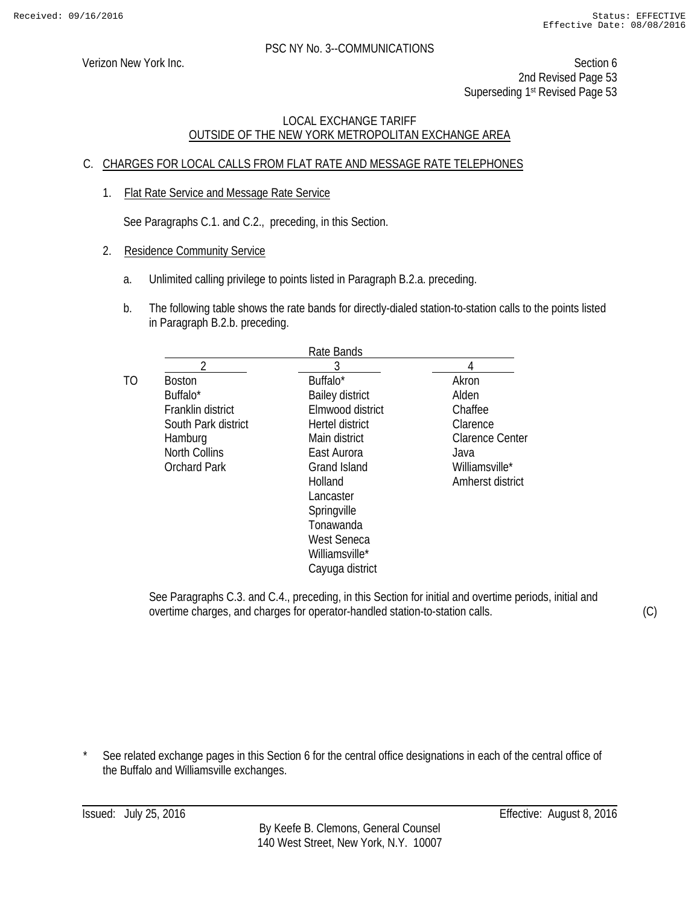Verizon New York Inc. Section 6 2nd Revised Page 53 Superseding 1<sup>st</sup> Revised Page 53

# LOCAL EXCHANGE TARIFF OUTSIDE OF THE NEW YORK METROPOLITAN EXCHANGE AREA

# C. CHARGES FOR LOCAL CALLS FROM FLAT RATE AND MESSAGE RATE TELEPHONES

1. Flat Rate Service and Message Rate Service

See Paragraphs C.1. and C.2., preceding, in this Section.

- 2. Residence Community Service
	- a. Unlimited calling privilege to points listed in Paragraph B.2.a. preceding.
	- b. The following table shows the rate bands for directly-dialed station-to-station calls to the points listed in Paragraph B.2.b. preceding.

|                      | Rate Bands             |                  |
|----------------------|------------------------|------------------|
| າ                    | 3                      |                  |
| <b>Boston</b>        | Buffalo*               | Akron            |
| Buffalo <sup>*</sup> | <b>Bailey district</b> | Alden            |
| Franklin district    | Elmwood district       | Chaffee          |
| South Park district  | Hertel district        | Clarence         |
| Hamburg              | Main district          | Clarence Center  |
| <b>North Collins</b> | East Aurora            | Java             |
| <b>Orchard Park</b>  | <b>Grand Island</b>    | Williamsville*   |
|                      | Holland                | Amherst district |
|                      | Lancaster              |                  |
|                      | Springville            |                  |
|                      | Tonawanda              |                  |
|                      | <b>West Seneca</b>     |                  |
|                      | Williamsville*         |                  |
|                      | Cayuga district        |                  |
|                      |                        |                  |

See Paragraphs C.3. and C.4., preceding, in this Section for initial and overtime periods, initial and overtime charges, and charges for operator-handled station-to-station calls.

(C)

See related exchange pages in this Section 6 for the central office designations in each of the central office of the Buffalo and Williamsville exchanges.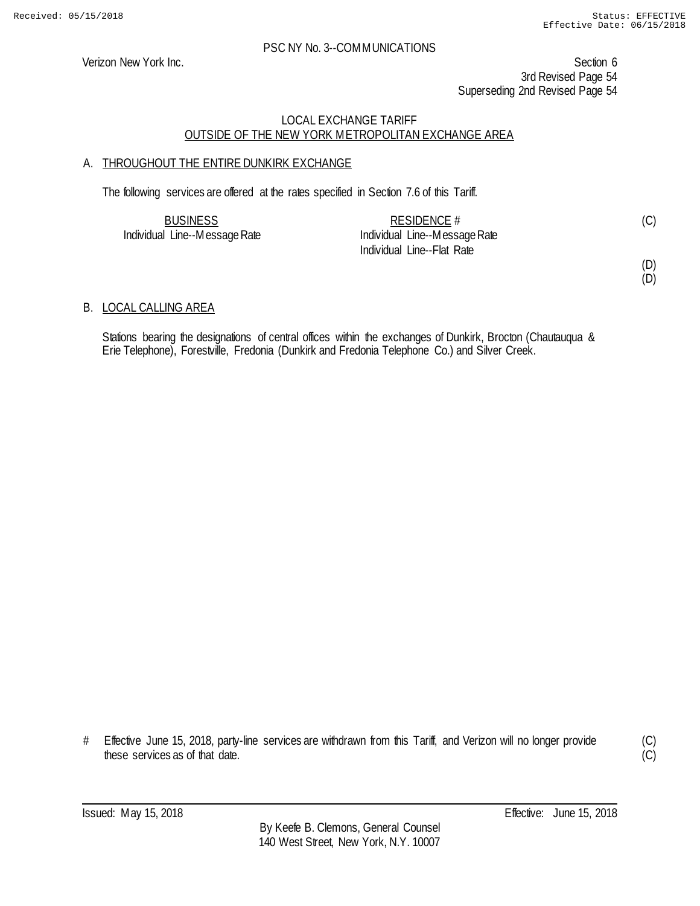Verizon New York Inc. Section 6 3rd Revised Page 54 Superseding 2nd Revised Page 54

# LOCAL EXCHANGE TARIFF OUTSIDE OF THE NEW YORK METROPOLITAN EXCHANGE AREA

# A. THROUGHOUT THE ENTIRE DUNKIRK EXCHANGE

The following services are offered at the rates specified in Section 7.6 of this Tariff.

| <b>BUSINESS</b>               | RESIDENCE $#$                 |  |
|-------------------------------|-------------------------------|--|
| Individual Line--Message Rate | Individual Line--Message Rate |  |
|                               | Individual Line--Flat Rate    |  |

# (D)

(D)

# B. LOCAL CALLING AREA

Stations bearing the designations of central offices within the exchanges of Dunkirk, Brocton (Chautauqua & Erie Telephone), Forestville, Fredonia (Dunkirk and Fredonia Telephone Co.) and Silver Creek.

# Effective June 15, 2018, party-line services are withdrawn from this Tariff, and Verizon will no longer provide these services as of that date.

(C)  $(C)$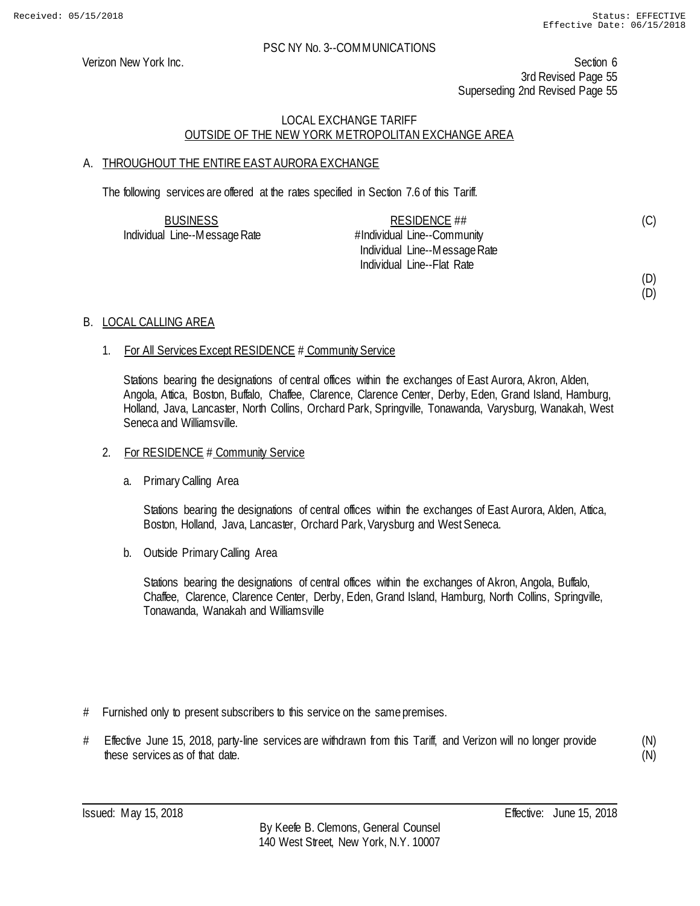(D)

#### PSC NY No. 3--COMMUNICATIONS

Verizon New York Inc. Section 6 3rd Revised Page 55 Superseding 2nd Revised Page 55

# LOCAL EXCHANGE TARIFF OUTSIDE OF THE NEW YORK METROPOLITAN EXCHANGE AREA

# A. THROUGHOUT THE ENTIRE EAST AURORA EXCHANGE

The following services are offered at the rates specified in Section 7.6 of this Tariff.

| <b>BUSINESS</b>               | RESIDENCE ##                  | (C) |
|-------------------------------|-------------------------------|-----|
| Individual Line--Message Rate | #Individual Line--Community   |     |
|                               | Individual Line--Message Rate |     |
|                               | Individual Line--Flat Rate    |     |
|                               |                               | (D) |

### B. LOCAL CALLING AREA

### 1. For All Services Except RESIDENCE # Community Service

Stations bearing the designations of central offices within the exchanges of East Aurora, Akron, Alden, Angola, Attica, Boston, Buffalo, Chaffee, Clarence, Clarence Center, Derby, Eden, Grand Island, Hamburg, Holland, Java, Lancaster, North Collins, Orchard Park, Springville, Tonawanda, Varysburg, Wanakah, West Seneca and Williamsville.

#### 2. For RESIDENCE # Community Service

a. Primary Calling Area

Stations bearing the designations of central offices within the exchanges of East Aurora, Alden, Attica, Boston, Holland, Java, Lancaster, Orchard Park, Varysburg and West Seneca.

b. Outside Primary Calling Area

Stations bearing the designations of central offices within the exchanges of Akron, Angola, Buffalo, Chaffee, Clarence, Clarence Center, Derby, Eden, Grand Island, Hamburg, North Collins, Springville, Tonawanda, Wanakah and Williamsville

- # Furnished only to present subscribers to this service on the same premises.
- # Effective June 15, 2018, party-line services are withdrawn from this Tariff, and Verizon will no longer provide these services as of that date.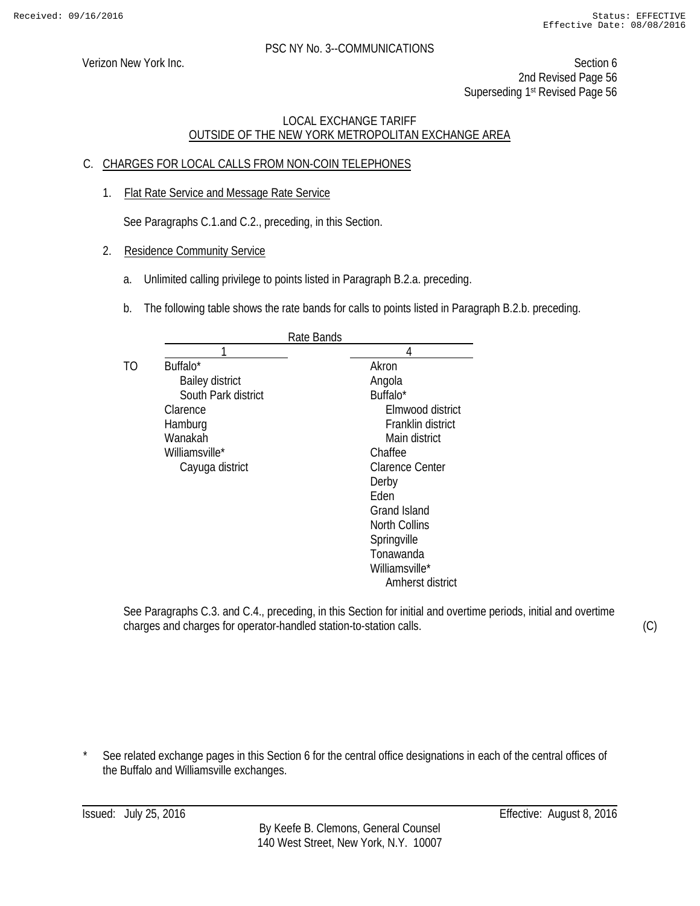Verizon New York Inc. Section 6 2nd Revised Page 56 Superseding 1st Revised Page 56

# LOCAL EXCHANGE TARIFF OUTSIDE OF THE NEW YORK METROPOLITAN EXCHANGE AREA

# C. CHARGES FOR LOCAL CALLS FROM NON-COIN TELEPHONES

1. Flat Rate Service and Message Rate Service

See Paragraphs C.1.and C.2., preceding, in this Section.

- 2. Residence Community Service
	- a. Unlimited calling privilege to points listed in Paragraph B.2.a. preceding.
	- b. The following table shows the rate bands for calls to points listed in Paragraph B.2.b. preceding.

|    |                        | Rate Bands          |
|----|------------------------|---------------------|
|    |                        | 4                   |
| TΟ | Buffalo*               | Akron               |
|    | <b>Bailey district</b> | Angola              |
|    | South Park district    | Buffalo*            |
|    | Clarence               | Elmwood district    |
|    | Hamburg                | Franklin district   |
|    | Wanakah                | Main district       |
|    | Williamsville*         | Chaffee             |
|    | Cayuga district        | Clarence Center     |
|    |                        | Derby               |
|    |                        | Fden                |
|    |                        | <b>Grand Island</b> |
|    |                        | North Collins       |
|    |                        | Springville         |
|    |                        | Tonawanda           |
|    |                        | Williamsville*      |
|    |                        | Amherst district    |

See Paragraphs C.3. and C.4., preceding, in this Section for initial and overtime periods, initial and overtime charges and charges for operator-handled station-to-station calls.

(C)

See related exchange pages in this Section 6 for the central office designations in each of the central offices of the Buffalo and Williamsville exchanges.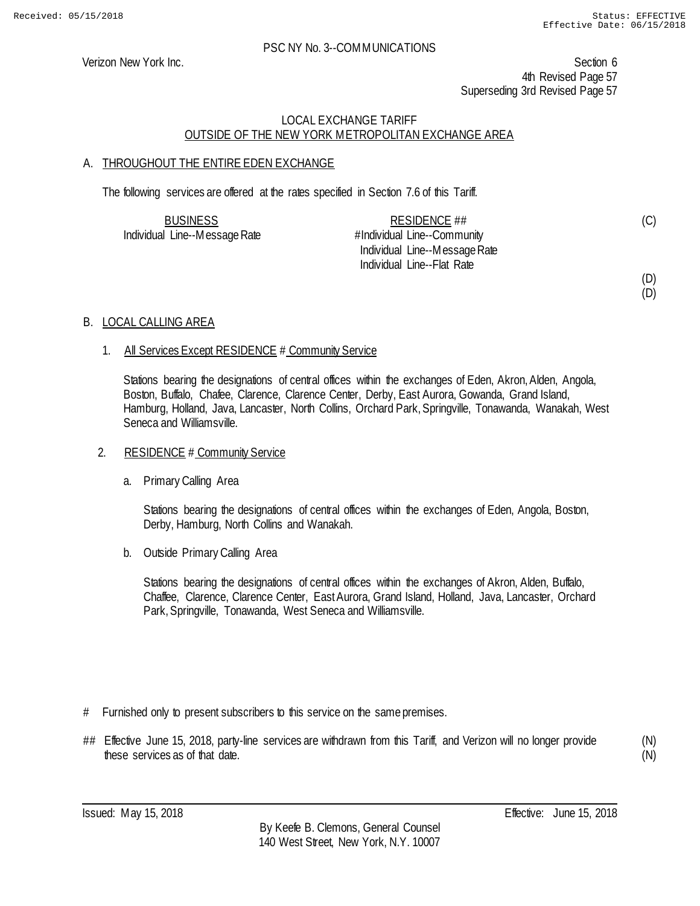(D)

#### PSC NY No. 3--COMMUNICATIONS

Verizon New York Inc. Section 6 4th Revised Page 57 Superseding 3rd Revised Page 57

# LOCAL EXCHANGE TARIFF OUTSIDE OF THE NEW YORK METROPOLITAN EXCHANGE AREA

# A. THROUGHOUT THE ENTIRE EDEN EXCHANGE

The following services are offered at the rates specified in Section 7.6 of this Tariff.

| <b>BUSINESS</b>               | RESIDENCE ##                  | (C) |
|-------------------------------|-------------------------------|-----|
| Individual Line--Message Rate | #Individual Line--Community   |     |
|                               | Individual Line--Message Rate |     |
|                               | Individual Line--Flat Rate    |     |
|                               |                               | (D) |

### B. LOCAL CALLING AREA

### 1. All Services Except RESIDENCE # Community Service

Stations bearing the designations of central offices within the exchanges of Eden, Akron, Alden, Angola, Boston, Buffalo, Chafee, Clarence, Clarence Center, Derby, East Aurora, Gowanda, Grand Island, Hamburg, Holland, Java, Lancaster, North Collins, Orchard Park, Springville, Tonawanda, Wanakah, West Seneca and Williamsville.

### 2. RESIDENCE # Community Service

a. Primary Calling Area

Stations bearing the designations of central offices within the exchanges of Eden, Angola, Boston, Derby, Hamburg, North Collins and Wanakah.

b. Outside Primary Calling Area

Stations bearing the designations of central offices within the exchanges of Akron, Alden, Buffalo, Chaffee, Clarence, Clarence Center, East Aurora, Grand Island, Holland, Java, Lancaster, Orchard Park, Springville, Tonawanda, West Seneca and Williamsville.

- # Furnished only to present subscribers to this service on the same premises.
- ## Effective June 15, 2018, party-line services are withdrawn from this Tariff, and Verizon will no longer provide these services as of that date.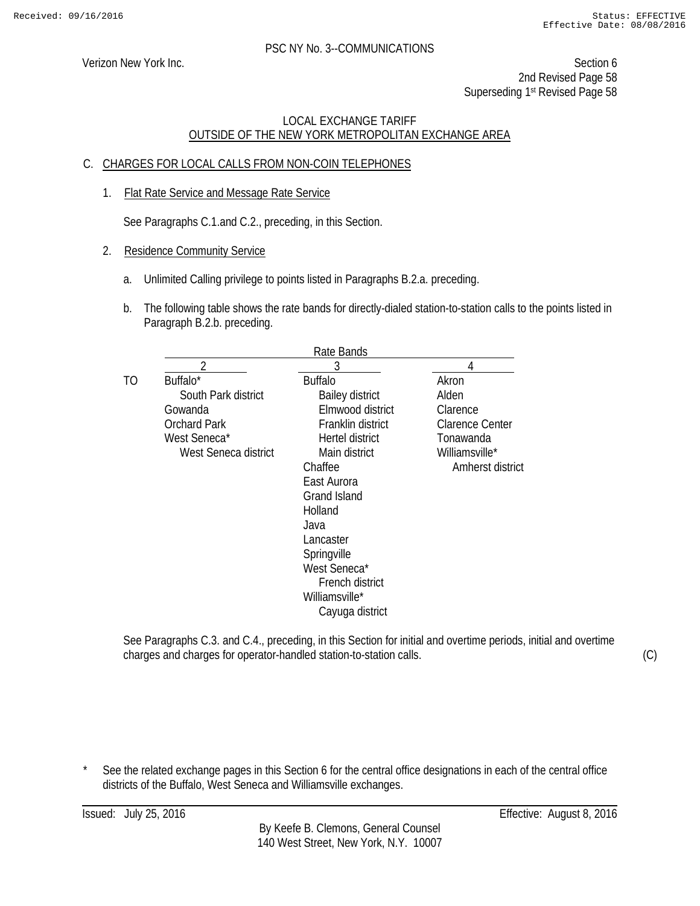Verizon New York Inc. Section 6 2nd Revised Page 58 Superseding 1<sup>st</sup> Revised Page 58

# LOCAL EXCHANGE TARIFF OUTSIDE OF THE NEW YORK METROPOLITAN EXCHANGE AREA

# C. CHARGES FOR LOCAL CALLS FROM NON-COIN TELEPHONES

1. Flat Rate Service and Message Rate Service

See Paragraphs C.1.and C.2., preceding, in this Section.

- 2. Residence Community Service
	- a. Unlimited Calling privilege to points listed in Paragraphs B.2.a. preceding.
	- b. The following table shows the rate bands for directly-dialed station-to-station calls to the points listed in Paragraph B.2.b. preceding.

|                      | Rate Bands             |                        |
|----------------------|------------------------|------------------------|
| ∩                    | 3                      |                        |
| Buffalo*             | <b>Buffalo</b>         | Akron                  |
| South Park district  | <b>Bailey district</b> | Alden                  |
| Gowanda              | Elmwood district       | Clarence               |
| <b>Orchard Park</b>  | Franklin district      | <b>Clarence Center</b> |
| West Seneca*         | Hertel district        | Tonawanda              |
| West Seneca district | Main district          | Williamsville*         |
|                      | Chaffee                | Amherst district       |
|                      | East Aurora            |                        |
|                      | <b>Grand Island</b>    |                        |
|                      | Holland                |                        |
|                      | Java                   |                        |
|                      | Lancaster              |                        |
|                      | Springville            |                        |
|                      | West Seneca*           |                        |
|                      | French district        |                        |
|                      | Williamsville*         |                        |
|                      | Cayuga district        |                        |

See Paragraphs C.3. and C.4., preceding, in this Section for initial and overtime periods, initial and overtime charges and charges for operator-handled station-to-station calls.

(C)

See the related exchange pages in this Section 6 for the central office designations in each of the central office districts of the Buffalo, West Seneca and Williamsville exchanges.

Issued: July 25, 2016 Effective: August 8, 2016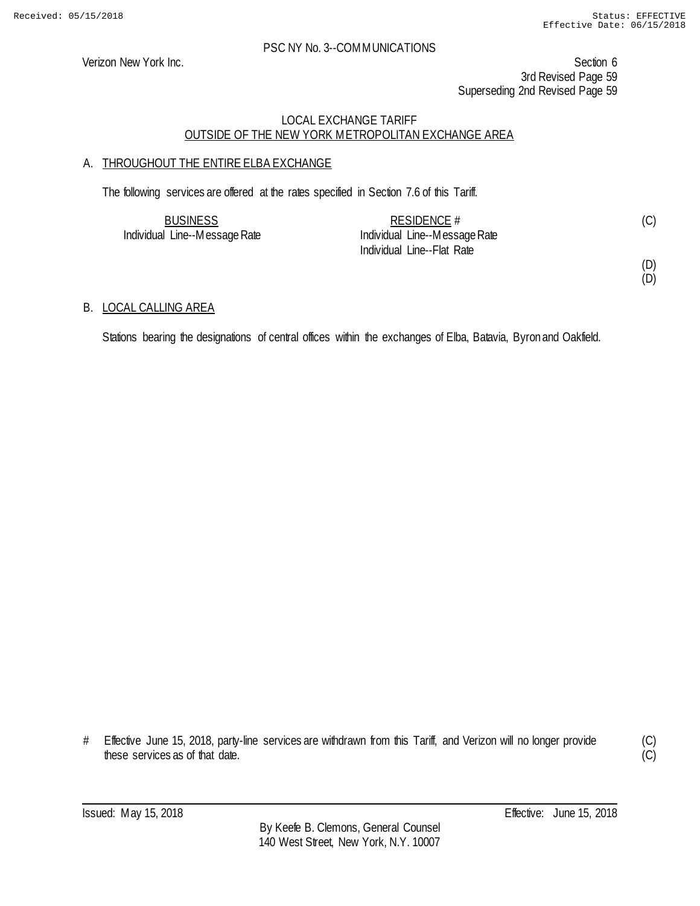Verizon New York Inc. Section 6 3rd Revised Page 59 Superseding 2nd Revised Page 59

### LOCAL EXCHANGE TARIFF OUTSIDE OF THE NEW YORK METROPOLITAN EXCHANGE AREA

# A. THROUGHOUT THE ENTIRE ELBA EXCHANGE

The following services are offered at the rates specified in Section 7.6 of this Tariff.

| <b>BUSINESS</b>               | RESIDENCE #                   |  |
|-------------------------------|-------------------------------|--|
| Individual Line--Message Rate | Individual Line--Message Rate |  |
|                               | Individual Line--Flat Rate    |  |

(D) (D)

### B. LOCAL CALLING AREA

Stations bearing the designations of central offices within the exchanges of Elba, Batavia, Byron and Oakfield.

# Effective June 15, 2018, party-line services are withdrawn from this Tariff, and Verizon will no longer provide these services as of that date.

(C)  $\overline{C}$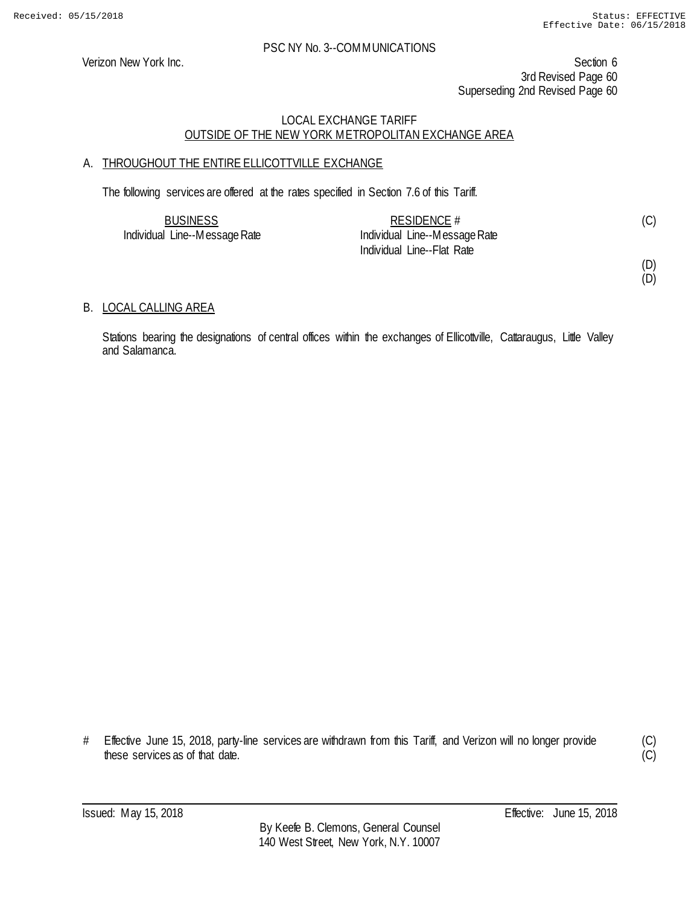Verizon New York Inc. Section 6 3rd Revised Page 60 Superseding 2nd Revised Page 60

# LOCAL EXCHANGE TARIFF OUTSIDE OF THE NEW YORK METROPOLITAN EXCHANGE AREA

# A. THROUGHOUT THE ENTIRE ELLICOTTVILLE EXCHANGE

The following services are offered at the rates specified in Section 7.6 of this Tariff.

| <b>BUSINESS</b>               | RESIDENCE #                   |  |
|-------------------------------|-------------------------------|--|
| Individual Line--Message Rate | Individual Line--Message Rate |  |
|                               | Individual Line--Flat Rate    |  |

(D) (D)

# B. LOCAL CALLING AREA

Stations bearing the designations of central offices within the exchanges of Ellicottville, Cattaraugus, Little Valley and Salamanca.

# Effective June 15, 2018, party-line services are withdrawn from this Tariff, and Verizon will no longer provide these services as of that date.

(C)  $\overline{C}$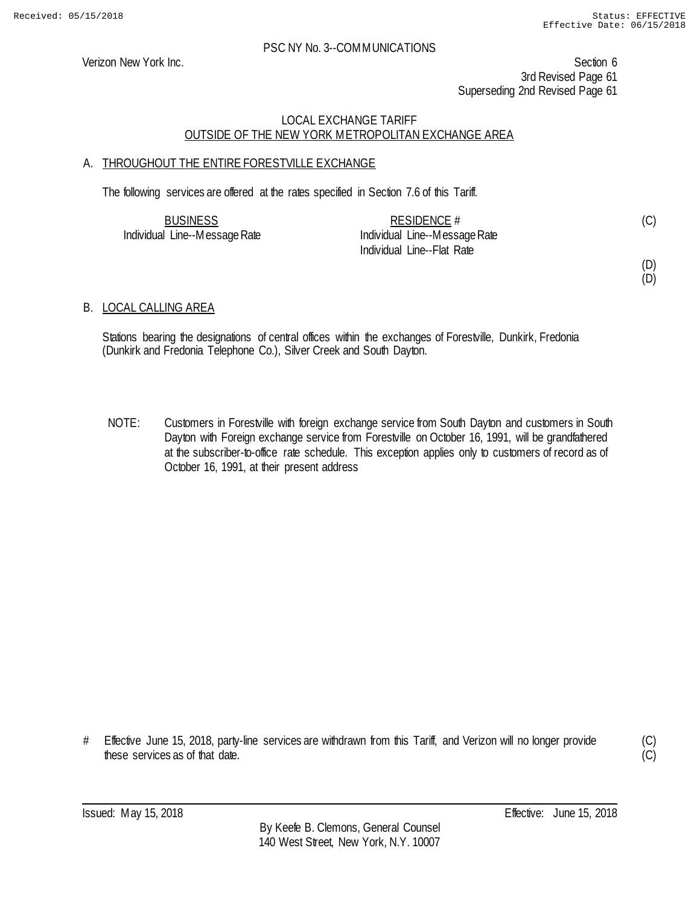Verizon New York Inc. Section 6 3rd Revised Page 61 Superseding 2nd Revised Page 61

### LOCAL EXCHANGE TARIFF OUTSIDE OF THE NEW YORK METROPOLITAN EXCHANGE AREA

# A. THROUGHOUT THE ENTIRE FORESTVILLE EXCHANGE

The following services are offered at the rates specified in Section 7.6 of this Tariff.

| <b>BUSINESS</b>               | RESIDENCE #                   |  |
|-------------------------------|-------------------------------|--|
| Individual Line--Message Rate | Individual Line--Message Rate |  |
|                               | Individual Line--Flat Rate    |  |

(D) (D)

# B. LOCAL CALLING AREA

Stations bearing the designations of central offices within the exchanges of Forestville, Dunkirk, Fredonia (Dunkirk and Fredonia Telephone Co.), Silver Creek and South Dayton.

NOTE: Customers in Forestville with foreign exchange service from South Dayton and customers in South Dayton with Foreign exchange service from Forestville on October 16, 1991, will be grandfathered at the subscriber-to-office rate schedule. This exception applies only to customers of record as of October 16, 1991, at their present address

# Effective June 15, 2018, party-line services are withdrawn from this Tariff, and Verizon will no longer provide these services as of that date.

(C)  $(C)$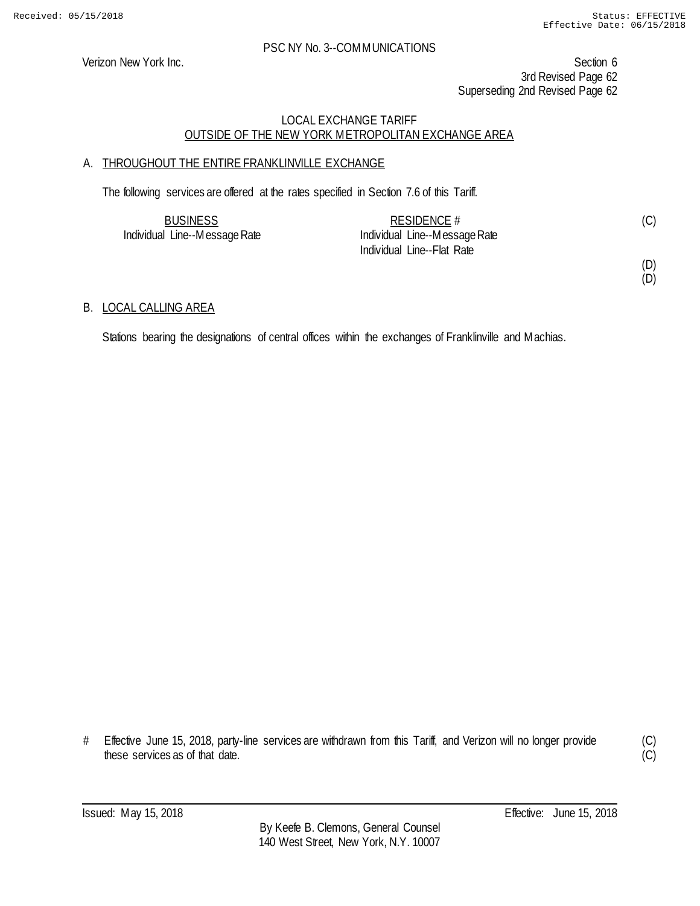Verizon New York Inc. Section 6 3rd Revised Page 62 Superseding 2nd Revised Page 62

### LOCAL EXCHANGE TARIFF OUTSIDE OF THE NEW YORK METROPOLITAN EXCHANGE AREA

# A. THROUGHOUT THE ENTIRE FRANKLINVILLE EXCHANGE

The following services are offered at the rates specified in Section 7.6 of this Tariff.

| <b>BUSINESS</b>               | RESIDENCE $#$                 | (C) |
|-------------------------------|-------------------------------|-----|
| Individual Line--Message Rate | Individual Line--Message Rate |     |
|                               | Individual Line--Flat Rate    |     |

(D)

(D)

# B. LOCAL CALLING AREA

Stations bearing the designations of central offices within the exchanges of Franklinville and Machias.

# Effective June 15, 2018, party-line services are withdrawn from this Tariff, and Verizon will no longer provide these services as of that date.

(C)  $\overline{C}$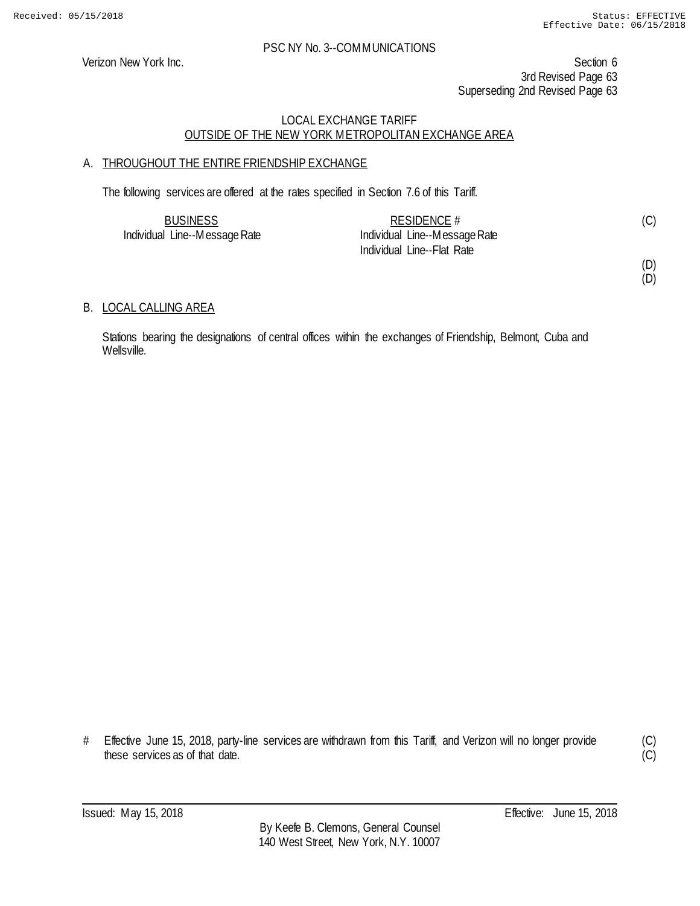Verizon New York Inc. Section 6 3rd Revised Page 63 Superseding 2nd Revised Page 63

### LOCAL EXCHANGE TARIFF OUTSIDE OF THE NEW YORK METROPOLITAN EXCHANGE AREA

# A. THROUGHOUT THE ENTIRE FRIENDSHIP EXCHANGE

The following services are offered at the rates specified in Section 7.6 of this Tariff.

| <b>BUSINESS</b>               | RESIDENCE $#$                 |  |
|-------------------------------|-------------------------------|--|
| Individual Line--Message Rate | Individual Line--Message Rate |  |
|                               | Individual Line--Flat Rate    |  |

(D) (D)

### B. LOCAL CALLING AREA

Stations bearing the designations of central offices within the exchanges of Friendship, Belmont, Cuba and Wellsville.

# Effective June 15, 2018, party-line services are withdrawn from this Tariff, and Verizon will no longer provide these services as of that date.

(C)  $\overline{C}$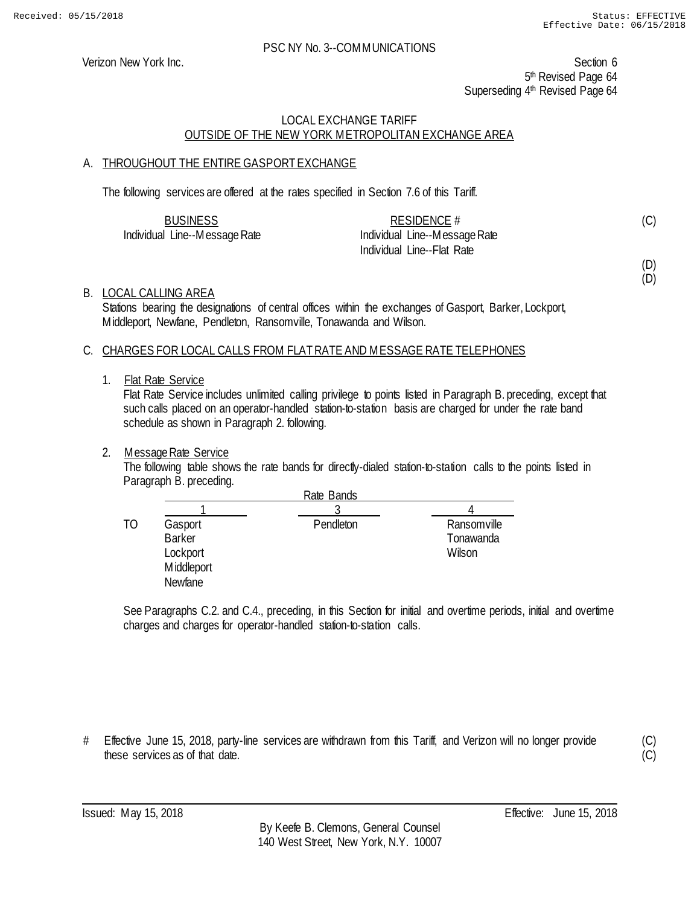Verizon New York Inc. Section 6 5<sup>th</sup> Revised Page 64 Superseding 4<sup>th</sup> Revised Page 64

# LOCAL EXCHANGE TARIFF OUTSIDE OF THE NEW YORK METROPOLITAN EXCHANGE AREA

# A. THROUGHOUT THE ENTIRE GASPORT EXCHANGE

The following services are offered at the rates specified in Section 7.6 of this Tariff.

| <b>BUSINESS</b>               | RESIDENCE #                   |  |
|-------------------------------|-------------------------------|--|
| Individual Line--Message Rate | Individual Line--Message Rate |  |
|                               | Individual Line--Flat Rate    |  |

(D)

(D)

(C)

### B. LOCAL CALLING AREA

Stations bearing the designations of central offices within the exchanges of Gasport, Barker, Lockport, Middleport, Newfane, Pendleton, Ransomville, Tonawanda and Wilson.

### C. CHARGES FOR LOCAL CALLS FROM FLAT RATE AND MESSAGE RATE TELEPHONES

#### 1. Flat Rate Service

Flat Rate Service includes unlimited calling privilege to points listed in Paragraph B. preceding, except that such calls placed on an operator-handled station-to-station basis are charged for under the rate band schedule as shown in Paragraph 2. following.

### 2. Message Rate Service

The following table shows the rate bands for directly-dialed station-to-station calls to the points listed in Paragraph B. preceding.

|    |                                                               | Rate Bands |                                    |
|----|---------------------------------------------------------------|------------|------------------------------------|
|    |                                                               |            |                                    |
| TΟ | Gasport<br><b>Barker</b><br>Lockport<br>Middleport<br>Newfane | Pendleton  | Ransomville<br>Tonawanda<br>Wilson |

See Paragraphs C.2. and C.4., preceding, in this Section for initial and overtime periods, initial and overtime charges and charges for operator-handled station-to-station calls.

# Effective June 15, 2018, party-line services are withdrawn from this Tariff, and Verizon will no longer provide these services as of that date.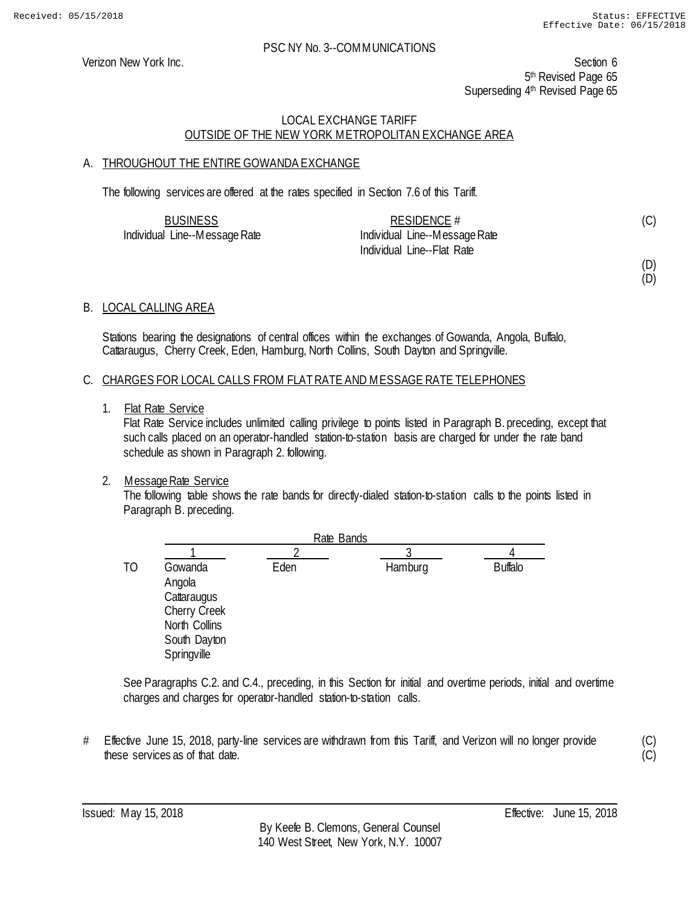Verizon New York Inc. Section 6 5<sup>th</sup> Revised Page 65 Superseding 4<sup>th</sup> Revised Page 65

# LOCAL EXCHANGE TARIFF OUTSIDE OF THE NEW YORK METROPOLITAN EXCHANGE AREA

# A. THROUGHOUT THE ENTIRE GOWANDA EXCHANGE

The following services are offered at the rates specified in Section 7.6 of this Tariff.

| <b>BUSINESS</b>               | RESIDENCE $#$                 | (C) |
|-------------------------------|-------------------------------|-----|
| Individual Line--Message Rate | Individual Line--Message Rate |     |
|                               | Individual Line--Flat Rate    |     |

# (D)

(D)

# B. LOCAL CALLING AREA

Stations bearing the designations of central offices within the exchanges of Gowanda, Angola, Buffalo, Cattaraugus, Cherry Creek, Eden, Hamburg, North Collins, South Dayton and Springville.

### C. CHARGES FOR LOCAL CALLS FROM FLAT RATE AND MESSAGE RATE TELEPHONES

1. Flat Rate Service

Flat Rate Service includes unlimited calling privilege to points listed in Paragraph B. preceding, except that such calls placed on an operator-handled station-to-station basis are charged for under the rate band schedule as shown in Paragraph 2. following.

# 2. Message Rate Service

The following table shows the rate bands for directly-dialed station-to-station calls to the points listed in Paragraph B. preceding.

|    |                                                                                                  | Rate Bands |         |                |
|----|--------------------------------------------------------------------------------------------------|------------|---------|----------------|
|    |                                                                                                  |            |         |                |
| ТO | Gowanda<br>Angola<br>Cattaraugus<br>Cherry Creek<br>North Collins<br>South Dayton<br>Springville | Eden       | Hamburg | <b>Buffalo</b> |

See Paragraphs C.2. and C.4., preceding, in this Section for initial and overtime periods, initial and overtime charges and charges for operator-handled station-to-station calls.

# Effective June 15, 2018, party-line services are withdrawn from this Tariff, and Verizon will no longer provide these services as of that date.

(C)  $(C)$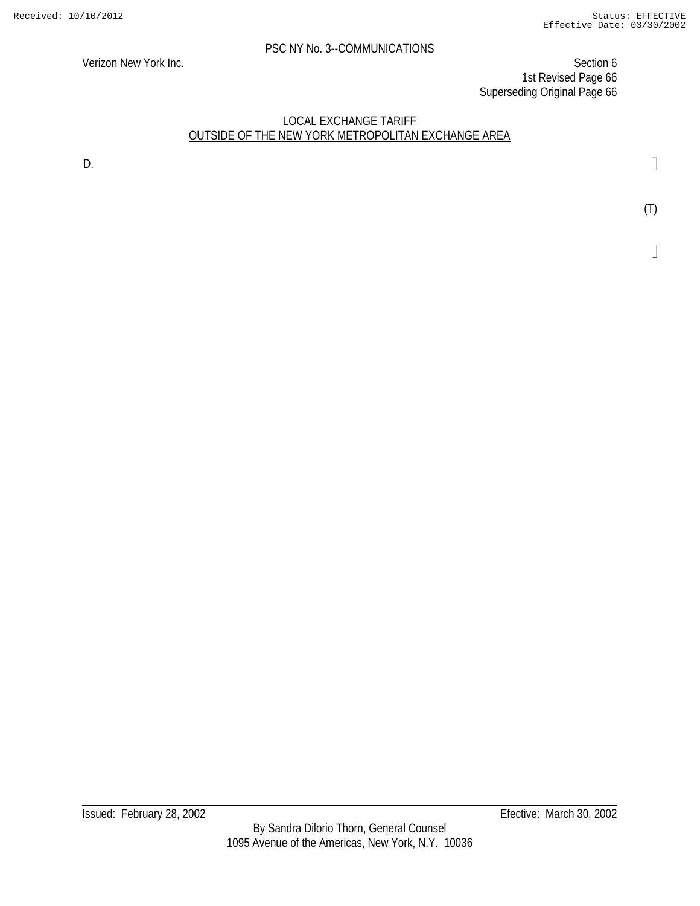Verizon New York Inc. Section 6 1st Revised Page 66 Superseding Original Page 66

### LOCAL EXCHANGE TARIFF OUTSIDE OF THE NEW YORK METROPOLITAN EXCHANGE AREA

D.

(T)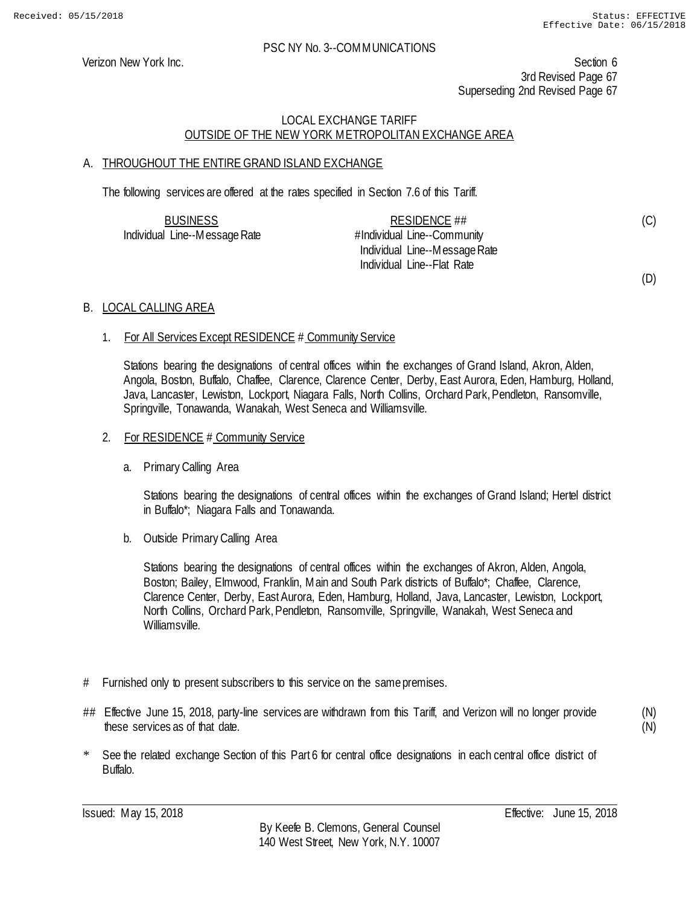(C)

(D)

#### PSC NY No. 3--COMMUNICATIONS

Verizon New York Inc. Section 6 3rd Revised Page 67 Superseding 2nd Revised Page 67

# LOCAL EXCHANGE TARIFF OUTSIDE OF THE NEW YORK METROPOLITAN EXCHANGE AREA

# A. THROUGHOUT THE ENTIRE GRAND ISLAND EXCHANGE

The following services are offered at the rates specified in Section 7.6 of this Tariff.

| <b>BUSINESS</b>               | RESIDENCE $\#$                |  |
|-------------------------------|-------------------------------|--|
| Individual Line--Message Rate | #Individual Line--Community   |  |
|                               | Individual Line--Message Rate |  |
|                               | Individual Line--Flat Rate    |  |

### B. LOCAL CALLING AREA

### 1. For All Services Except RESIDENCE # Community Service

Stations bearing the designations of central offices within the exchanges of Grand Island, Akron, Alden, Angola, Boston, Buffalo, Chaffee, Clarence, Clarence Center, Derby, East Aurora, Eden, Hamburg, Holland, Java, Lancaster, Lewiston, Lockport, Niagara Falls, North Collins, Orchard Park, Pendleton, Ransomville, Springville, Tonawanda, Wanakah, West Seneca and Williamsville.

#### 2. For RESIDENCE # Community Service

a. Primary Calling Area

Stations bearing the designations of central offices within the exchanges of Grand Island; Hertel district in Buffalo\*; Niagara Falls and Tonawanda.

b. Outside Primary Calling Area

Stations bearing the designations of central offices within the exchanges of Akron, Alden, Angola, Boston; Bailey, Elmwood, Franklin, Main and South Park districts of Buffalo\*; Chaffee, Clarence, Clarence Center, Derby, East Aurora, Eden, Hamburg, Holland, Java, Lancaster, Lewiston, Lockport, North Collins, Orchard Park, Pendleton, Ransomville, Springville, Wanakah, West Seneca and Williamsville.

- # Furnished only to present subscribers to this service on the same premises.
- ## Effective June 15, 2018, party-line services are withdrawn from this Tariff, and Verizon will no longer provide these services as of that date.

(N) (N)

\* See the related exchange Section of this Part 6 for central office designations in each central office district of Buffalo.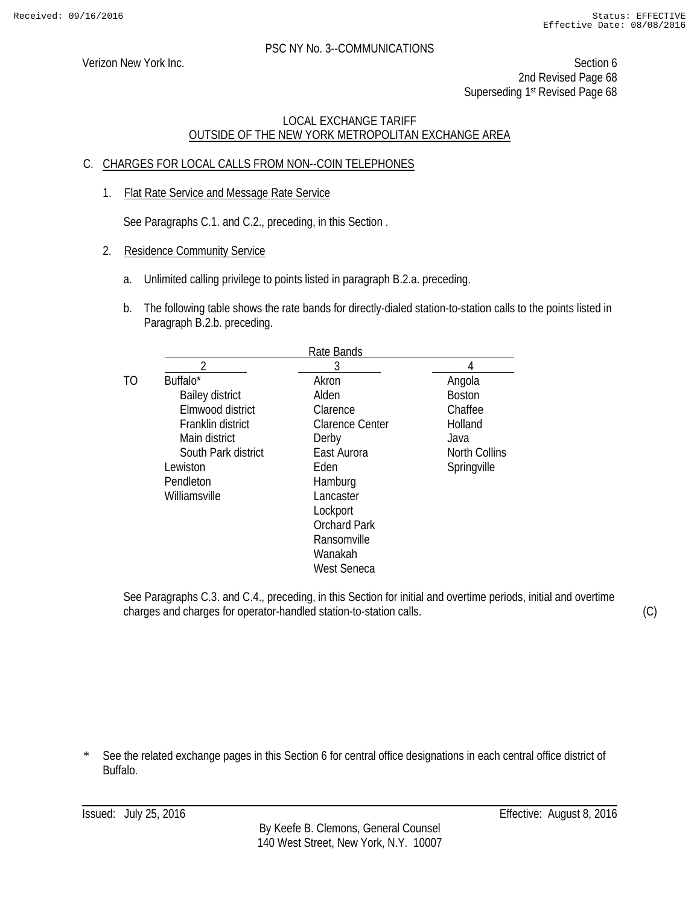Verizon New York Inc. Section 6 2nd Revised Page 68 Superseding 1<sup>st</sup> Revised Page 68

# LOCAL EXCHANGE TARIFF OUTSIDE OF THE NEW YORK METROPOLITAN EXCHANGE AREA

# C. CHARGES FOR LOCAL CALLS FROM NON--COIN TELEPHONES

1. Flat Rate Service and Message Rate Service

See Paragraphs C.1. and C.2., preceding, in this Section .

- 2. Residence Community Service
	- a. Unlimited calling privilege to points listed in paragraph B.2.a. preceding.
	- b. The following table shows the rate bands for directly-dialed station-to-station calls to the points listed in Paragraph B.2.b. preceding.

|                |                        | Rate Bands             |               |
|----------------|------------------------|------------------------|---------------|
|                |                        | 3                      |               |
| T <sub>O</sub> | Buffalo*               | Akron                  | Angola        |
|                | <b>Bailey district</b> | Alden                  | <b>Boston</b> |
|                | Elmwood district       | Clarence               | Chaffee       |
|                | Franklin district      | <b>Clarence Center</b> | Holland       |
|                | Main district          | Derby                  | Java          |
|                | South Park district    | East Aurora            | North Collins |
|                | Lewiston               | Eden                   | Springville   |
|                | Pendleton              | Hamburg                |               |
|                | Williamsville          | Lancaster              |               |
|                |                        | Lockport               |               |
|                |                        | <b>Orchard Park</b>    |               |
|                |                        | Ransomville            |               |
|                |                        | Wanakah                |               |
|                |                        | West Seneca            |               |
|                |                        |                        |               |

See Paragraphs C.3. and C.4., preceding, in this Section for initial and overtime periods, initial and overtime charges and charges for operator-handled station-to-station calls.

(C)

\* See the related exchange pages in this Section 6 for central office designations in each central office district of Buffalo.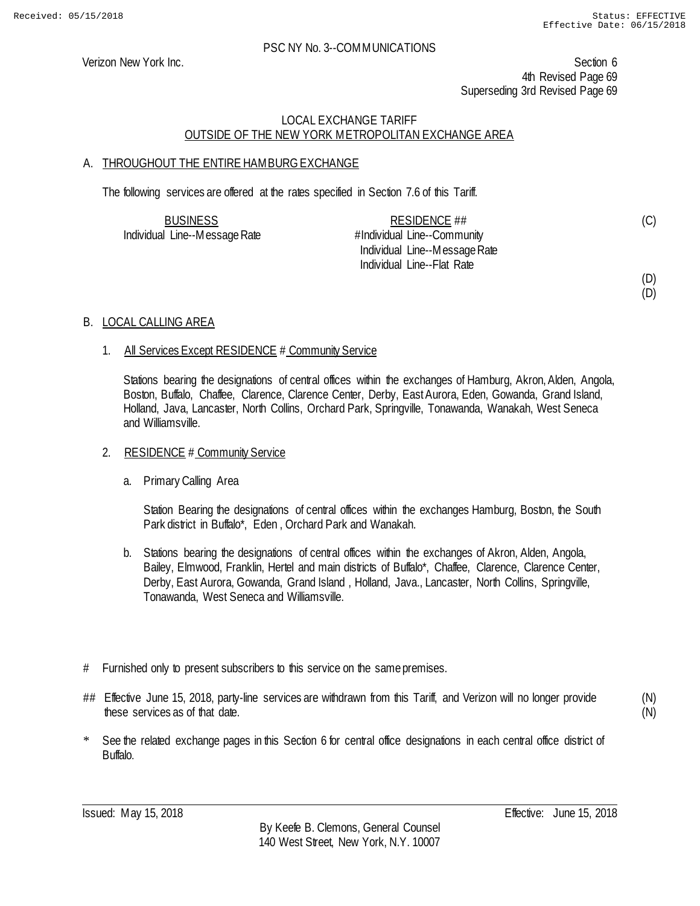Verizon New York Inc. Section 6 4th Revised Page 69 Superseding 3rd Revised Page 69

# LOCAL EXCHANGE TARIFF OUTSIDE OF THE NEW YORK METROPOLITAN EXCHANGE AREA

# A. THROUGHOUT THE ENTIRE HAMBURG EXCHANGE

The following services are offered at the rates specified in Section 7.6 of this Tariff.

| <b>BUSINESS</b>               | RESIDENCE ##                  | (C) |
|-------------------------------|-------------------------------|-----|
| Individual Line--Message Rate | #Individual Line--Community   |     |
|                               | Individual Line--Message Rate |     |
|                               | Individual Line--Flat Rate    |     |
|                               |                               | (D) |

### B. LOCAL CALLING AREA

### 1. All Services Except RESIDENCE # Community Service

Stations bearing the designations of central offices within the exchanges of Hamburg, Akron, Alden, Angola, Boston, Buffalo, Chaffee, Clarence, Clarence Center, Derby, East Aurora, Eden, Gowanda, Grand Island, Holland, Java, Lancaster, North Collins, Orchard Park, Springville, Tonawanda, Wanakah, West Seneca and Williamsville.

#### 2. RESIDENCE # Community Service

a. Primary Calling Area

Station Bearing the designations of central offices within the exchanges Hamburg, Boston, the South Park district in Buffalo\*, Eden , Orchard Park and Wanakah.

- b. Stations bearing the designations of central offices within the exchanges of Akron, Alden, Angola, Bailey, Elmwood, Franklin, Hertel and main districts of Buffalo\*, Chaffee, Clarence, Clarence Center, Derby, East Aurora, Gowanda, Grand Island, Holland, Java., Lancaster, North Collins, Springville, Tonawanda, West Seneca and Williamsville.
- # Furnished only to present subscribers to this service on the same premises.
- ## Effective June 15, 2018, party-line services are withdrawn from this Tariff, and Verizon will no longer provide these services as of that date.

(N) (N)

(D)

\* See the related exchange pages in this Section 6 for central office designations in each central office district of Buffalo.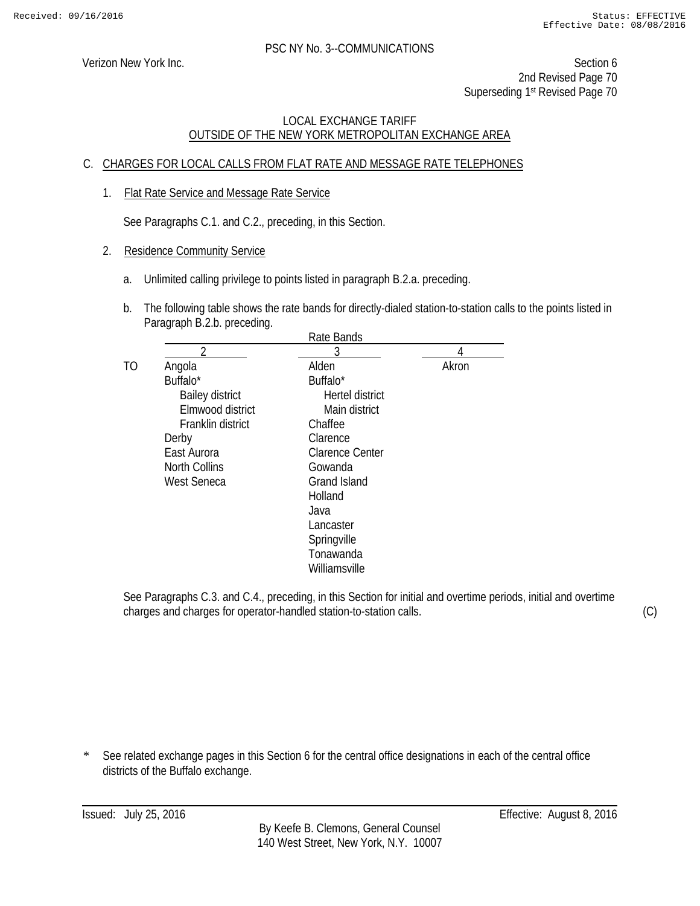Verizon New York Inc. Section 6 2nd Revised Page 70 Superseding 1<sup>st</sup> Revised Page 70

# LOCAL EXCHANGE TARIFF OUTSIDE OF THE NEW YORK METROPOLITAN EXCHANGE AREA

# C. CHARGES FOR LOCAL CALLS FROM FLAT RATE AND MESSAGE RATE TELEPHONES

1. Flat Rate Service and Message Rate Service

See Paragraphs C.1. and C.2., preceding, in this Section.

- 2. Residence Community Service
	- a. Unlimited calling privilege to points listed in paragraph B.2.a. preceding.
	- b. The following table shows the rate bands for directly-dialed station-to-station calls to the points listed in Paragraph B.2.b. preceding.

|                        | Rate Bands             |       |
|------------------------|------------------------|-------|
| 2                      | 3                      | 4     |
| Angola                 | Alden                  | Akron |
| Buffalo*               | Buffalo*               |       |
| <b>Bailey district</b> | Hertel district        |       |
| Elmwood district       | Main district          |       |
| Franklin district      | Chaffee                |       |
| Derby                  | Clarence               |       |
| East Aurora            | <b>Clarence Center</b> |       |
| <b>North Collins</b>   | Gowanda                |       |
| <b>West Seneca</b>     | <b>Grand Island</b>    |       |
|                        | Holland                |       |
|                        | Java                   |       |
|                        | Lancaster              |       |
|                        | Springville            |       |
|                        | Tonawanda              |       |
|                        | Williamsville          |       |
|                        |                        |       |

See Paragraphs C.3. and C.4., preceding, in this Section for initial and overtime periods, initial and overtime charges and charges for operator-handled station-to-station calls.

\* See related exchange pages in this Section 6 for the central office designations in each of the central office districts of the Buffalo exchange.

(C)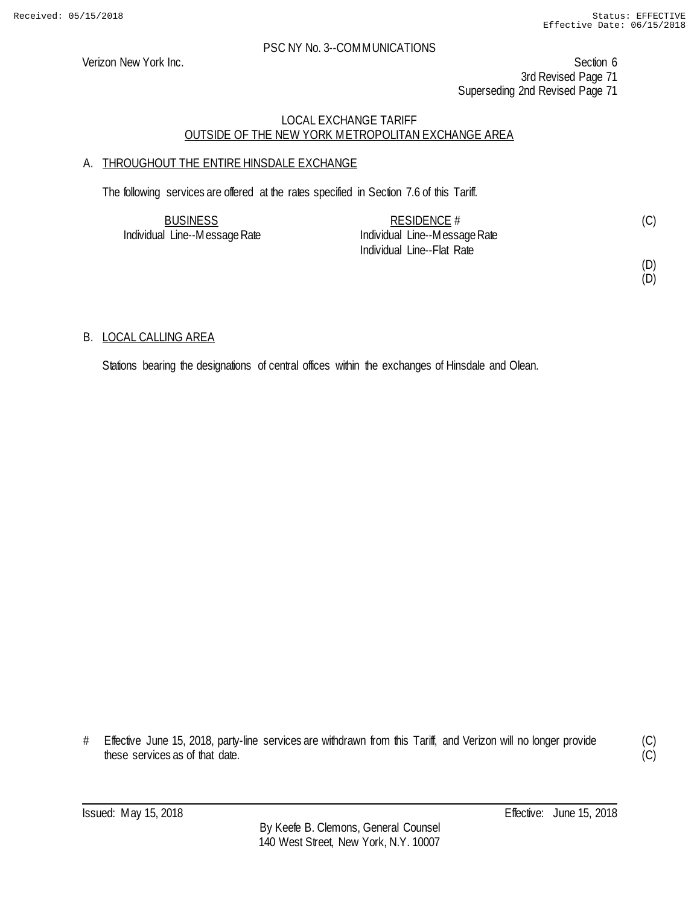Verizon New York Inc. Section 6 3rd Revised Page 71 Superseding 2nd Revised Page 71

# LOCAL EXCHANGE TARIFF OUTSIDE OF THE NEW YORK METROPOLITAN EXCHANGE AREA

# A. THROUGHOUT THE ENTIRE HINSDALE EXCHANGE

The following services are offered at the rates specified in Section 7.6 of this Tariff.

| <b>BUSINESS</b>               | RESIDENCE $#$                 |  |
|-------------------------------|-------------------------------|--|
| Individual Line--Message Rate | Individual Line--Message Rate |  |
|                               | Individual Line--Flat Rate    |  |

(D) (D)

# B. LOCAL CALLING AREA

Stations bearing the designations of central offices within the exchanges of Hinsdale and Olean.

# Effective June 15, 2018, party-line services are withdrawn from this Tariff, and Verizon will no longer provide these services as of that date.

(C)  $\overline{C}$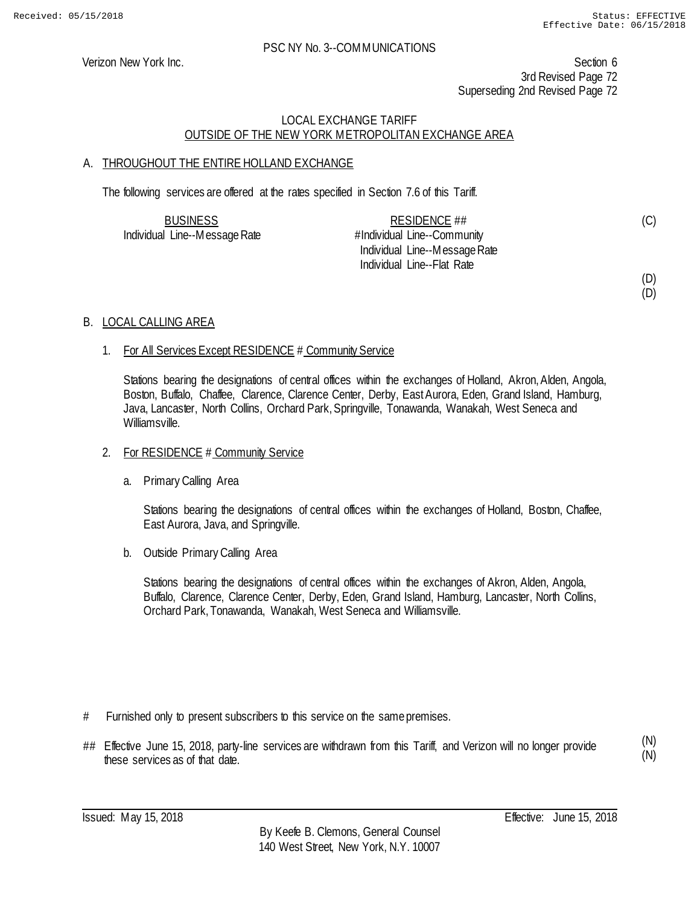(C)

(D) (D)

### PSC NY No. 3--COMMUNICATIONS

Verizon New York Inc. Section 6 3rd Revised Page 72 Superseding 2nd Revised Page 72

# LOCAL EXCHANGE TARIFF OUTSIDE OF THE NEW YORK METROPOLITAN EXCHANGE AREA

# A. THROUGHOUT THE ENTIRE HOLLAND EXCHANGE

The following services are offered at the rates specified in Section 7.6 of this Tariff.

| <b>BUSINESS</b>               | RESIDENCE ##                  |  |
|-------------------------------|-------------------------------|--|
| Individual Line--Message Rate | #Individual Line--Community   |  |
|                               | Individual Line--Message Rate |  |
|                               | Individual Line--Flat Rate    |  |

### B. LOCAL CALLING AREA

### 1. For All Services Except RESIDENCE # Community Service

Stations bearing the designations of central offices within the exchanges of Holland, Akron, Alden, Angola, Boston, Buffalo, Chaffee, Clarence, Clarence Center, Derby, East Aurora, Eden, Grand Island, Hamburg, Java, Lancaster, North Collins, Orchard Park, Springville, Tonawanda, Wanakah, West Seneca and Williamsville.

### 2. For RESIDENCE # Community Service

a. Primary Calling Area

Stations bearing the designations of central offices within the exchanges of Holland, Boston, Chaffee, East Aurora, Java, and Springville.

b. Outside Primary Calling Area

Stations bearing the designations of central offices within the exchanges of Akron, Alden, Angola, Buffalo, Clarence, Clarence Center, Derby, Eden, Grand Island, Hamburg, Lancaster, North Collins, Orchard Park, Tonawanda, Wanakah, West Seneca and Williamsville.

- # Furnished only to present subscribers to this service on the same premises.
- ## Effective June 15, 2018, party-line services are withdrawn from this Tariff, and Verizon will no longer provide these services as of that date.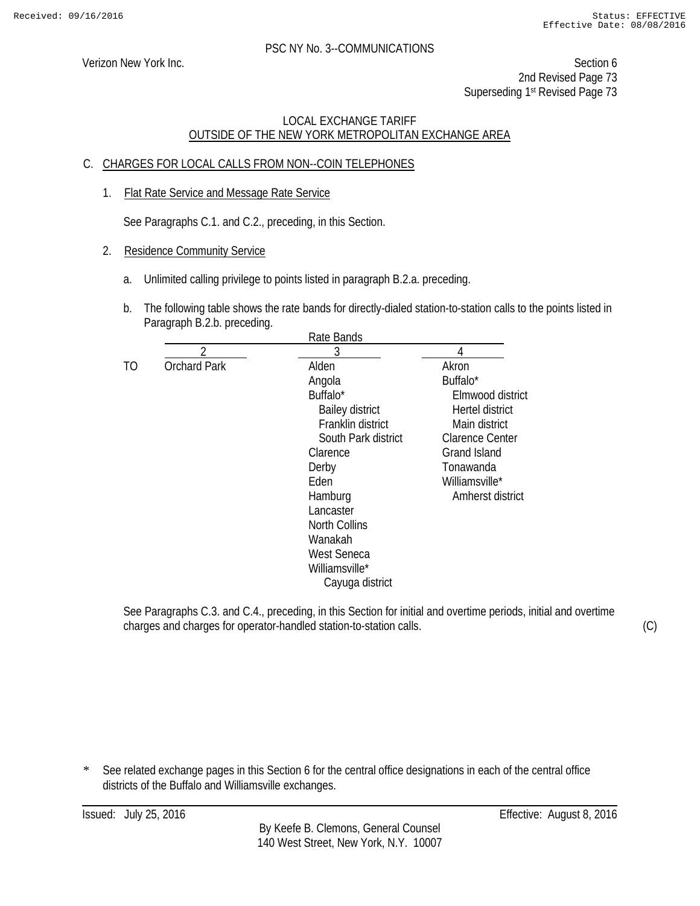Verizon New York Inc. Section 6 2nd Revised Page 73 Superseding 1<sup>st</sup> Revised Page 73

## LOCAL EXCHANGE TARIFF OUTSIDE OF THE NEW YORK METROPOLITAN EXCHANGE AREA

## C. CHARGES FOR LOCAL CALLS FROM NON--COIN TELEPHONES

1. Flat Rate Service and Message Rate Service

See Paragraphs C.1. and C.2., preceding, in this Section.

- 2. Residence Community Service
	- a. Unlimited calling privilege to points listed in paragraph B.2.a. preceding.
	- b. The following table shows the rate bands for directly-dialed station-to-station calls to the points listed in Paragraph B.2.b. preceding.

|    |                     | Rate Bands             |                        |
|----|---------------------|------------------------|------------------------|
|    | ን                   | 3                      |                        |
| TO | <b>Orchard Park</b> | Alden                  | Akron                  |
|    |                     | Angola                 | Buffalo*               |
|    |                     | Buffalo*               | Elmwood district       |
|    |                     | <b>Bailey district</b> | Hertel district        |
|    |                     | Franklin district      | Main district          |
|    |                     | South Park district    | <b>Clarence Center</b> |
|    |                     | Clarence               | <b>Grand Island</b>    |
|    |                     | Derby                  | Tonawanda              |
|    |                     | Eden                   | Williamsville*         |
|    |                     | Hamburg                | Amherst district       |
|    |                     | Lancaster              |                        |
|    |                     | <b>North Collins</b>   |                        |
|    |                     | Wanakah                |                        |
|    |                     | <b>West Seneca</b>     |                        |
|    |                     | Williamsville*         |                        |
|    |                     | Cayuga district        |                        |
|    |                     |                        |                        |

See Paragraphs C.3. and C.4., preceding, in this Section for initial and overtime periods, initial and overtime charges and charges for operator-handled station-to-station calls.

(C)

\* See related exchange pages in this Section 6 for the central office designations in each of the central office districts of the Buffalo and Williamsville exchanges.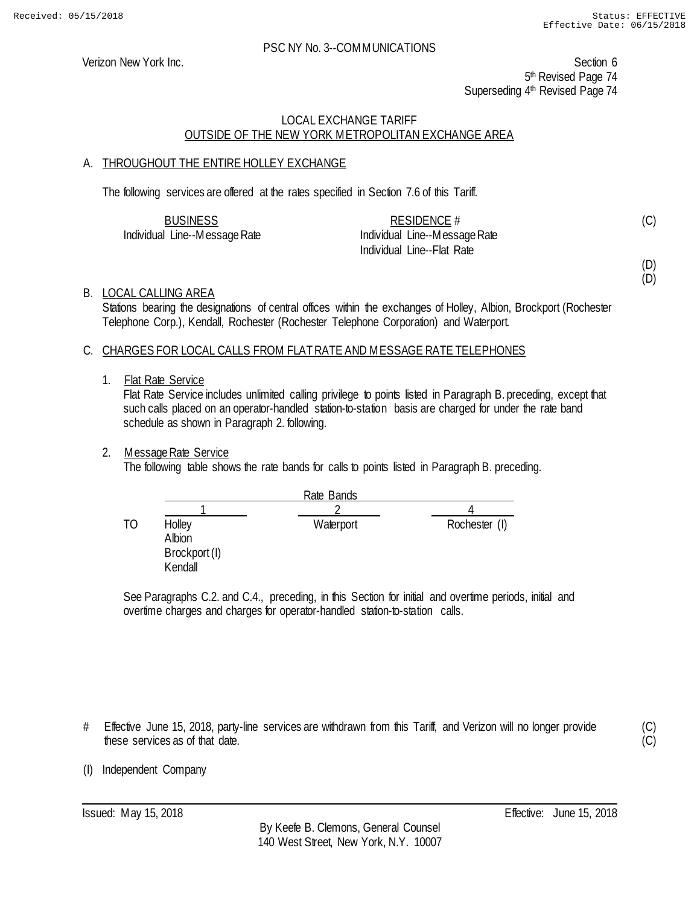Verizon New York Inc. Section 6 5<sup>th</sup> Revised Page 74 Superseding 4<sup>th</sup> Revised Page 74

## LOCAL EXCHANGE TARIFF OUTSIDE OF THE NEW YORK METROPOLITAN EXCHANGE AREA

## A. THROUGHOUT THE ENTIRE HOLLEY EXCHANGE

The following services are offered at the rates specified in Section 7.6 of this Tariff.

| <b>BUSINESS</b>               | RESIDENCE #                   |  |
|-------------------------------|-------------------------------|--|
| Individual Line--Message Rate | Individual Line--Message Rate |  |
|                               | Individual Line--Flat Rate    |  |

(D)

(D)

(C)

B. LOCAL CALLING AREA

Stations bearing the designations of central offices within the exchanges of Holley, Albion, Brockport (Rochester Telephone Corp.), Kendall, Rochester (Rochester Telephone Corporation) and Waterport.

## C. CHARGES FOR LOCAL CALLS FROM FLAT RATE AND MESSAGE RATE TELEPHONES

1. Flat Rate Service

Flat Rate Service includes unlimited calling privilege to points listed in Paragraph B. preceding, except that such calls placed on an operator-handled station-to-station basis are charged for under the rate band schedule as shown in Paragraph 2. following.

## 2. Message Rate Service

The following table shows the rate bands for calls to points listed in Paragraph B. preceding.

|    |                                              | Rate Bands |               |
|----|----------------------------------------------|------------|---------------|
|    |                                              |            |               |
| TO | Holley<br>Albion<br>Brockport (I)<br>Kendall | Waterport  | Rochester (I) |

See Paragraphs C.2. and C.4., preceding, in this Section for initial and overtime periods, initial and overtime charges and charges for operator-handled station-to-station calls.

# Effective June 15, 2018, party-line services are withdrawn from this Tariff, and Verizon will no longer provide these services as of that date.

(C) (C)

(I) Independent Company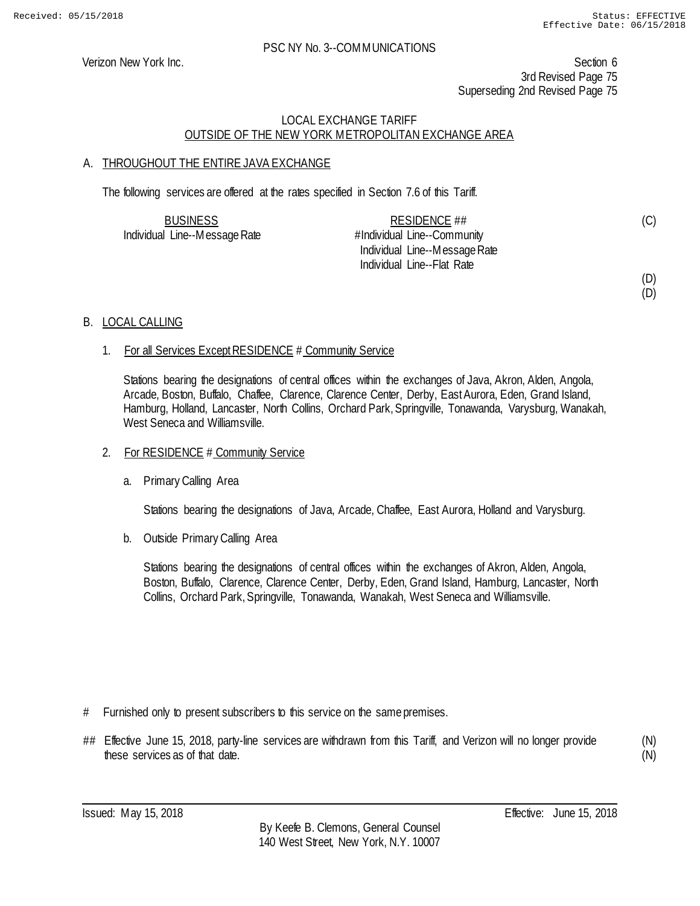(D)

#### PSC NY No. 3--COMMUNICATIONS

Verizon New York Inc. Section 6 3rd Revised Page 75 Superseding 2nd Revised Page 75

## LOCAL EXCHANGE TARIFF OUTSIDE OF THE NEW YORK METROPOLITAN EXCHANGE AREA

## A. THROUGHOUT THE ENTIRE JAVA EXCHANGE

The following services are offered at the rates specified in Section 7.6 of this Tariff.

| <b>BUSINESS</b>               | RESIDENCE ##                  | (C) |
|-------------------------------|-------------------------------|-----|
| Individual Line--Message Rate | #Individual Line--Community   |     |
|                               | Individual Line--Message Rate |     |
|                               | Individual Line--Flat Rate    |     |
|                               |                               | (D) |

## B. LOCAL CALLING

## 1. For all Services Except RESIDENCE # Community Service

Stations bearing the designations of central offices within the exchanges of Java, Akron, Alden, Angola, Arcade, Boston, Buffalo, Chaffee, Clarence, Clarence Center, Derby, East Aurora, Eden, Grand Island, Hamburg, Holland, Lancaster, North Collins, Orchard Park, Springville, Tonawanda, Varysburg, Wanakah, West Seneca and Williamsville.

#### 2. For RESIDENCE # Community Service

a. Primary Calling Area

Stations bearing the designations of Java, Arcade, Chaffee, East Aurora, Holland and Varysburg.

b. Outside Primary Calling Area

Stations bearing the designations of central offices within the exchanges of Akron, Alden, Angola, Boston, Buffalo, Clarence, Clarence Center, Derby, Eden, Grand Island, Hamburg, Lancaster, North Collins, Orchard Park, Springville, Tonawanda, Wanakah, West Seneca and Williamsville.

- # Furnished only to present subscribers to this service on the same premises.
- ## Effective June 15, 2018, party-line services are withdrawn from this Tariff, and Verizon will no longer provide these services as of that date.

(N) (N)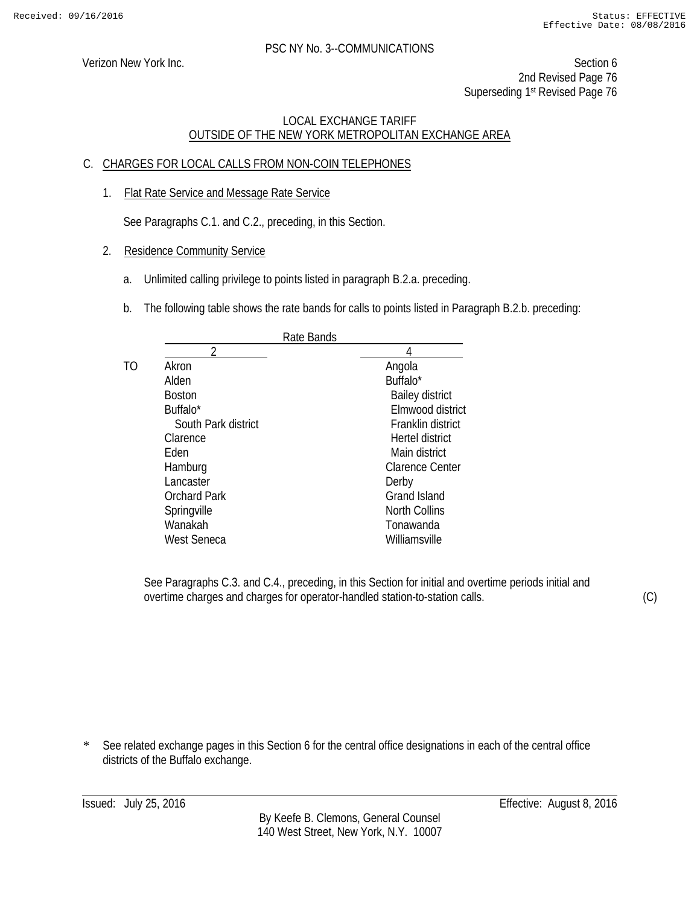Verizon New York Inc. Section 6 2nd Revised Page 76 Superseding 1<sup>st</sup> Revised Page 76

## LOCAL EXCHANGE TARIFF OUTSIDE OF THE NEW YORK METROPOLITAN EXCHANGE AREA

## C. CHARGES FOR LOCAL CALLS FROM NON-COIN TELEPHONES

1. Flat Rate Service and Message Rate Service

See Paragraphs C.1. and C.2., preceding, in this Section.

- 2. Residence Community Service
	- a. Unlimited calling privilege to points listed in paragraph B.2.a. preceding.
	- b. The following table shows the rate bands for calls to points listed in Paragraph B.2.b. preceding:

|    | Rate Bands          |                        |
|----|---------------------|------------------------|
|    | າ                   |                        |
| TΟ | Akron               | Angola                 |
|    | Alden               | Buffalo*               |
|    | <b>Boston</b>       | <b>Bailey district</b> |
|    | Buffalo*            | Elmwood district       |
|    | South Park district | Franklin district      |
|    | Clarence            | Hertel district        |
|    | Fden                | Main district          |
|    | Hamburg             | Clarence Center        |
|    | Lancaster           | Derby                  |
|    | <b>Orchard Park</b> | <b>Grand Island</b>    |
|    | Springville         | <b>North Collins</b>   |
|    | Wanakah             | Tonawanda              |
|    | West Seneca         | Williamsville          |
|    |                     |                        |

See Paragraphs C.3. and C.4., preceding, in this Section for initial and overtime periods initial and overtime charges and charges for operator-handled station-to-station calls.

(C)

\* See related exchange pages in this Section 6 for the central office designations in each of the central office districts of the Buffalo exchange.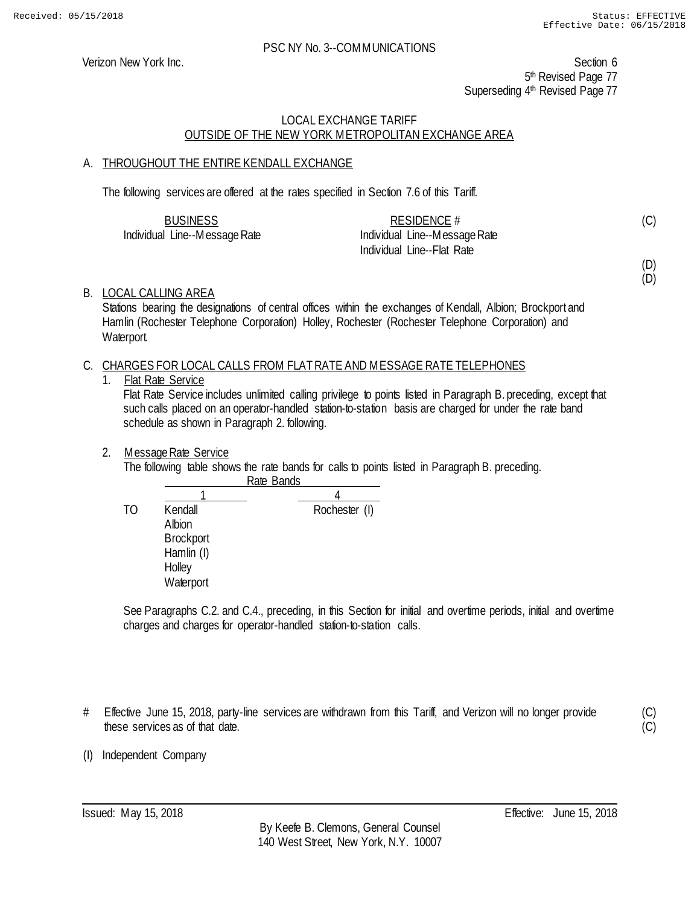Verizon New York Inc. Section 6 5<sup>th</sup> Revised Page 77 Superseding 4<sup>th</sup> Revised Page 77

## LOCAL EXCHANGE TARIFF OUTSIDE OF THE NEW YORK METROPOLITAN EXCHANGE AREA

## A. THROUGHOUT THE ENTIRE KENDALL EXCHANGE

The following services are offered at the rates specified in Section 7.6 of this Tariff.

| <b>BUSINESS</b>               | RESIDENCE $#$                 |  |
|-------------------------------|-------------------------------|--|
| Individual Line--Message Rate | Individual Line--Message Rate |  |
|                               | - Individual Line--Flat Rate  |  |

(D)

(D)

(C)

## B. LOCAL CALLING AREA

Stations bearing the designations of central offices within the exchanges of Kendall, Albion; Brockport and Hamlin (Rochester Telephone Corporation) Holley, Rochester (Rochester Telephone Corporation) and Waterport.

#### C. CHARGES FOR LOCAL CALLS FROM FLAT RATE AND MESSAGE RATE TELEPHONES

1. Flat Rate Service

Flat Rate Service includes unlimited calling privilege to points listed in Paragraph B. preceding, except that such calls placed on an operator-handled station-to-station basis are charged for under the rate band schedule as shown in Paragraph 2. following.

#### 2. Message Rate Service

The following table shows the rate bands for calls to points listed in Paragraph B. preceding. Rate Bands

|    |                                                                            | nac Danus     |
|----|----------------------------------------------------------------------------|---------------|
|    |                                                                            |               |
| ТO | Kendall<br>Albion<br><b>Brockport</b><br>Hamlin (I)<br>Holley<br>Waterport | Rochester (I) |

See Paragraphs C.2. and C.4., preceding, in this Section for initial and overtime periods, initial and overtime charges and charges for operator-handled station-to-station calls.

# Effective June 15, 2018, party-line services are withdrawn from this Tariff, and Verizon will no longer provide these services as of that date.

(C)  $(C)$ 

(I) Independent Company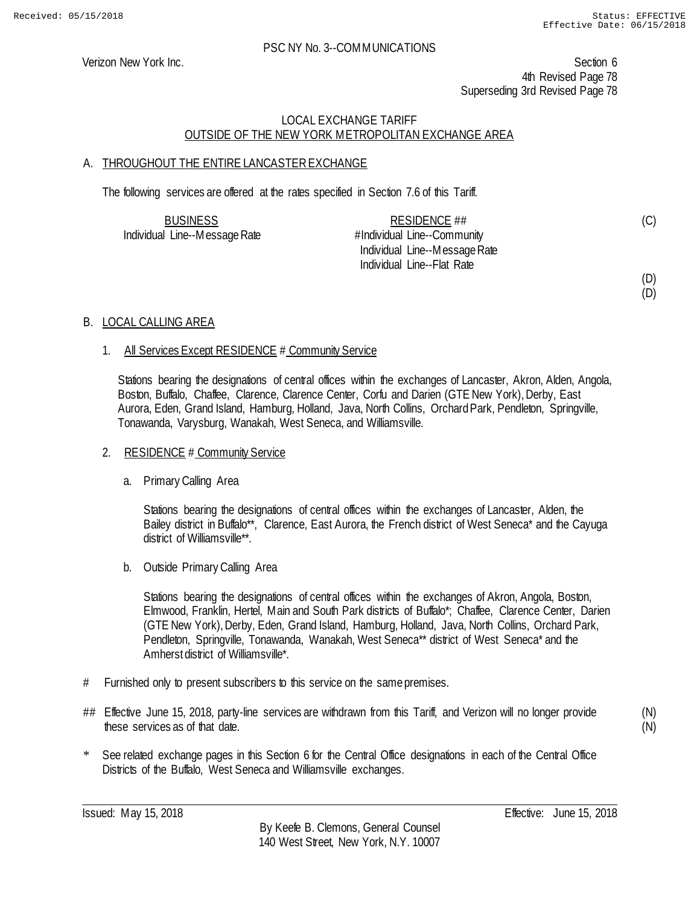Verizon New York Inc. Section 6 4th Revised Page 78 Superseding 3rd Revised Page 78

## LOCAL EXCHANGE TARIFF OUTSIDE OF THE NEW YORK METROPOLITAN EXCHANGE AREA

## A. THROUGHOUT THE ENTIRE LANCASTER EXCHANGE

The following services are offered at the rates specified in Section 7.6 of this Tariff.

| <b>BUSINESS</b>               | RESIDENCE ##                  | (C) |
|-------------------------------|-------------------------------|-----|
| Individual Line--Message Rate | #Individual Line--Community   |     |
|                               | Individual Line--Message Rate |     |
|                               | Individual Line--Flat Rate    |     |
|                               |                               | (D) |

## B. LOCAL CALLING AREA

## 1. All Services Except RESIDENCE # Community Service

Stations bearing the designations of central offices within the exchanges of Lancaster, Akron, Alden, Angola, Boston, Buffalo, Chaffee, Clarence, Clarence Center, Corfu and Darien (GTE New York), Derby, East Aurora, Eden, Grand Island, Hamburg, Holland, Java, North Collins, Orchard Park, Pendleton, Springville, Tonawanda, Varysburg, Wanakah, West Seneca, and Williamsville.

## 2. RESIDENCE # Community Service

#### a. Primary Calling Area

Stations bearing the designations of central offices within the exchanges of Lancaster, Alden, the Bailey district in Buffalo\*\*, Clarence, East Aurora, the French district of West Seneca\* and the Cayuga district of Williamsville\*\*.

b. Outside Primary Calling Area

Stations bearing the designations of central offices within the exchanges of Akron, Angola, Boston, Elmwood, Franklin, Hertel, Main and South Park districts of Buffalo\*; Chaffee, Clarence Center, Darien (GTE New York), Derby, Eden, Grand Island, Hamburg, Holland, Java, North Collins, Orchard Park, Pendleton, Springville, Tonawanda, Wanakah, West Seneca\*\* district of West Seneca\* and the Amherst district of Williamsville\*.

- # Furnished only to present subscribers to this service on the same premises.
- ## Effective June 15, 2018, party-line services are withdrawn from this Tariff, and Verizon will no longer provide these services as of that date.

(N) (N)

(D)

\* See related exchange pages in this Section 6 for the Central Office designations in each of the Central Office Districts of the Buffalo, West Seneca and Williamsville exchanges.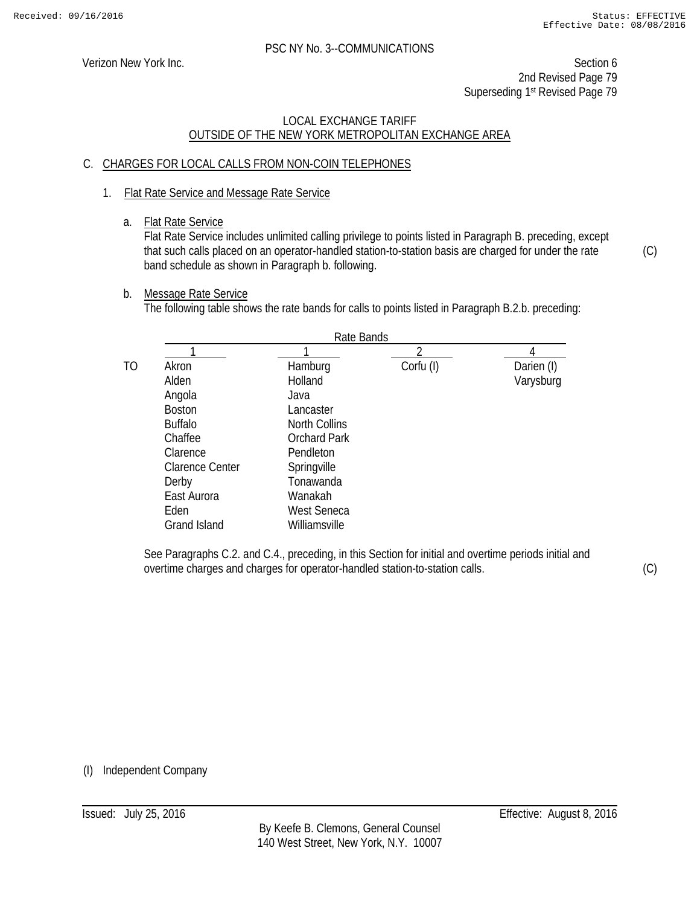Verizon New York Inc. Section 6 2nd Revised Page 79 Superseding 1st Revised Page 79

## LOCAL EXCHANGE TARIFF OUTSIDE OF THE NEW YORK METROPOLITAN EXCHANGE AREA

## C. CHARGES FOR LOCAL CALLS FROM NON-COIN TELEPHONES

## 1. Flat Rate Service and Message Rate Service

a. Flat Rate Service

Flat Rate Service includes unlimited calling privilege to points listed in Paragraph B. preceding, except that such calls placed on an operator-handled station-to-station basis are charged for under the rate band schedule as shown in Paragraph b. following.

b. Message Rate Service

The following table shows the rate bands for calls to points listed in Paragraph B.2.b. preceding:

|    |                        | Rate Bands           |           |            |
|----|------------------------|----------------------|-----------|------------|
|    |                        |                      |           |            |
| TO | Akron                  | Hamburg              | Corfu (I) | Darien (I) |
|    | Alden                  | Holland              |           | Varysburg  |
|    | Angola                 | Java                 |           |            |
|    | <b>Boston</b>          | Lancaster            |           |            |
|    | <b>Buffalo</b>         | <b>North Collins</b> |           |            |
|    | Chaffee                | <b>Orchard Park</b>  |           |            |
|    | Clarence               | Pendleton            |           |            |
|    | <b>Clarence Center</b> | Springville          |           |            |
|    | Derby                  | Tonawanda            |           |            |
|    | East Aurora            | Wanakah              |           |            |
|    | Eden                   | <b>West Seneca</b>   |           |            |
|    | Grand Island           | Williamsville        |           |            |

See Paragraphs C.2. and C.4., preceding, in this Section for initial and overtime periods initial and overtime charges and charges for operator-handled station-to-station calls.

(C)

(C)

(I) Independent Company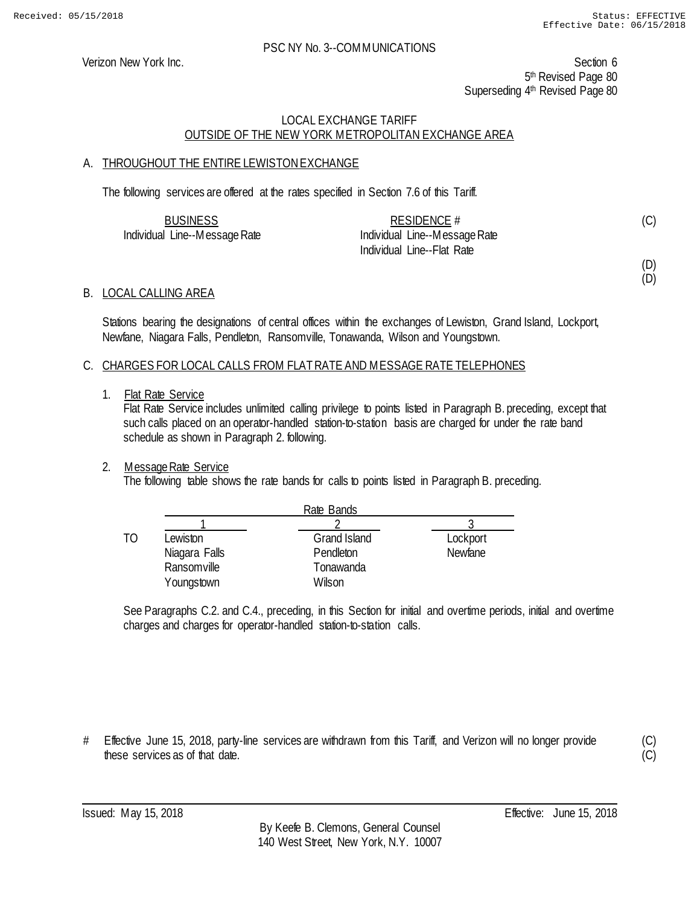(C)

(D) (D)

#### PSC NY No. 3--COMMUNICATIONS

Verizon New York Inc. Section 6 5<sup>th</sup> Revised Page 80 Superseding 4<sup>th</sup> Revised Page 80

## LOCAL EXCHANGE TARIFF OUTSIDE OF THE NEW YORK METROPOLITAN EXCHANGE AREA

## A. THROUGHOUT THE ENTIRE LEWISTON EXCHANGE

The following services are offered at the rates specified in Section 7.6 of this Tariff.

| <b>BUSINESS</b>               | RESIDENCE #                   |  |
|-------------------------------|-------------------------------|--|
| Individual Line--Message Rate | Individual Line--Message Rate |  |
|                               | Individual Line--Flat Rate    |  |

#### B. LOCAL CALLING AREA

Stations bearing the designations of central offices within the exchanges of Lewiston, Grand Island, Lockport, Newfane, Niagara Falls, Pendleton, Ransomville, Tonawanda, Wilson and Youngstown.

#### C. CHARGES FOR LOCAL CALLS FROM FLAT RATE AND MESSAGE RATE TELEPHONES

1. Flat Rate Service

Flat Rate Service includes unlimited calling privilege to points listed in Paragraph B. preceding, except that such calls placed on an operator-handled station-to-station basis are charged for under the rate band schedule as shown in Paragraph 2. following.

#### 2. Message Rate Service

The following table shows the rate bands for calls to points listed in Paragraph B. preceding.

|    |               | Rate Bands          |          |
|----|---------------|---------------------|----------|
|    |               |                     |          |
| TΟ | Lewiston      | <b>Grand Island</b> | Lockport |
|    | Niagara Falls | Pendleton           | Newfane  |
|    | Ransomville   | Tonawanda           |          |
|    | Youngstown    | Wilson              |          |

See Paragraphs C.2. and C.4., preceding, in this Section for initial and overtime periods, initial and overtime charges and charges for operator-handled station-to-station calls.

# Effective June 15, 2018, party-line services are withdrawn from this Tariff, and Verizon will no longer provide these services as of that date.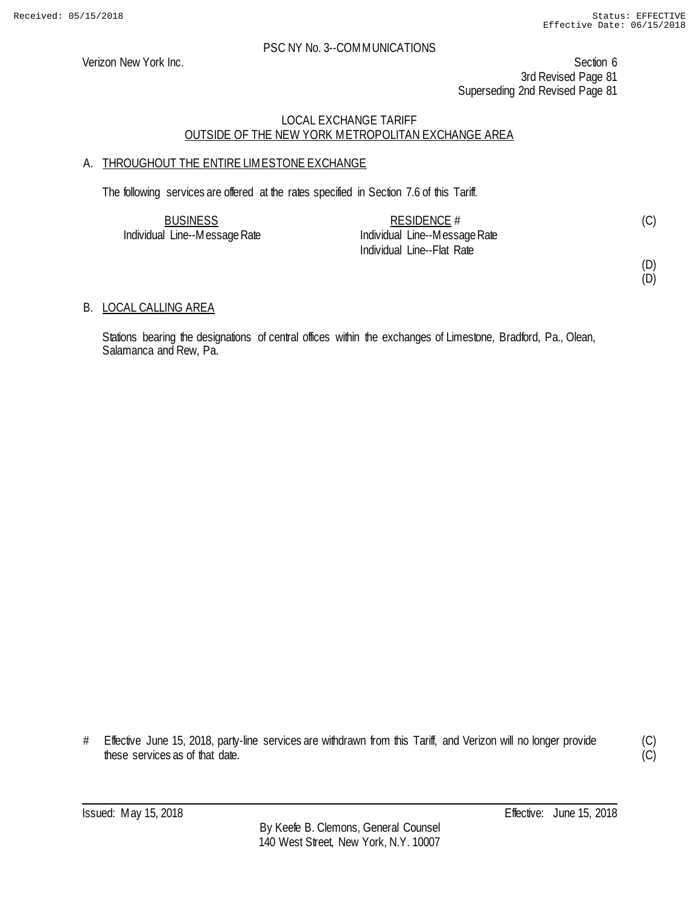Verizon New York Inc. Section 6 3rd Revised Page 81 Superseding 2nd Revised Page 81

## LOCAL EXCHANGE TARIFF OUTSIDE OF THE NEW YORK METROPOLITAN EXCHANGE AREA

## A. THROUGHOUT THE ENTIRE LIMESTONE EXCHANGE

The following services are offered at the rates specified in Section 7.6 of this Tariff.

| <b>BUSINESS</b>               | RESIDENCE $#$                 |  |
|-------------------------------|-------------------------------|--|
| Individual Line--Message Rate | Individual Line--Message Rate |  |
|                               | Individual Line--Flat Rate    |  |

(D)

(D)

## B. LOCAL CALLING AREA

Stations bearing the designations of central offices within the exchanges of Limestone, Bradford, Pa., Olean, Salamanca and Rew, Pa.

# Effective June 15, 2018, party-line services are withdrawn from this Tariff, and Verizon will no longer provide these services as of that date.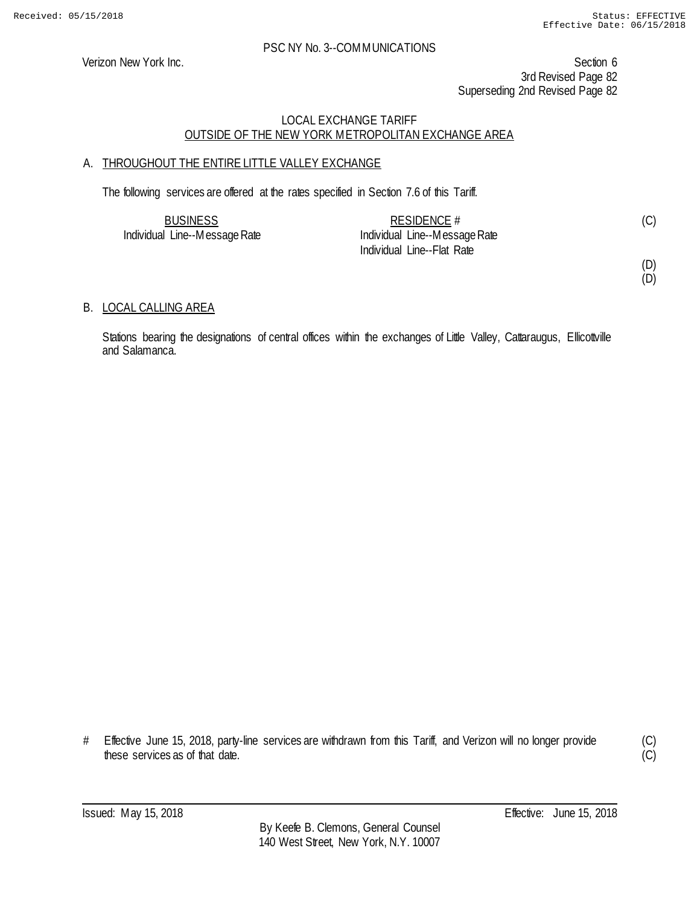Verizon New York Inc. Section 6 3rd Revised Page 82 Superseding 2nd Revised Page 82

## LOCAL EXCHANGE TARIFF OUTSIDE OF THE NEW YORK METROPOLITAN EXCHANGE AREA

## A. THROUGHOUT THE ENTIRE LITTLE VALLEY EXCHANGE

The following services are offered at the rates specified in Section 7.6 of this Tariff.

| <b>BUSINESS</b>               | RESIDENCE #                   |  |
|-------------------------------|-------------------------------|--|
| Individual Line--Message Rate | Individual Line--Message Rate |  |
|                               | Individual Line--Flat Rate    |  |

(D)

#### (D)

## B. LOCAL CALLING AREA

Stations bearing the designations of central offices within the exchanges of Little Valley, Cattaraugus, Ellicottville and Salamanca.

<sup>#</sup> Effective June 15, 2018, party-line services are withdrawn from this Tariff, and Verizon will no longer provide these services as of that date.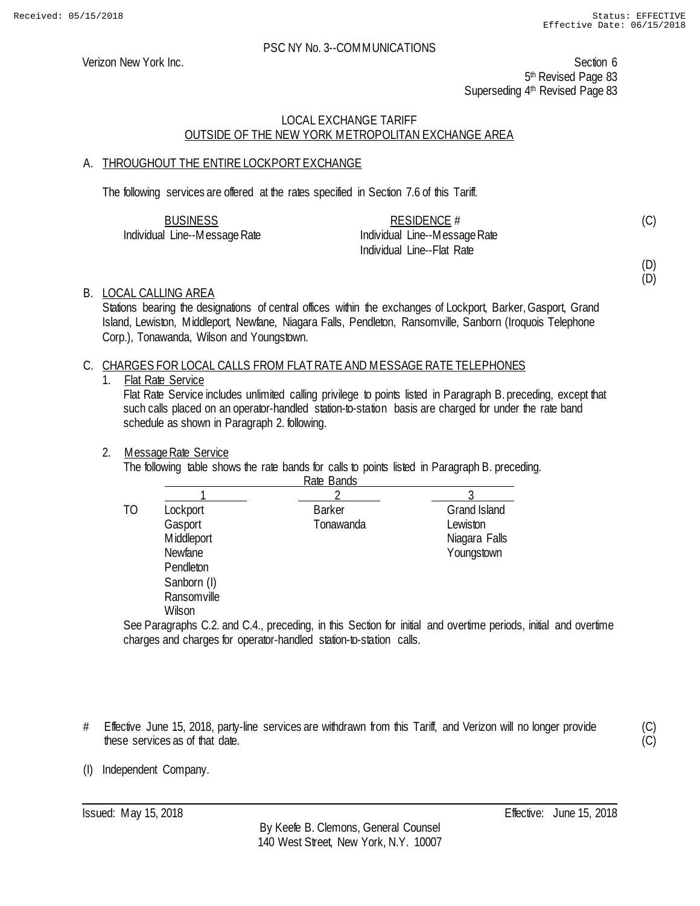Verizon New York Inc. Section 6 5<sup>th</sup> Revised Page 83 Superseding 4<sup>th</sup> Revised Page 83

## LOCAL EXCHANGE TARIFF OUTSIDE OF THE NEW YORK METROPOLITAN EXCHANGE AREA

## A. THROUGHOUT THE ENTIRE LOCKPORT EXCHANGE

The following services are offered at the rates specified in Section 7.6 of this Tariff.

| <b>BUSINESS</b>               | RESIDENCE #                   |  |
|-------------------------------|-------------------------------|--|
| Individual Line--Message Rate | Individual Line--Message Rate |  |
|                               | Individual Line--Flat Rate    |  |

(C)

(D) (D)

B. LOCAL CALLING AREA

Stations bearing the designations of central offices within the exchanges of Lockport, Barker, Gasport, Grand Island, Lewiston, Middleport, Newfane, Niagara Falls, Pendleton, Ransomville, Sanborn (Iroquois Telephone Corp.), Tonawanda, Wilson and Youngstown.

## C. CHARGES FOR LOCAL CALLS FROM FLAT RATE AND MESSAGE RATE TELEPHONES

1. Flat Rate Service

Flat Rate Service includes unlimited calling privilege to points listed in Paragraph B. preceding, except that such calls placed on an operator-handled station-to-station basis are charged for under the rate band schedule as shown in Paragraph 2. following.

#### 2. Message Rate Service

The following table shows the rate bands for calls to points listed in Paragraph B. preceding.

|    |                | Rate Bands    |                     |
|----|----------------|---------------|---------------------|
|    |                |               |                     |
| ТO | Lockport       | <b>Barker</b> | <b>Grand Island</b> |
|    | Gasport        | Tonawanda     | Lewiston            |
|    | Middleport     |               | Niagara Falls       |
|    | <b>Newfane</b> |               | Youngstown          |
|    | Pendleton      |               |                     |
|    | Sanborn (I)    |               |                     |
|    | Ransomville    |               |                     |
|    | Wilson         |               |                     |

See Paragraphs C.2. and C.4., preceding, in this Section for initial and overtime periods, initial and overtime charges and charges for operator-handled station-to-station calls.

# Effective June 15, 2018, party-line services are withdrawn from this Tariff, and Verizon will no longer provide these services as of that date.

(C)  $\tilde{(C)}$ 

(I) Independent Company.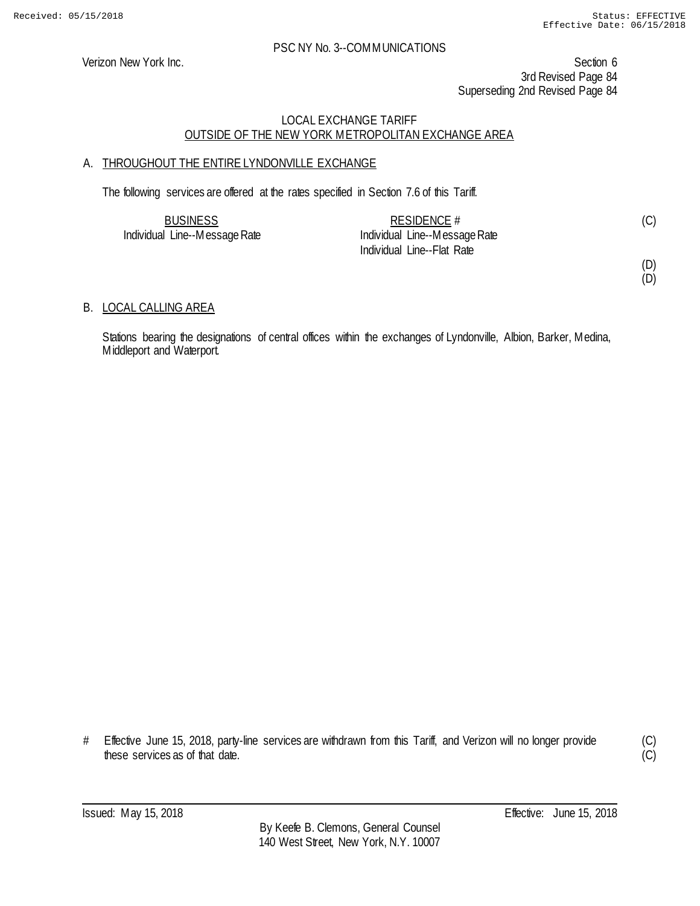Verizon New York Inc. Section 6 3rd Revised Page 84 Superseding 2nd Revised Page 84

## LOCAL EXCHANGE TARIFF OUTSIDE OF THE NEW YORK METROPOLITAN EXCHANGE AREA

## A. THROUGHOUT THE ENTIRE LYNDONVILLE EXCHANGE

The following services are offered at the rates specified in Section 7.6 of this Tariff.

| <b>BUSINESS</b>               | RESIDENCE #                   |  |
|-------------------------------|-------------------------------|--|
| Individual Line--Message Rate | Individual Line--Message Rate |  |
|                               | Individual Line--Flat Rate    |  |

(D)

#### (D)

## B. LOCAL CALLING AREA

Stations bearing the designations of central offices within the exchanges of Lyndonville, Albion, Barker, Medina, Middleport and Waterport.

# Effective June 15, 2018, party-line services are withdrawn from this Tariff, and Verizon will no longer provide these services as of that date.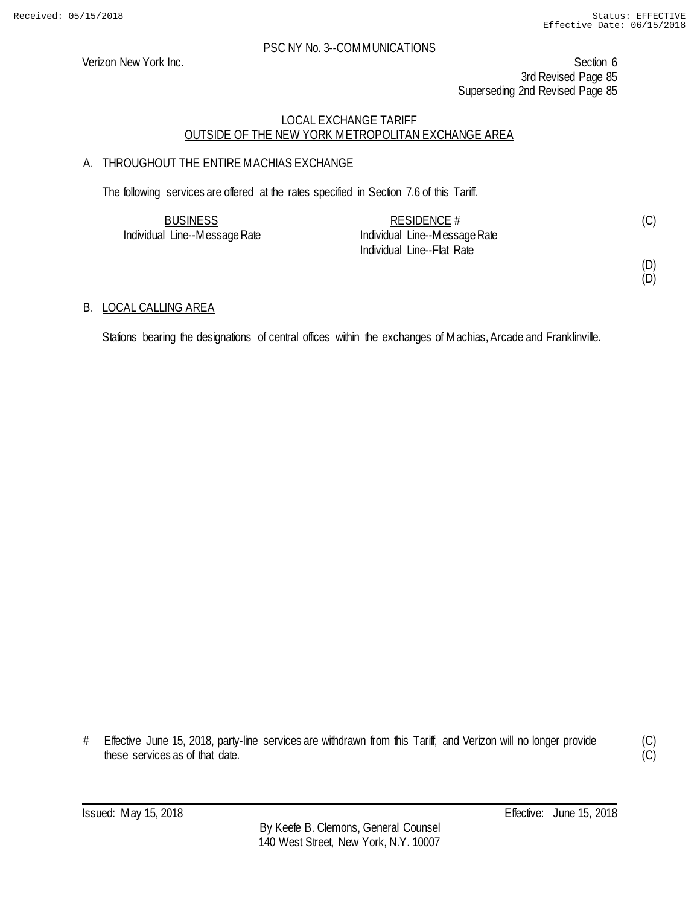Verizon New York Inc. Section 6 3rd Revised Page 85 Superseding 2nd Revised Page 85

## LOCAL EXCHANGE TARIFF OUTSIDE OF THE NEW YORK METROPOLITAN EXCHANGE AREA

## A. THROUGHOUT THE ENTIRE MACHIAS EXCHANGE

The following services are offered at the rates specified in Section 7.6 of this Tariff.

| <b>BUSINESS</b>               | RESIDENCE $#$                 |  |
|-------------------------------|-------------------------------|--|
| Individual Line--Message Rate | Individual Line--Message Rate |  |
|                               | Individual Line--Flat Rate    |  |

(D) (D)

## B. LOCAL CALLING AREA

Stations bearing the designations of central offices within the exchanges of Machias, Arcade and Franklinville.

<sup>#</sup> Effective June 15, 2018, party-line services are withdrawn from this Tariff, and Verizon will no longer provide these services as of that date.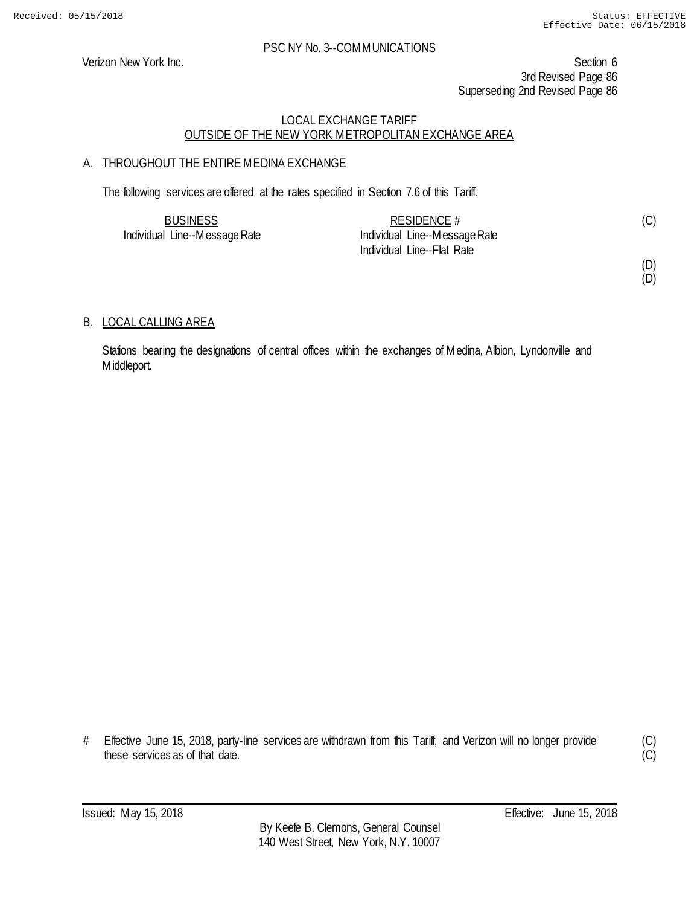Verizon New York Inc. Section 6 3rd Revised Page 86 Superseding 2nd Revised Page 86

## LOCAL EXCHANGE TARIFF OUTSIDE OF THE NEW YORK METROPOLITAN EXCHANGE AREA

## A. THROUGHOUT THE ENTIRE MEDINA EXCHANGE

The following services are offered at the rates specified in Section 7.6 of this Tariff.

| <b>BUSINESS</b>               | RESIDENCE $#$                 | (C) |
|-------------------------------|-------------------------------|-----|
| Individual Line--Message Rate | Individual Line--Message Rate |     |
|                               | Individual Line--Flat Rate    |     |

(D) (D)

## B. LOCAL CALLING AREA

Stations bearing the designations of central offices within the exchanges of Medina, Albion, Lyndonville and Middleport.

# Effective June 15, 2018, party-line services are withdrawn from this Tariff, and Verizon will no longer provide these services as of that date.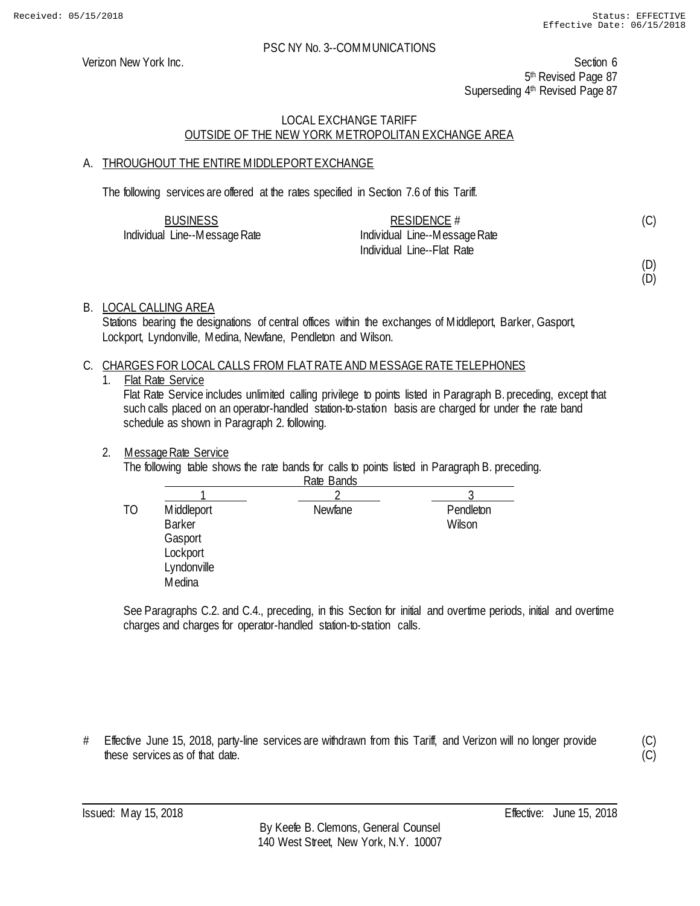Verizon New York Inc. Section 6 5<sup>th</sup> Revised Page 87 Superseding 4<sup>th</sup> Revised Page 87

## LOCAL EXCHANGE TARIFF OUTSIDE OF THE NEW YORK METROPOLITAN EXCHANGE AREA

## A. THROUGHOUT THE ENTIRE MIDDLEPORT EXCHANGE

The following services are offered at the rates specified in Section 7.6 of this Tariff.

| <b>BUSINESS</b>               | RESIDENCE #                   |  |
|-------------------------------|-------------------------------|--|
| Individual Line--Message Rate | Individual Line--Message Rate |  |
|                               | Individual Line--Flat Rate    |  |

(D)

(C)

(D)

## B. LOCAL CALLING AREA

Stations bearing the designations of central offices within the exchanges of Middleport, Barker, Gasport, Lockport, Lyndonville, Medina, Newfane, Pendleton and Wilson.

## C. CHARGES FOR LOCAL CALLS FROM FLAT RATE AND MESSAGE RATE TELEPHONES

## 1. Flat Rate Service

Flat Rate Service includes unlimited calling privilege to points listed in Paragraph B. preceding, except that such calls placed on an operator-handled station-to-station basis are charged for under the rate band schedule as shown in Paragraph 2. following.

#### 2. Message Rate Service

The following table shows the rate bands for calls to points listed in Paragraph B. preceding.

|    |                                                                             | Rate Bands |                     |
|----|-----------------------------------------------------------------------------|------------|---------------------|
|    |                                                                             |            |                     |
| ТO | Middleport<br><b>Barker</b><br>Gasport<br>Lockport<br>Lyndonville<br>Medina | Newfane    | Pendleton<br>Wilson |
|    |                                                                             |            |                     |

See Paragraphs C.2. and C.4., preceding, in this Section for initial and overtime periods, initial and overtime charges and charges for operator-handled station-to-station calls.

# Effective June 15, 2018, party-line services are withdrawn from this Tariff, and Verizon will no longer provide these services as of that date.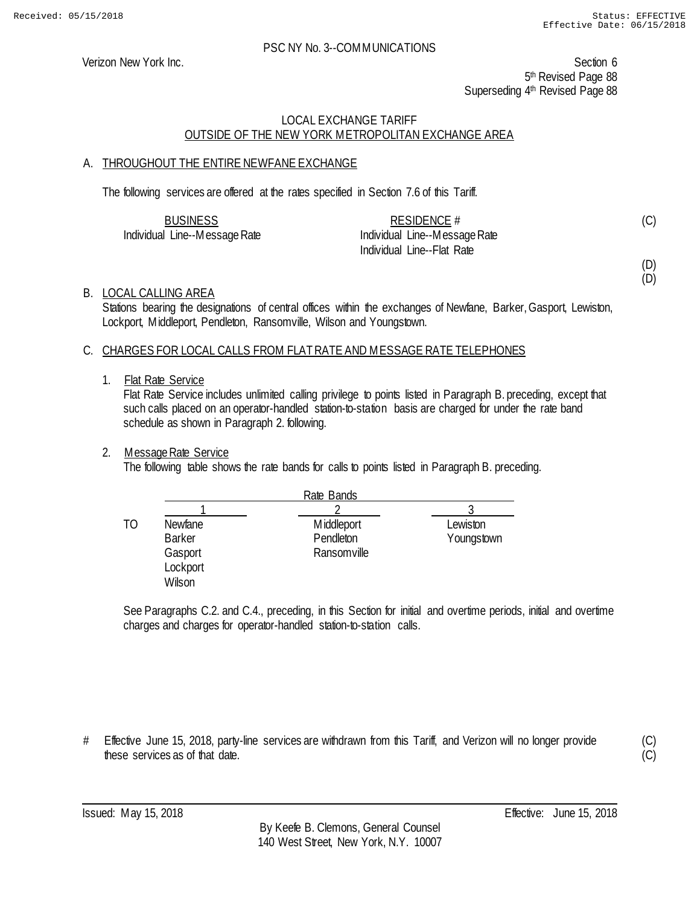Verizon New York Inc. Section 6 5<sup>th</sup> Revised Page 88 Superseding 4<sup>th</sup> Revised Page 88

## LOCAL EXCHANGE TARIFF OUTSIDE OF THE NEW YORK METROPOLITAN EXCHANGE AREA

## A. THROUGHOUT THE ENTIRE NEWFANE EXCHANGE

The following services are offered at the rates specified in Section 7.6 of this Tariff.

| <b>BUSINESS</b>               | RESIDENCE #                   |  |
|-------------------------------|-------------------------------|--|
| Individual Line--Message Rate | Individual Line--Message Rate |  |
|                               | Individual Line--Flat Rate    |  |

(C)

(D) (D)

#### B. LOCAL CALLING AREA

Stations bearing the designations of central offices within the exchanges of Newfane, Barker, Gasport, Lewiston, Lockport, Middleport, Pendleton, Ransomville, Wilson and Youngstown.

#### C. CHARGES FOR LOCAL CALLS FROM FLAT RATE AND MESSAGE RATE TELEPHONES

#### 1. Flat Rate Service

Flat Rate Service includes unlimited calling privilege to points listed in Paragraph B. preceding, except that such calls placed on an operator-handled station-to-station basis are charged for under the rate band schedule as shown in Paragraph 2. following.

#### 2. Message Rate Service

The following table shows the rate bands for calls to points listed in Paragraph B. preceding.

|    |                                                                  | Rate Bands                             |                        |
|----|------------------------------------------------------------------|----------------------------------------|------------------------|
|    |                                                                  |                                        |                        |
| ТO | <b>Newfane</b><br><b>Barker</b><br>Gasport<br>Lockport<br>Wilson | Middleport<br>Pendleton<br>Ransomville | Lewiston<br>Youngstown |

See Paragraphs C.2. and C.4., preceding, in this Section for initial and overtime periods, initial and overtime charges and charges for operator-handled station-to-station calls.

# Effective June 15, 2018, party-line services are withdrawn from this Tariff, and Verizon will no longer provide these services as of that date.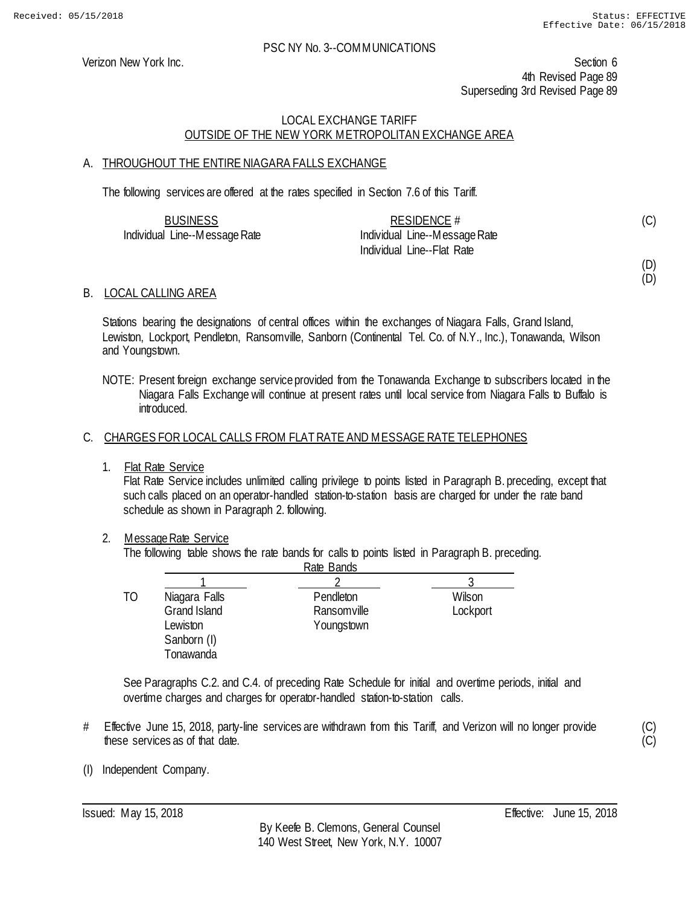Verizon New York Inc. Section 6 4th Revised Page 89 Superseding 3rd Revised Page 89

## LOCAL EXCHANGE TARIFF OUTSIDE OF THE NEW YORK METROPOLITAN EXCHANGE AREA

## A. THROUGHOUT THE ENTIRE NIAGARA FALLS EXCHANGE

The following services are offered at the rates specified in Section 7.6 of this Tariff.

| <b>BUSINESS</b>               | RESIDENCE #                   |  |
|-------------------------------|-------------------------------|--|
| Individual Line--Message Rate | Individual Line--Message Rate |  |
|                               | Individual Line--Flat Rate    |  |

(D)

(D)

(C) (C)

(C)

## B. LOCAL CALLING AREA

Stations bearing the designations of central offices within the exchanges of Niagara Falls, Grand Island, Lewiston, Lockport, Pendleton, Ransomville, Sanborn (Continental Tel. Co. of N.Y., Inc.), Tonawanda, Wilson and Youngstown.

NOTE: Present foreign exchange service provided from the Tonawanda Exchange to subscribers located in the Niagara Falls Exchange will continue at present rates until local service from Niagara Falls to Buffalo is introduced.

#### C. CHARGES FOR LOCAL CALLS FROM FLAT RATE AND MESSAGE RATE TELEPHONES

1. Flat Rate Service

Flat Rate Service includes unlimited calling privilege to points listed in Paragraph B. preceding, except that such calls placed on an operator-handled station-to-station basis are charged for under the rate band schedule as shown in Paragraph 2. following.

#### 2. Message Rate Service

The following table shows the rate bands for calls to points listed in Paragraph B. preceding.

|              | Rate Bands    |          |
|--------------|---------------|----------|
|              |               |          |
|              | Pendleton     | Wilson   |
| Grand Island | Ransomville   | Lockport |
| Lewiston     | Youngstown    |          |
| Sanborn (I)  |               |          |
| Tonawanda    |               |          |
|              | Niagara Falls |          |

See Paragraphs C.2. and C.4. of preceding Rate Schedule for initial and overtime periods, initial and overtime charges and charges for operator-handled station-to-station calls.

- # Effective June 15, 2018, party-line services are withdrawn from this Tariff, and Verizon will no longer provide these services as of that date.
- (I) Independent Company.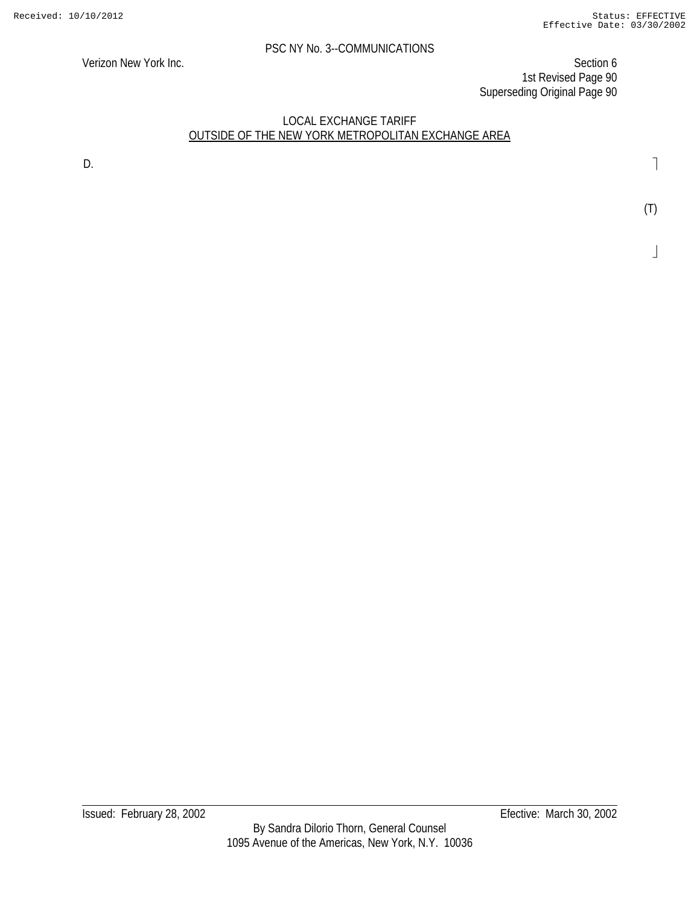Verizon New York Inc. Section 6 1st Revised Page 90 Superseding Original Page 90

## LOCAL EXCHANGE TARIFF OUTSIDE OF THE NEW YORK METROPOLITAN EXCHANGE AREA

D.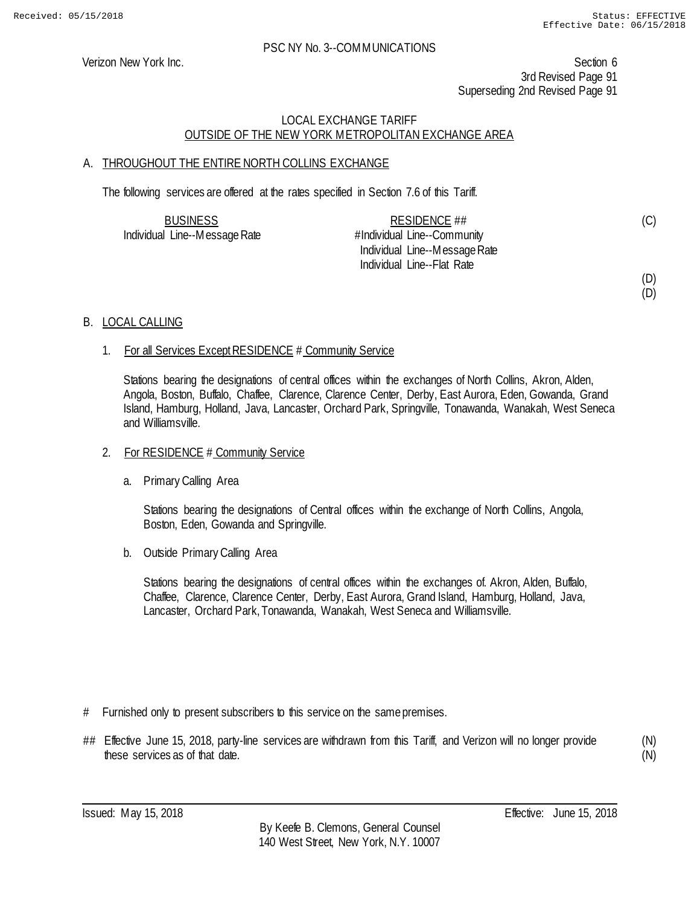Verizon New York Inc. Section 6 3rd Revised Page 91 Superseding 2nd Revised Page 91

## LOCAL EXCHANGE TARIFF OUTSIDE OF THE NEW YORK METROPOLITAN EXCHANGE AREA

## A. THROUGHOUT THE ENTIRE NORTH COLLINS EXCHANGE

The following services are offered at the rates specified in Section 7.6 of this Tariff.

| <b>BUSINESS</b>               | RESIDENCE $\#$                |  |
|-------------------------------|-------------------------------|--|
| Individual Line--Message Rate | #Individual Line--Community   |  |
|                               | Individual Line--Message Rate |  |
|                               | Individual Line--Flat Rate    |  |

#### (D) (D)

(C)

## B. LOCAL CALLING

## 1. For all Services Except RESIDENCE # Community Service

Stations bearing the designations of central offices within the exchanges of North Collins, Akron, Alden, Angola, Boston, Buffalo, Chaffee, Clarence, Clarence Center, Derby, East Aurora, Eden, Gowanda, Grand Island, Hamburg, Holland, Java, Lancaster, Orchard Park, Springville, Tonawanda, Wanakah, West Seneca and Williamsville.

#### 2. For RESIDENCE # Community Service

a. Primary Calling Area

Stations bearing the designations of Central offices within the exchange of North Collins, Angola, Boston, Eden, Gowanda and Springville.

b. Outside Primary Calling Area

Stations bearing the designations of central offices within the exchanges of. Akron, Alden, Buffalo, Chaffee, Clarence, Clarence Center, Derby, East Aurora, Grand Island, Hamburg, Holland, Java, Lancaster, Orchard Park, Tonawanda, Wanakah, West Seneca and Williamsville.

- # Furnished only to present subscribers to this service on the same premises.
- ## Effective June 15, 2018, party-line services are withdrawn from this Tariff, and Verizon will no longer provide these services as of that date.

(N) (N)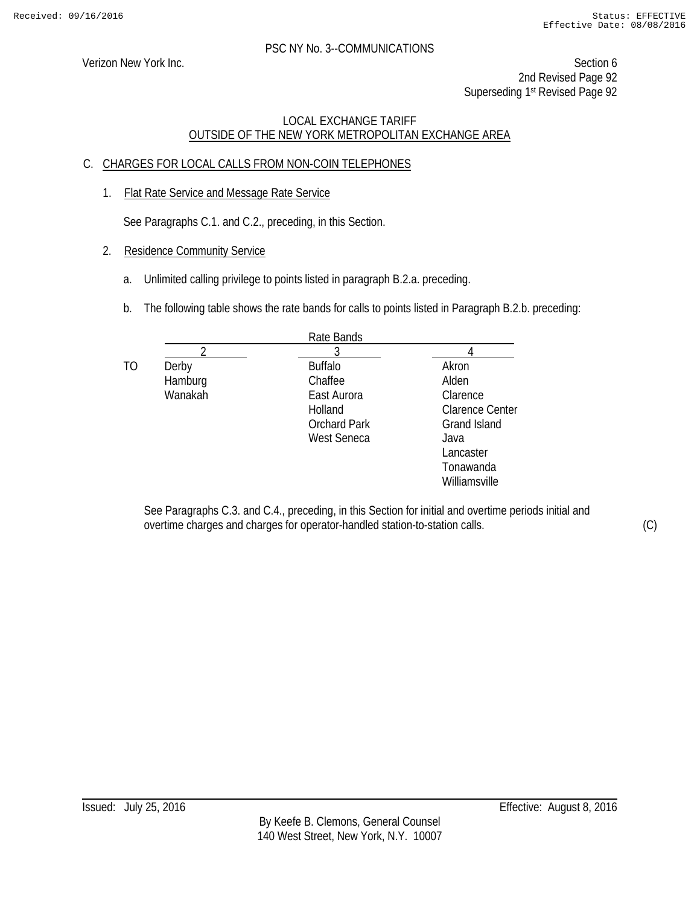Verizon New York Inc. Section 6 2nd Revised Page 92 Superseding 1<sup>st</sup> Revised Page 92

## LOCAL EXCHANGE TARIFF OUTSIDE OF THE NEW YORK METROPOLITAN EXCHANGE AREA

## C. CHARGES FOR LOCAL CALLS FROM NON-COIN TELEPHONES

1. Flat Rate Service and Message Rate Service

See Paragraphs C.1. and C.2., preceding, in this Section.

- 2. Residence Community Service
	- a. Unlimited calling privilege to points listed in paragraph B.2.a. preceding.
	- b. The following table shows the rate bands for calls to points listed in Paragraph B.2.b. preceding:

|    |                             | Rate Bands                                                                                |                                                                              |
|----|-----------------------------|-------------------------------------------------------------------------------------------|------------------------------------------------------------------------------|
|    |                             | 3                                                                                         |                                                                              |
| TO | Derby<br>Hamburg<br>Wanakah | <b>Buffalo</b><br>Chaffee<br>East Aurora<br>Holland<br><b>Orchard Park</b><br>West Seneca | Akron<br>Alden<br>Clarence<br><b>Clarence Center</b><br>Grand Island<br>Java |
|    |                             |                                                                                           | Lancaster<br>Tonawanda<br>Williamsville                                      |

See Paragraphs C.3. and C.4., preceding, in this Section for initial and overtime periods initial and overtime charges and charges for operator-handled station-to-station calls. (C)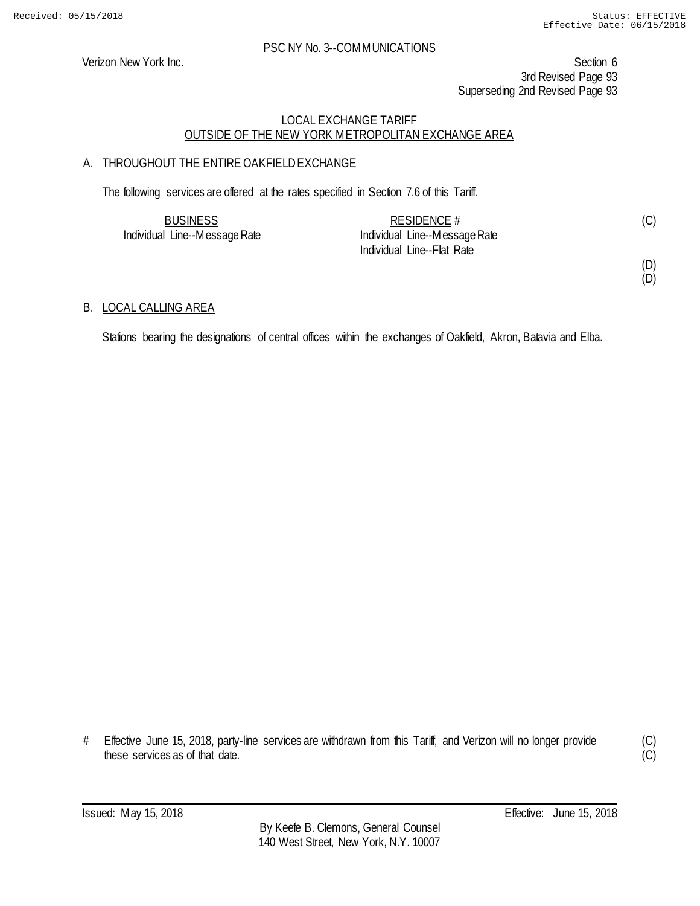Verizon New York Inc. Section 6 3rd Revised Page 93 Superseding 2nd Revised Page 93

## LOCAL EXCHANGE TARIFF OUTSIDE OF THE NEW YORK METROPOLITAN EXCHANGE AREA

## A. THROUGHOUT THE ENTIRE OAKFIELD EXCHANGE

The following services are offered at the rates specified in Section 7.6 of this Tariff.

| <b>BUSINESS</b>               | RESIDENCE $#$                 |  |
|-------------------------------|-------------------------------|--|
| Individual Line--Message Rate | Individual Line--Message Rate |  |
|                               | Individual Line--Flat Rate    |  |

(D) (D)

## B. LOCAL CALLING AREA

Stations bearing the designations of central offices within the exchanges of Oakfield, Akron, Batavia and Elba.

# Effective June 15, 2018, party-line services are withdrawn from this Tariff, and Verizon will no longer provide these services as of that date.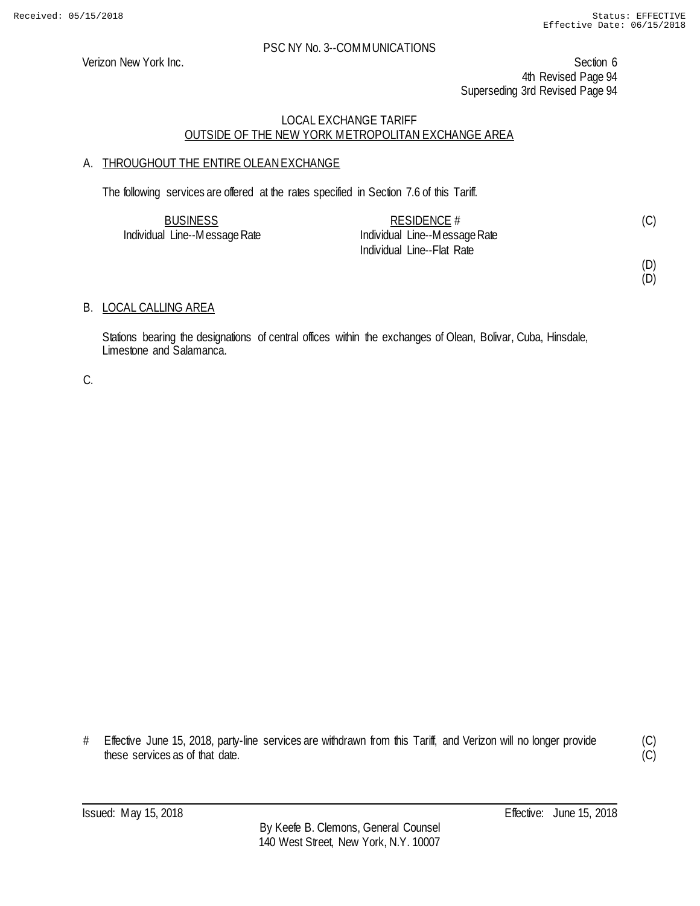Verizon New York Inc. Section 6 4th Revised Page 94 Superseding 3rd Revised Page 94

## LOCAL EXCHANGE TARIFF OUTSIDE OF THE NEW YORK METROPOLITAN EXCHANGE AREA

## A. THROUGHOUT THE ENTIRE OLEAN EXCHANGE

The following services are offered at the rates specified in Section 7.6 of this Tariff.

| <b>BUSINESS</b>               | RESIDENCE $#$                 |  |
|-------------------------------|-------------------------------|--|
| Individual Line--Message Rate | Individual Line--Message Rate |  |
|                               | Individual Line--Flat Rate    |  |

(D)

(D)

## B. LOCAL CALLING AREA

Stations bearing the designations of central offices within the exchanges of Olean, Bolivar, Cuba, Hinsdale, Limestone and Salamanca.

C.

# Effective June 15, 2018, party-line services are withdrawn from this Tariff, and Verizon will no longer provide these services as of that date.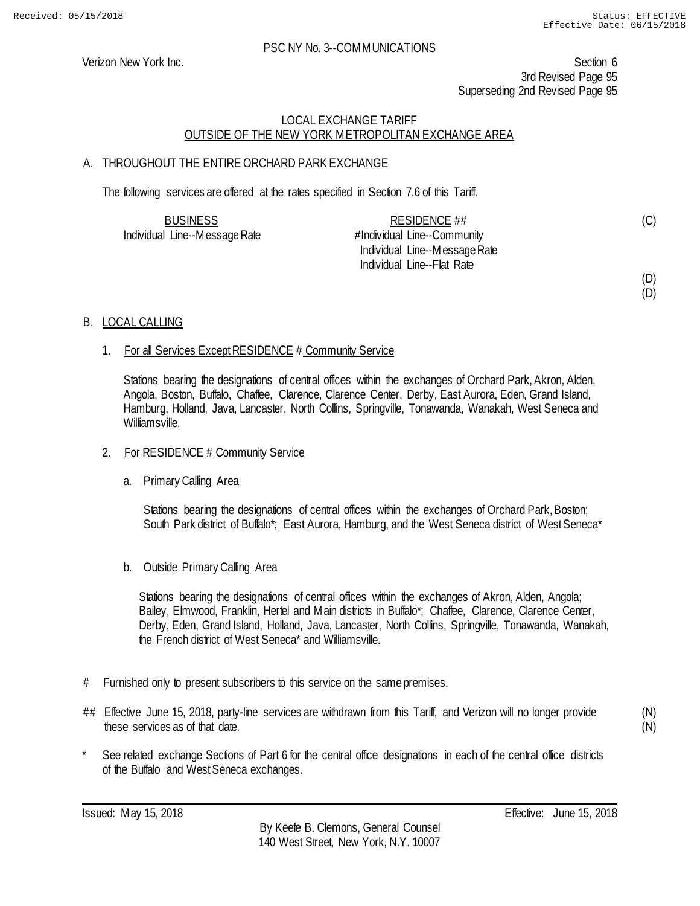Verizon New York Inc. Section 6 3rd Revised Page 95 Superseding 2nd Revised Page 95

## LOCAL EXCHANGE TARIFF OUTSIDE OF THE NEW YORK METROPOLITAN EXCHANGE AREA

## A. THROUGHOUT THE ENTIRE ORCHARD PARK EXCHANGE

The following services are offered at the rates specified in Section 7.6 of this Tariff.

| <b>BUSINESS</b>               | RESIDENCE $\#$                |  |
|-------------------------------|-------------------------------|--|
| Individual Line--Message Rate | #Individual Line--Community   |  |
|                               | Individual Line--Message Rate |  |
|                               | Individual Line--Flat Rate    |  |

#### (D) (D)

(C)

B. LOCAL CALLING

## 1. For all Services Except RESIDENCE # Community Service

Stations bearing the designations of central offices within the exchanges of Orchard Park, Akron, Alden, Angola, Boston, Buffalo, Chaffee, Clarence, Clarence Center, Derby, East Aurora, Eden, Grand Island, Hamburg, Holland, Java, Lancaster, North Collins, Springville, Tonawanda, Wanakah, West Seneca and Williamsville.

## 2. For RESIDENCE # Community Service

a. Primary Calling Area

Stations bearing the designations of central offices within the exchanges of Orchard Park, Boston; South Park district of Buffalo\*; East Aurora, Hamburg, and the West Seneca district of West Seneca\*

b. Outside Primary Calling Area

Stations bearing the designations of central offices within the exchanges of Akron, Alden, Angola; Bailey, Elmwood, Franklin, Hertel and Main districts in Buffalo\*; Chaffee, Clarence, Clarence Center, Derby, Eden, Grand Island, Holland, Java, Lancaster, North Collins, Springville, Tonawanda, Wanakah, the French district of West Seneca\* and Williamsville.

- # Furnished only to present subscribers to this service on the same premises.
- ## Effective June 15, 2018, party-line services are withdrawn from this Tariff, and Verizon will no longer provide these services as of that date.

(N) (N)

See related exchange Sections of Part 6 for the central office designations in each of the central office districts of the Buffalo and West Seneca exchanges.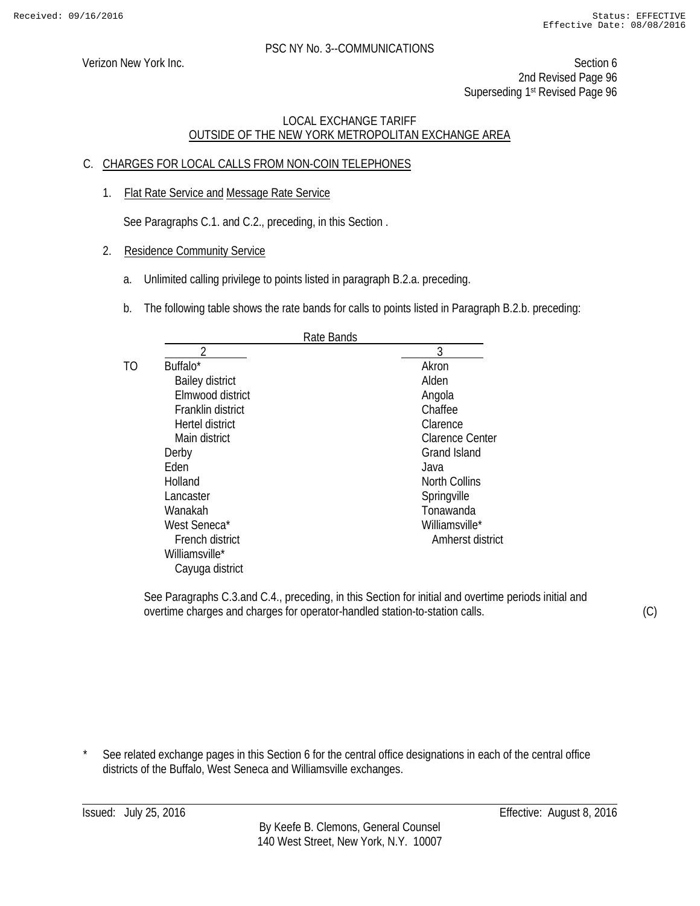Verizon New York Inc. Section 6 2nd Revised Page 96 Superseding 1<sup>st</sup> Revised Page 96

## LOCAL EXCHANGE TARIFF OUTSIDE OF THE NEW YORK METROPOLITAN EXCHANGE AREA

## C. CHARGES FOR LOCAL CALLS FROM NON-COIN TELEPHONES

1. Flat Rate Service and Message Rate Service

See Paragraphs C.1. and C.2., preceding, in this Section .

- 2. Residence Community Service
	- a. Unlimited calling privilege to points listed in paragraph B.2.a. preceding.
	- b. The following table shows the rate bands for calls to points listed in Paragraph B.2.b. preceding:

|    | Rate Bands             |                        |
|----|------------------------|------------------------|
|    |                        | 3                      |
| TΟ | Buffalo*               | Akron                  |
|    | <b>Bailey district</b> | Alden                  |
|    | Elmwood district       | Angola                 |
|    | Franklin district      | Chaffee                |
|    | Hertel district        | Clarence               |
|    | Main district          | <b>Clarence Center</b> |
|    | Derby                  | <b>Grand Island</b>    |
|    | Eden                   | Java                   |
|    | Holland                | <b>North Collins</b>   |
|    | Lancaster              | Springville            |
|    | Wanakah                | Tonawanda              |
|    | West Seneca*           | Williamsville*         |
|    | French district        | Amherst district       |
|    | Williamsville*         |                        |
|    | Cayuga district        |                        |
|    |                        |                        |

See Paragraphs C.3.and C.4., preceding, in this Section for initial and overtime periods initial and overtime charges and charges for operator-handled station-to-station calls.

(C)

See related exchange pages in this Section 6 for the central office designations in each of the central office districts of the Buffalo, West Seneca and Williamsville exchanges.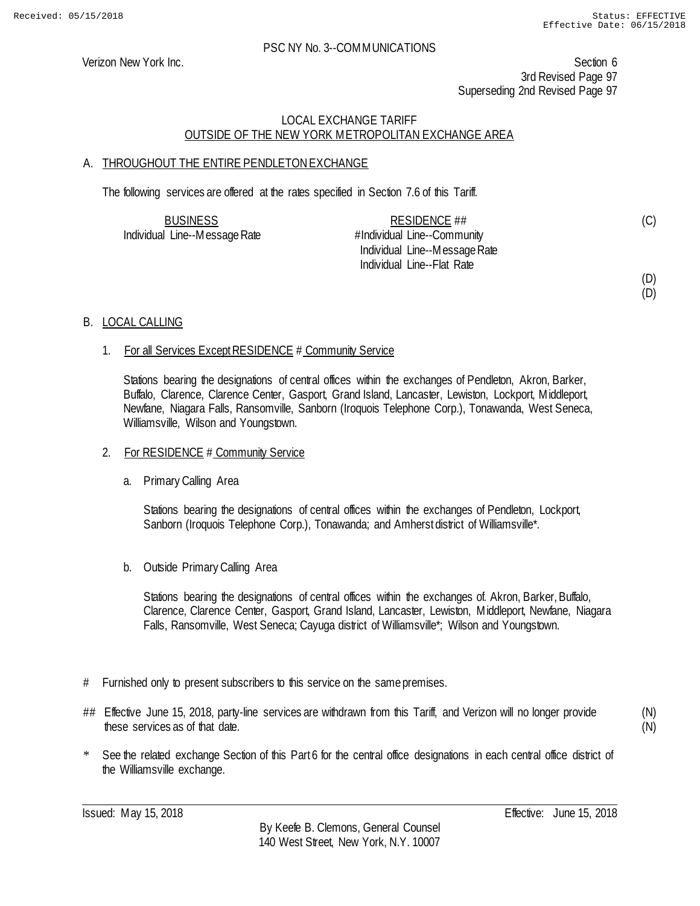Verizon New York Inc. Section 6 3rd Revised Page 97 Superseding 2nd Revised Page 97

## LOCAL EXCHANGE TARIFF OUTSIDE OF THE NEW YORK METROPOLITAN EXCHANGE AREA

## A. THROUGHOUT THE ENTIRE PENDLETON EXCHANGE

The following services are offered at the rates specified in Section 7.6 of this Tariff.

| <b>BUSINESS</b>               | RESIDENCE ##                  | (C)                 |
|-------------------------------|-------------------------------|---------------------|
| Individual Line--Message Rate | #Individual Line--Community   |                     |
|                               | Individual Line--Message Rate |                     |
|                               | Individual Line--Flat Rate    |                     |
|                               |                               | $\lambda = \lambda$ |

#### (D) (D)

## B. LOCAL CALLING

## 1. For all Services Except RESIDENCE # Community Service

Stations bearing the designations of central offices within the exchanges of Pendleton, Akron, Barker, Buffalo, Clarence, Clarence Center, Gasport, Grand Island, Lancaster, Lewiston, Lockport, Middleport, Newfane, Niagara Falls, Ransomville, Sanborn (Iroquois Telephone Corp.), Tonawanda, West Seneca, Williamsville, Wilson and Youngstown.

#### 2. For RESIDENCE # Community Service

#### a. Primary Calling Area

Stations bearing the designations of central offices within the exchanges of Pendleton, Lockport, Sanborn (Iroquois Telephone Corp.), Tonawanda; and Amherst district of Williamsville\*.

b. Outside Primary Calling Area

Stations bearing the designations of central offices within the exchanges of. Akron, Barker, Buffalo, Clarence, Clarence Center, Gasport, Grand Island, Lancaster, Lewiston, Middleport, Newfane, Niagara Falls, Ransomville, West Seneca; Cayuga district of Williamsville\*; Wilson and Youngstown.

- # Furnished only to present subscribers to this service on the same premises.
- ## Effective June 15, 2018, party-line services are withdrawn from this Tariff, and Verizon will no longer provide these services as of that date.

(N) (N)

See the related exchange Section of this Part 6 for the central office designations in each central office district of the Williamsville exchange.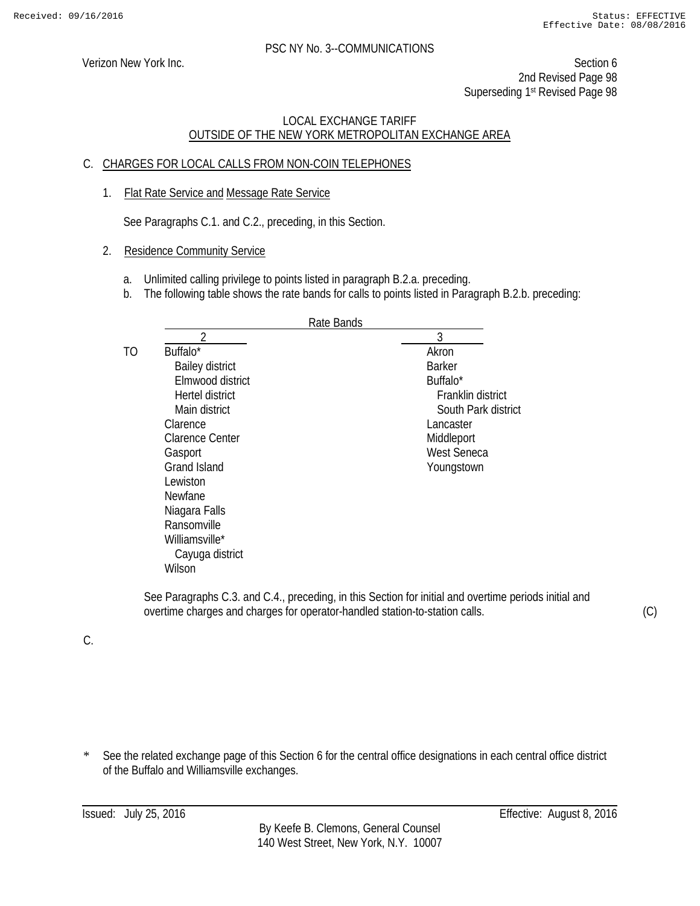Verizon New York Inc. Section 6 2nd Revised Page 98 Superseding 1st Revised Page 98

## LOCAL EXCHANGE TARIFF OUTSIDE OF THE NEW YORK METROPOLITAN EXCHANGE AREA

## C. CHARGES FOR LOCAL CALLS FROM NON-COIN TELEPHONES

1. Flat Rate Service and Message Rate Service

See Paragraphs C.1. and C.2., preceding, in this Section.

## 2. Residence Community Service

- a. Unlimited calling privilege to points listed in paragraph B.2.a. preceding.
- b. The following table shows the rate bands for calls to points listed in Paragraph B.2.b. preceding:

|    | Rate Bands             |                      |
|----|------------------------|----------------------|
|    | ว                      | 3                    |
| TO | Buffalo <sup>*</sup>   | Akron                |
|    | <b>Bailey district</b> | <b>Barker</b>        |
|    | Elmwood district       | Buffalo <sup>*</sup> |
|    | Hertel district        | Franklin district    |
|    | Main district          | South Park district  |
|    | Clarence               | Lancaster            |
|    | <b>Clarence Center</b> | Middleport           |
|    | Gasport                | <b>West Seneca</b>   |
|    | <b>Grand Island</b>    | Youngstown           |
|    | Lewiston               |                      |
|    | <b>Newfane</b>         |                      |
|    | Niagara Falls          |                      |
|    | Ransomville            |                      |
|    | Williamsville*         |                      |
|    | Cayuga district        |                      |
|    | Wilson                 |                      |
|    |                        |                      |

See Paragraphs C.3. and C.4., preceding, in this Section for initial and overtime periods initial and overtime charges and charges for operator-handled station-to-station calls.

C.

\* See the related exchange page of this Section 6 for the central office designations in each central office district of the Buffalo and Williamsville exchanges.

(C)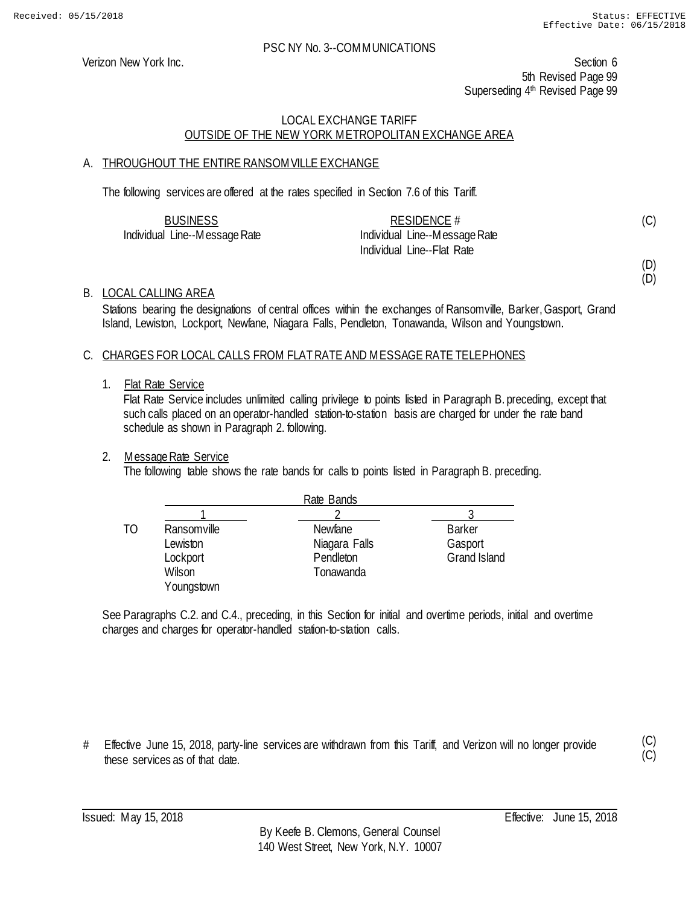Verizon New York Inc. Section 6 5th Revised Page 99 Superseding 4<sup>th</sup> Revised Page 99

## LOCAL EXCHANGE TARIFF OUTSIDE OF THE NEW YORK METROPOLITAN EXCHANGE AREA

## A. THROUGHOUT THE ENTIRE RANSOMVILLE EXCHANGE

The following services are offered at the rates specified in Section 7.6 of this Tariff.

| <b>BUSINESS</b>               | RESIDENCE $#$                 |  |
|-------------------------------|-------------------------------|--|
| Individual Line--Message Rate | Individual Line--Message Rate |  |
|                               | Individual Line--Flat Rate    |  |

(D)

(D)

(C)

B. LOCAL CALLING AREA

Stations bearing the designations of central offices within the exchanges of Ransomville, Barker, Gasport, Grand Island, Lewiston, Lockport, Newfane, Niagara Falls, Pendleton, Tonawanda, Wilson and Youngstown.

## C. CHARGES FOR LOCAL CALLS FROM FLAT RATE AND MESSAGE RATE TELEPHONES

#### 1. Flat Rate Service

Flat Rate Service includes unlimited calling privilege to points listed in Paragraph B. preceding, except that such calls placed on an operator-handled station-to-station basis are charged for under the rate band schedule as shown in Paragraph 2. following.

## 2. Message Rate Service

The following table shows the rate bands for calls to points listed in Paragraph B. preceding.

|    |             | Rate Bands     |                     |
|----|-------------|----------------|---------------------|
|    |             |                |                     |
| TΟ | Ransomville | <b>Newfane</b> | <b>Barker</b>       |
|    | Lewiston    | Niagara Falls  | Gasport             |
|    | Lockport    | Pendleton      | <b>Grand Island</b> |
|    | Wilson      | Tonawanda      |                     |
|    | Youngstown  |                |                     |

See Paragraphs C.2. and C.4., preceding, in this Section for initial and overtime periods, initial and overtime charges and charges for operator-handled station-to-station calls.

# Effective June 15, 2018, party-line services are withdrawn from this Tariff, and Verizon will no longer provide these services as of that date.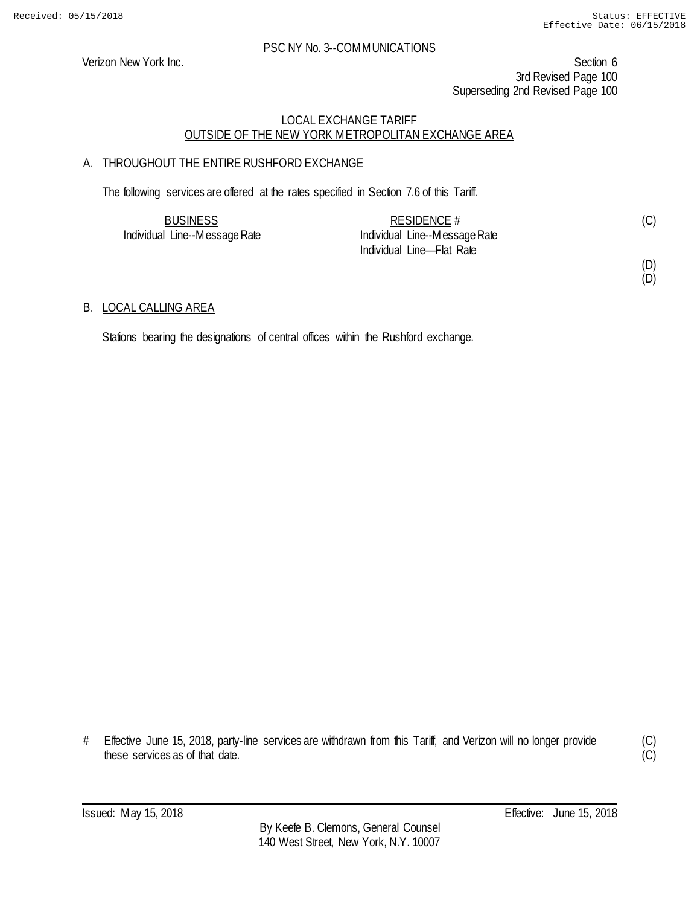Verizon New York Inc. Section 6 3rd Revised Page 100 Superseding 2nd Revised Page 100

## LOCAL EXCHANGE TARIFF OUTSIDE OF THE NEW YORK METROPOLITAN EXCHANGE AREA

## A. THROUGHOUT THE ENTIRE RUSHFORD EXCHANGE

The following services are offered at the rates specified in Section 7.6 of this Tariff.

| <b>BUSINESS</b>               | RESIDENCE $#$                 | (C) |
|-------------------------------|-------------------------------|-----|
| Individual Line--Message Rate | Individual Line--Message Rate |     |
|                               | Individual Line-Flat Rate     |     |

(D) (D)

## B. LOCAL CALLING AREA

Stations bearing the designations of central offices within the Rushford exchange.

<sup>#</sup> Effective June 15, 2018, party-line services are withdrawn from this Tariff, and Verizon will no longer provide these services as of that date.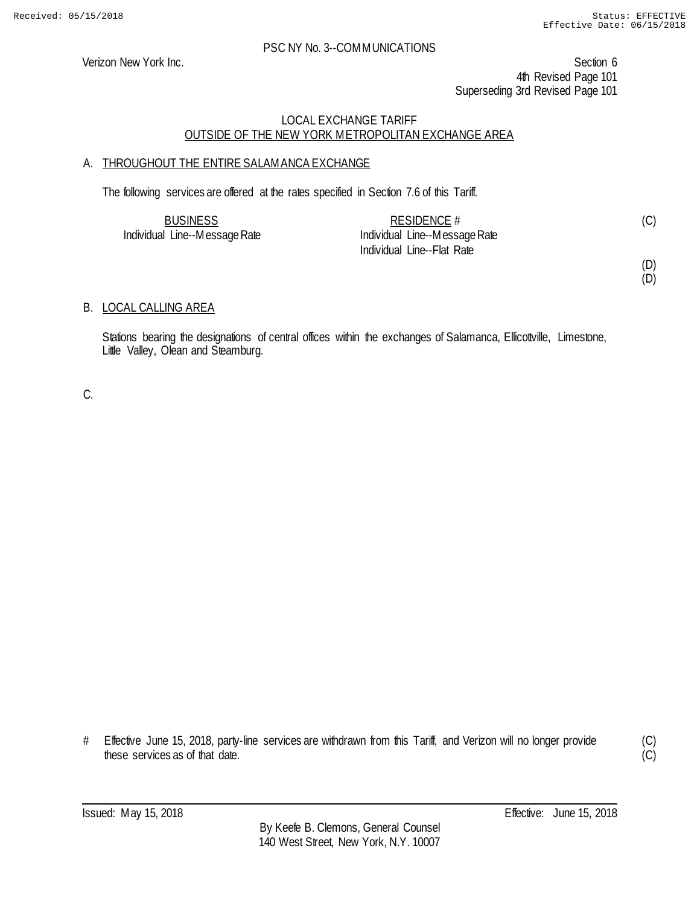Verizon New York Inc. Section 6 4th Revised Page 101 Superseding 3rd Revised Page 101

## LOCAL EXCHANGE TARIFF OUTSIDE OF THE NEW YORK METROPOLITAN EXCHANGE AREA

## A. THROUGHOUT THE ENTIRE SALAMANCA EXCHANGE

The following services are offered at the rates specified in Section 7.6 of this Tariff.

| <b>BUSINESS</b>               | RESIDENCE $#$                 |  |
|-------------------------------|-------------------------------|--|
| Individual Line--Message Rate | Individual Line--Message Rate |  |
|                               | Individual Line--Flat Rate    |  |

## (D)

(D)

## B. LOCAL CALLING AREA

Stations bearing the designations of central offices within the exchanges of Salamanca, Ellicottville, Limestone, Little Valley, Olean and Steamburg.

C.

# Effective June 15, 2018, party-line services are withdrawn from this Tariff, and Verizon will no longer provide these services as of that date.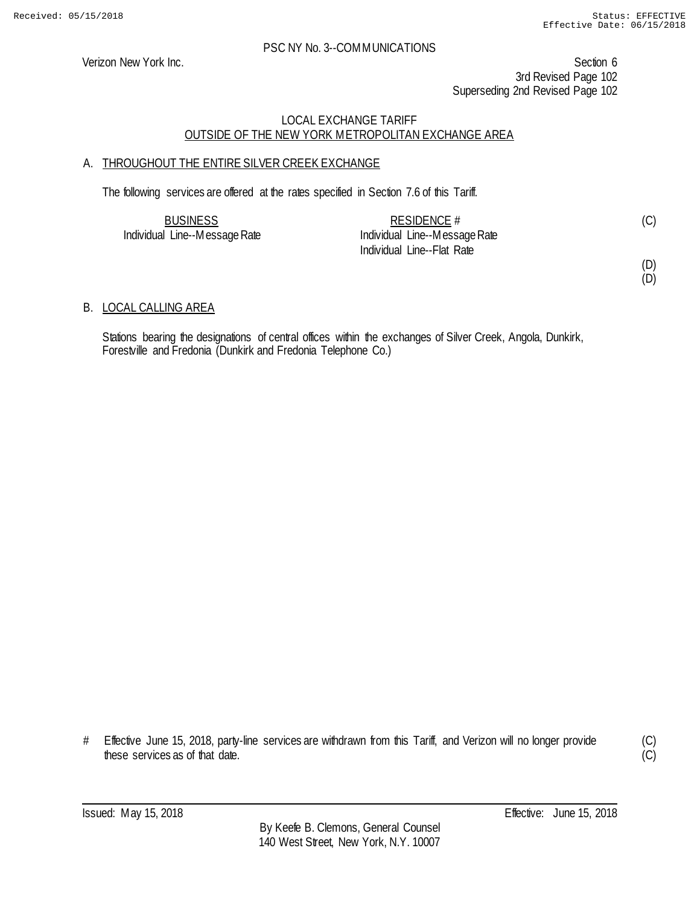Verizon New York Inc. Section 6 3rd Revised Page 102 Superseding 2nd Revised Page 102

## LOCAL EXCHANGE TARIFF OUTSIDE OF THE NEW YORK METROPOLITAN EXCHANGE AREA

## A. THROUGHOUT THE ENTIRE SILVER CREEK EXCHANGE

The following services are offered at the rates specified in Section 7.6 of this Tariff.

| <b>BUSINESS</b>               | RESIDENCE $#$                 |  |
|-------------------------------|-------------------------------|--|
| Individual Line--Message Rate | Individual Line--Message Rate |  |
|                               | Individual Line--Flat Rate    |  |

## (D)

(D)

## B. LOCAL CALLING AREA

Stations bearing the designations of central offices within the exchanges of Silver Creek, Angola, Dunkirk, Forestville and Fredonia (Dunkirk and Fredonia Telephone Co.)

# Effective June 15, 2018, party-line services are withdrawn from this Tariff, and Verizon will no longer provide these services as of that date.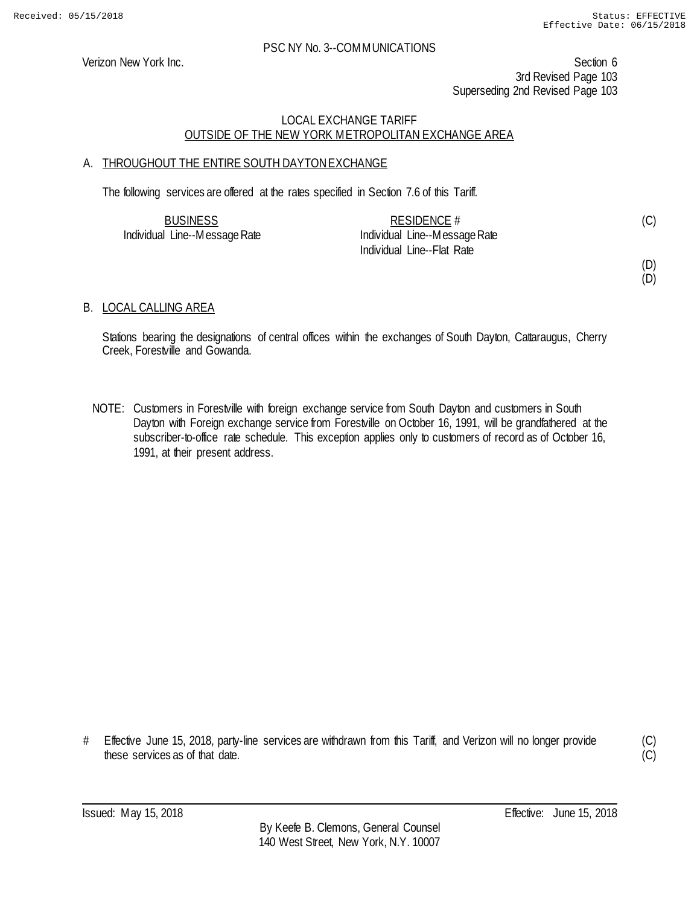Verizon New York Inc. Section 6 3rd Revised Page 103 Superseding 2nd Revised Page 103

## LOCAL EXCHANGE TARIFF OUTSIDE OF THE NEW YORK METROPOLITAN EXCHANGE AREA

## A. THROUGHOUT THE ENTIRE SOUTH DAYTON EXCHANGE

The following services are offered at the rates specified in Section 7.6 of this Tariff.

| <b>BUSINESS</b>               | RESIDENCE $#$                 |  |
|-------------------------------|-------------------------------|--|
| Individual Line--Message Rate | Individual Line--Message Rate |  |
|                               | Individual Line--Flat Rate    |  |

(D)

(C)

# (D)

## B. LOCAL CALLING AREA

Stations bearing the designations of central offices within the exchanges of South Dayton, Cattaraugus, Cherry Creek, Forestville and Gowanda.

NOTE: Customers in Forestville with foreign exchange service from South Dayton and customers in South Dayton with Foreign exchange service from Forestville on October 16, 1991, will be grandfathered at the subscriber-to-office rate schedule. This exception applies only to customers of record as of October 16, 1991, at their present address.

# Effective June 15, 2018, party-line services are withdrawn from this Tariff, and Verizon will no longer provide these services as of that date.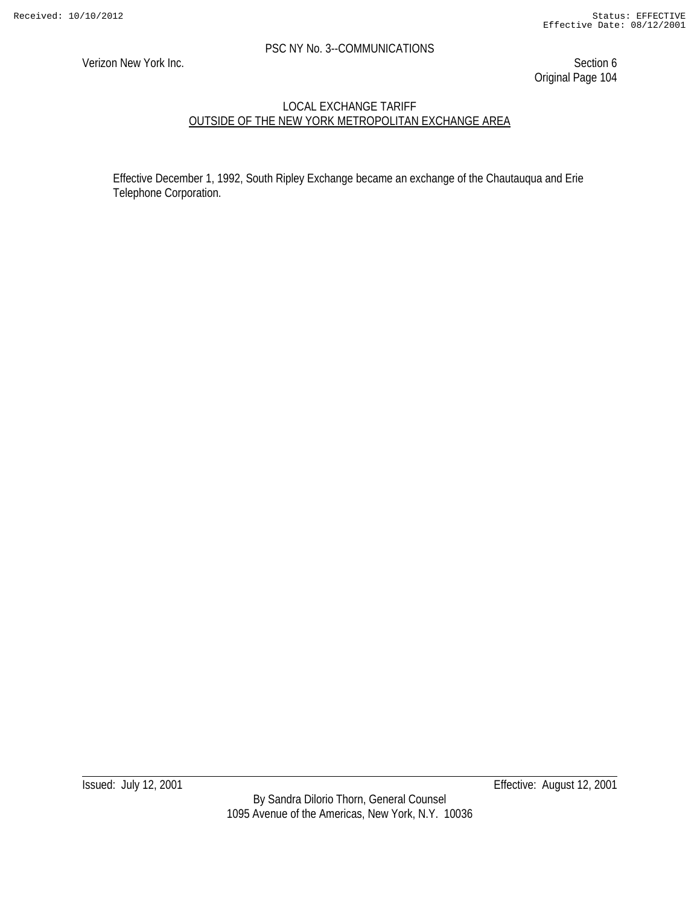Verizon New York Inc. Section 6 Original Page 104

## LOCAL EXCHANGE TARIFF OUTSIDE OF THE NEW YORK METROPOLITAN EXCHANGE AREA

Effective December 1, 1992, South Ripley Exchange became an exchange of the Chautauqua and Erie Telephone Corporation.

Issued: July 12, 2001 Effective: August 12, 2001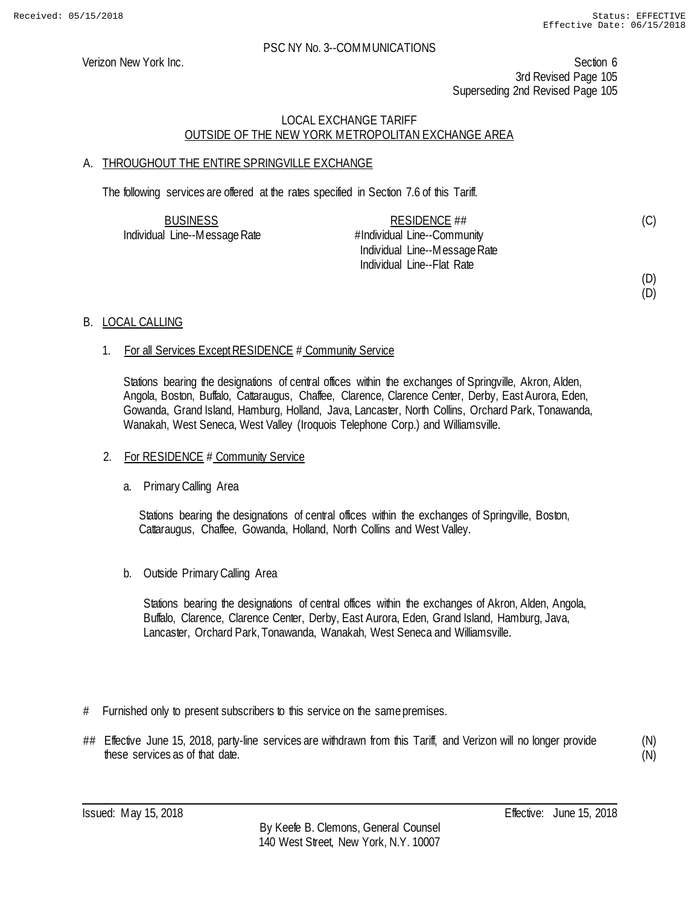Verizon New York Inc. Section 6 3rd Revised Page 105 Superseding 2nd Revised Page 105

## LOCAL EXCHANGE TARIFF OUTSIDE OF THE NEW YORK METROPOLITAN EXCHANGE AREA

## A. THROUGHOUT THE ENTIRE SPRINGVILLE EXCHANGE

The following services are offered at the rates specified in Section 7.6 of this Tariff.

| <b>BUSINESS</b>               | RESIDENCE ##                  |  |
|-------------------------------|-------------------------------|--|
| Individual Line--Message Rate | #Individual Line--Community   |  |
|                               | Individual Line--Message Rate |  |
|                               | Individual Line--Flat Rate    |  |

#### (D) (D)

(C)

## B. LOCAL CALLING

## 1. For all Services Except RESIDENCE # Community Service

Stations bearing the designations of central offices within the exchanges of Springville, Akron, Alden, Angola, Boston, Buffalo, Cattaraugus, Chaffee, Clarence, Clarence Center, Derby, East Aurora, Eden, Gowanda, Grand Island, Hamburg, Holland, Java, Lancaster, North Collins, Orchard Park, Tonawanda, Wanakah, West Seneca, West Valley (Iroquois Telephone Corp.) and Williamsville.

## 2. For RESIDENCE # Community Service

## a. Primary Calling Area

Stations bearing the designations of central offices within the exchanges of Springville, Boston, Cattaraugus, Chaffee, Gowanda, Holland, North Collins and West Valley.

b. Outside Primary Calling Area

Stations bearing the designations of central offices within the exchanges of Akron, Alden, Angola, Buffalo, Clarence, Clarence Center, Derby, East Aurora, Eden, Grand Island, Hamburg, Java, Lancaster, Orchard Park, Tonawanda, Wanakah, West Seneca and Williamsville.

- # Furnished only to present subscribers to this service on the same premises.
- ## Effective June 15, 2018, party-line services are withdrawn from this Tariff, and Verizon will no longer provide these services as of that date.

(N) (N)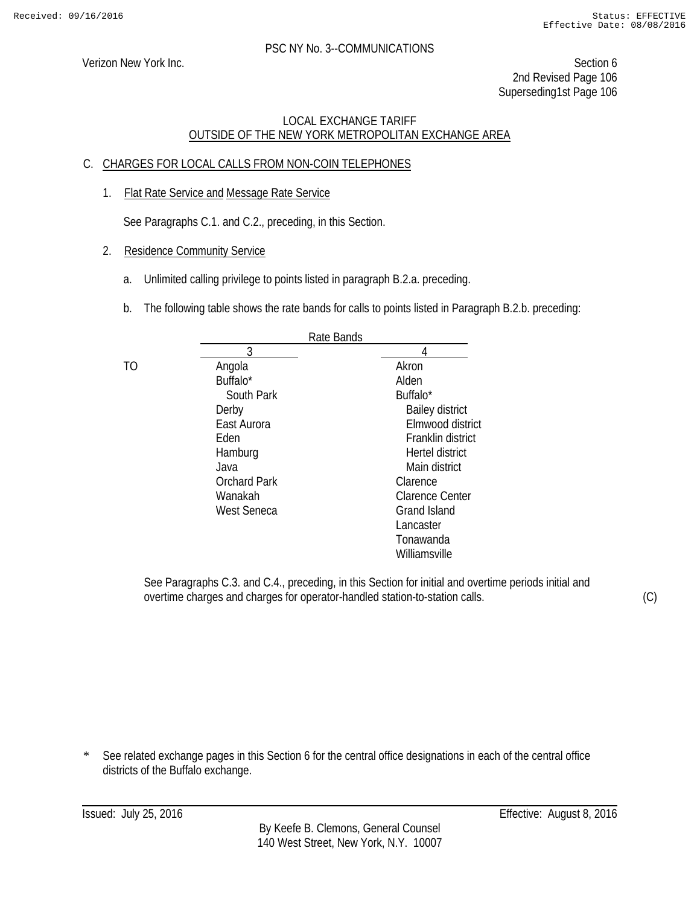Verizon New York Inc. Section 6 2nd Revised Page 106 Superseding1st Page 106

## LOCAL EXCHANGE TARIFF OUTSIDE OF THE NEW YORK METROPOLITAN EXCHANGE AREA

## C. CHARGES FOR LOCAL CALLS FROM NON-COIN TELEPHONES

1. Flat Rate Service and Message Rate Service

See Paragraphs C.1. and C.2., preceding, in this Section.

- 2. Residence Community Service
	- a. Unlimited calling privilege to points listed in paragraph B.2.a. preceding.
	- b. The following table shows the rate bands for calls to points listed in Paragraph B.2.b. preceding:

|    |                      | Rate Bands |                        |
|----|----------------------|------------|------------------------|
|    | 3                    |            |                        |
| TO | Angola               |            | Akron                  |
|    | Buffalo <sup>*</sup> |            | Alden                  |
|    | South Park           |            | Buffalo*               |
|    | Derby                |            | <b>Bailey district</b> |
|    | East Aurora          |            | Elmwood district       |
|    | Eden                 |            | Franklin district      |
|    | Hamburg              |            | Hertel district        |
|    | Java                 |            | Main district          |
|    | <b>Orchard Park</b>  |            | Clarence               |
|    | Wanakah              |            | <b>Clarence Center</b> |
|    | <b>West Seneca</b>   |            | <b>Grand Island</b>    |
|    |                      |            | Lancaster              |
|    |                      |            | Tonawanda              |
|    |                      |            | Williamsville          |
|    |                      |            |                        |

See Paragraphs C.3. and C.4., preceding, in this Section for initial and overtime periods initial and overtime charges and charges for operator-handled station-to-station calls.

(C)

\* See related exchange pages in this Section 6 for the central office designations in each of the central office districts of the Buffalo exchange.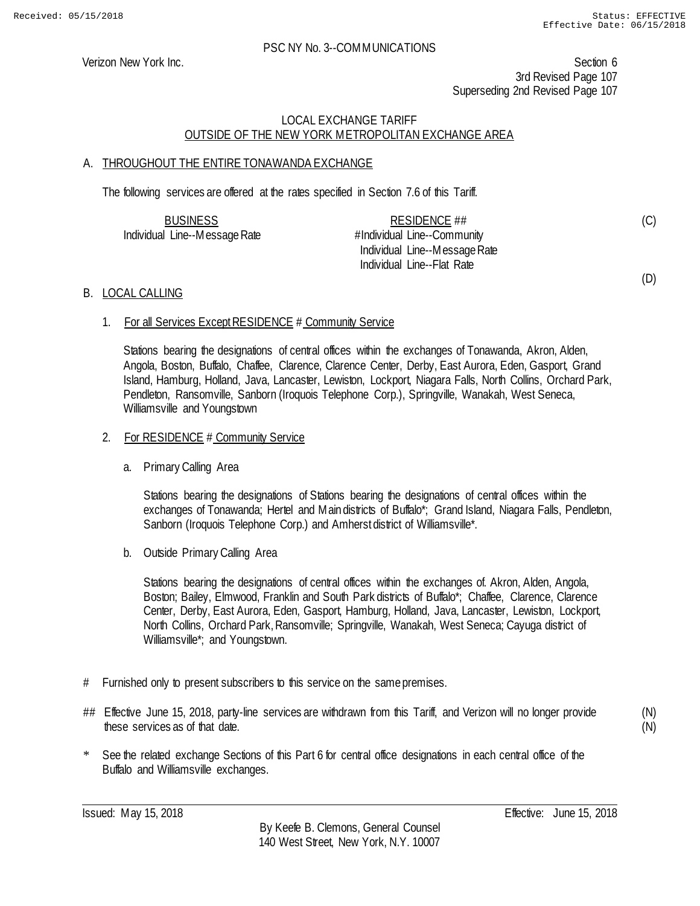(C)

(D)

#### PSC NY No. 3--COMMUNICATIONS

Verizon New York Inc. Section 6 3rd Revised Page 107 Superseding 2nd Revised Page 107

## LOCAL EXCHANGE TARIFF OUTSIDE OF THE NEW YORK METROPOLITAN EXCHANGE AREA

## A. THROUGHOUT THE ENTIRE TONAWANDA EXCHANGE

The following services are offered at the rates specified in Section 7.6 of this Tariff.

| <b>BUSINESS</b>               | RESIDENCE ##                  |
|-------------------------------|-------------------------------|
| Individual Line--Message Rate | #Individual Line--Community   |
|                               | Individual Line--Message Rate |
|                               | Individual Line--Flat Rate    |

## B. LOCAL CALLING

1. For all Services Except RESIDENCE # Community Service

Stations bearing the designations of central offices within the exchanges of Tonawanda, Akron, Alden, Angola, Boston, Buffalo, Chaffee, Clarence, Clarence Center, Derby, East Aurora, Eden, Gasport, Grand Island, Hamburg, Holland, Java, Lancaster, Lewiston, Lockport, Niagara Falls, North Collins, Orchard Park, Pendleton, Ransomville, Sanborn (Iroquois Telephone Corp.), Springville, Wanakah, West Seneca, Williamsville and Youngstown

#### 2. For RESIDENCE # Community Service

a. Primary Calling Area

Stations bearing the designations of Stations bearing the designations of central offices within the exchanges of Tonawanda; Hertel and Main districts of Buffalo\*; Grand Island, Niagara Falls, Pendleton, Sanborn (Iroquois Telephone Corp.) and Amherst district of Williamsville\*.

b. Outside Primary Calling Area

Stations bearing the designations of central offices within the exchanges of. Akron, Alden, Angola, Boston; Bailey, Elmwood, Franklin and South Park districts of Buffalo\*; Chaffee, Clarence, Clarence Center, Derby, East Aurora, Eden, Gasport, Hamburg, Holland, Java, Lancaster, Lewiston, Lockport, North Collins, Orchard Park, Ransomville; Springville, Wanakah, West Seneca; Cayuga district of Williamsville\*; and Youngstown.

- # Furnished only to present subscribers to this service on the same premises.
- ## Effective June 15, 2018, party-line services are withdrawn from this Tariff, and Verizon will no longer provide these services as of that date.

(N) (N)

\* See the related exchange Sections of this Part 6 for central office designations in each central office of the Buffalo and Williamsville exchanges.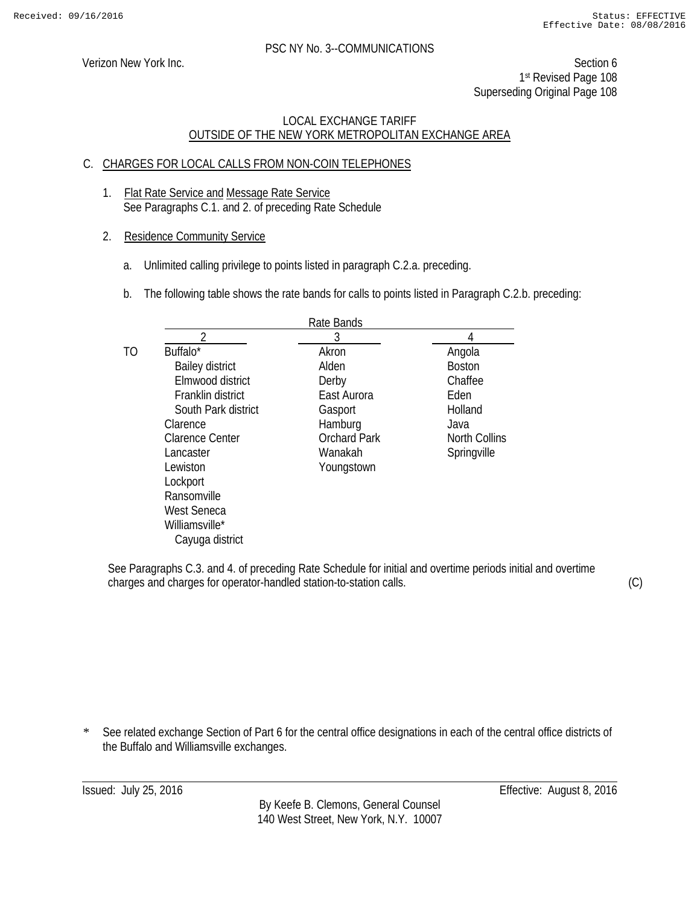Verizon New York Inc. Section 6 1st Revised Page 108 Superseding Original Page 108

## LOCAL EXCHANGE TARIFF OUTSIDE OF THE NEW YORK METROPOLITAN EXCHANGE AREA

## C. CHARGES FOR LOCAL CALLS FROM NON-COIN TELEPHONES

- 1. Flat Rate Service and Message Rate Service See Paragraphs C.1. and 2. of preceding Rate Schedule
- 2. Residence Community Service
	- a. Unlimited calling privilege to points listed in paragraph C.2.a. preceding.
	- b. The following table shows the rate bands for calls to points listed in Paragraph C.2.b. preceding:

|    |                        | Rate Bands          |                      |
|----|------------------------|---------------------|----------------------|
|    |                        | 3                   | 4                    |
| ТO | Buffalo*               | Akron               | Angola               |
|    | <b>Bailey district</b> | Alden               | <b>Boston</b>        |
|    | Elmwood district       | Derby               | Chaffee              |
|    | Franklin district      | East Aurora         | Eden                 |
|    | South Park district    | Gasport             | Holland              |
|    | Clarence               | Hamburg             | Java                 |
|    | <b>Clarence Center</b> | <b>Orchard Park</b> | <b>North Collins</b> |
|    | Lancaster              | Wanakah             | Springville          |
|    | Lewiston               | Youngstown          |                      |
|    | Lockport               |                     |                      |
|    | Ransomville            |                     |                      |
|    | <b>West Seneca</b>     |                     |                      |
|    | Williamsville*         |                     |                      |
|    | Cayuga district        |                     |                      |

See Paragraphs C.3. and 4. of preceding Rate Schedule for initial and overtime periods initial and overtime charges and charges for operator-handled station-to-station calls.

(C)

\* See related exchange Section of Part 6 for the central office designations in each of the central office districts of the Buffalo and Williamsville exchanges.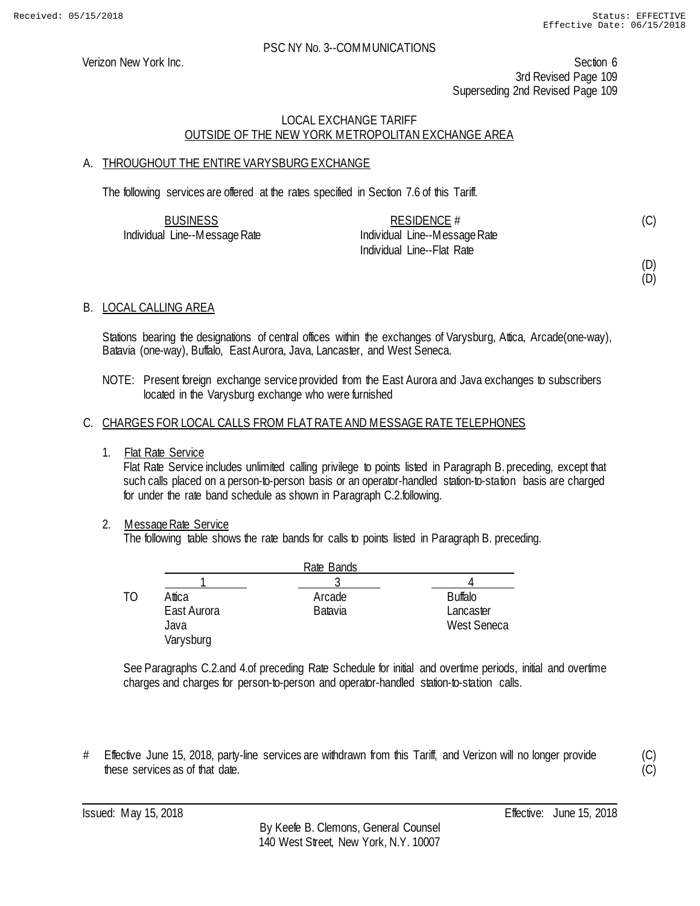Verizon New York Inc. Section 6 3rd Revised Page 109 Superseding 2nd Revised Page 109

## LOCAL EXCHANGE TARIFF OUTSIDE OF THE NEW YORK METROPOLITAN EXCHANGE AREA

## A. THROUGHOUT THE ENTIRE VARYSBURG EXCHANGE

The following services are offered at the rates specified in Section 7.6 of this Tariff.

| <b>BUSINESS</b>               | RESIDENCE $#$                 |  |
|-------------------------------|-------------------------------|--|
| Individual Line--Message Rate | Individual Line--Message Rate |  |
|                               | Individual Line--Flat Rate    |  |

(D) (D)

## B. LOCAL CALLING AREA

Stations bearing the designations of central offices within the exchanges of Varysburg, Attica, Arcade(one-way), Batavia (one-way), Buffalo, East Aurora, Java, Lancaster, and West Seneca.

NOTE: Present foreign exchange service provided from the East Aurora and Java exchanges to subscribers located in the Varysburg exchange who were furnished

## C. CHARGES FOR LOCAL CALLS FROM FLAT RATE AND MESSAGE RATE TELEPHONES

1. Flat Rate Service

Flat Rate Service includes unlimited calling privilege to points listed in Paragraph B. preceding, except that such calls placed on a person-to-person basis or an operator-handled station-to-station basis are charged for under the rate band schedule as shown in Paragraph C.2.following.

## 2. Message Rate Service

The following table shows the rate bands for calls to points listed in Paragraph B. preceding.

|    |                                            | Rate Bands               |                                            |
|----|--------------------------------------------|--------------------------|--------------------------------------------|
|    |                                            |                          |                                            |
| TΩ | Attica<br>East Aurora<br>Java<br>Varysburg | Arcade<br><b>Batavia</b> | <b>Buffalo</b><br>Lancaster<br>West Seneca |

See Paragraphs C.2.and 4.of preceding Rate Schedule for initial and overtime periods, initial and overtime charges and charges for person-to-person and operator-handled station-to-station calls.

# Effective June 15, 2018, party-line services are withdrawn from this Tariff, and Verizon will no longer provide these services as of that date.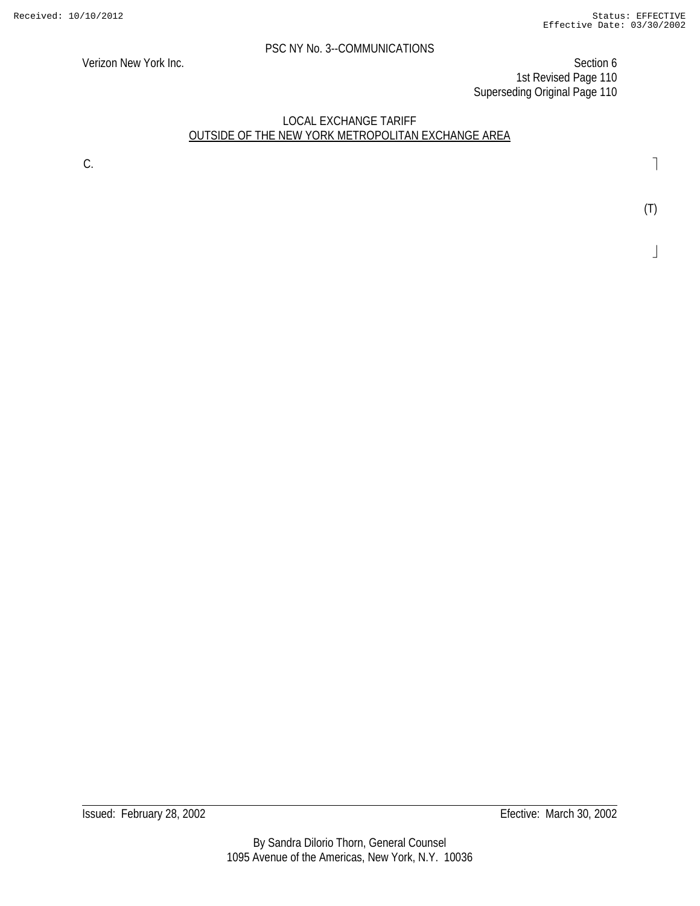Verizon New York Inc. Section 6 1st Revised Page 110 Superseding Original Page 110

## LOCAL EXCHANGE TARIFF OUTSIDE OF THE NEW YORK METROPOLITAN EXCHANGE AREA

С. В последните последните последните последните последните последните последните последните последните последн<br>Селото се последните последните последните последните последните последните последните последните последните

(T)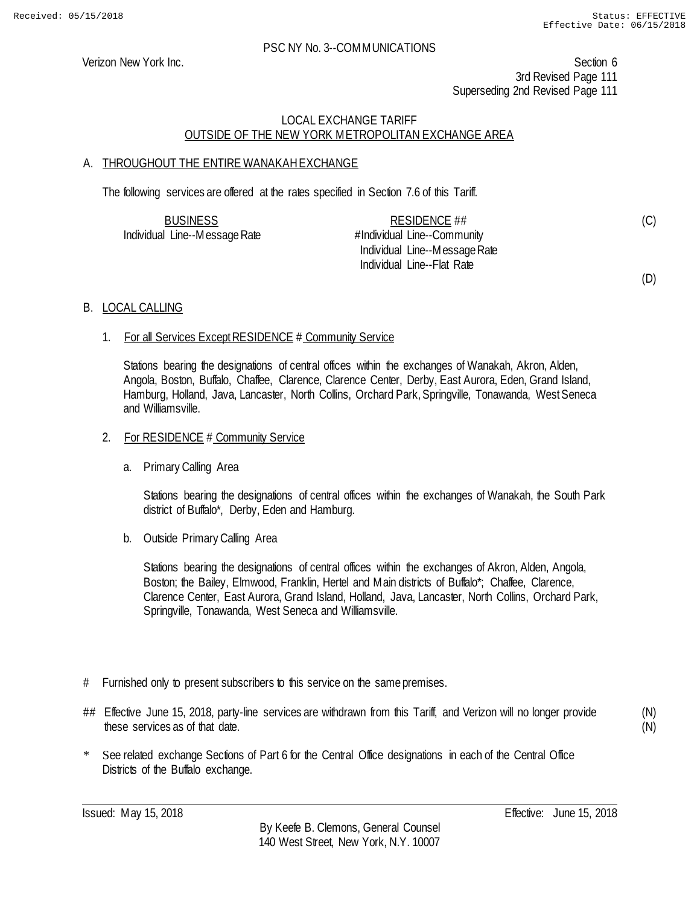(C)

(D)

## PSC NY No. 3--COMMUNICATIONS

Verizon New York Inc. Section 6 3rd Revised Page 111 Superseding 2nd Revised Page 111

## LOCAL EXCHANGE TARIFF OUTSIDE OF THE NEW YORK METROPOLITAN EXCHANGE AREA

## A. THROUGHOUT THE ENTIRE WANAKAH EXCHANGE

The following services are offered at the rates specified in Section 7.6 of this Tariff.

| <b>BUSINESS</b>               | RESIDENCE ##                  |
|-------------------------------|-------------------------------|
| Individual Line--Message Rate | #Individual Line--Community   |
|                               | Individual Line--Message Rate |
|                               | Individual Line--Flat Rate    |

## B. LOCAL CALLING

## 1. For all Services Except RESIDENCE # Community Service

Stations bearing the designations of central offices within the exchanges of Wanakah, Akron, Alden, Angola, Boston, Buffalo, Chaffee, Clarence, Clarence Center, Derby, East Aurora, Eden, Grand Island, Hamburg, Holland, Java, Lancaster, North Collins, Orchard Park, Springville, Tonawanda, West Seneca and Williamsville.

## 2. For RESIDENCE # Community Service

a. Primary Calling Area

Stations bearing the designations of central offices within the exchanges of Wanakah, the South Park district of Buffalo\*, Derby, Eden and Hamburg.

b. Outside Primary Calling Area

Stations bearing the designations of central offices within the exchanges of Akron, Alden, Angola, Boston; the Bailey, Elmwood, Franklin, Hertel and Main districts of Buffalo\*; Chaffee, Clarence, Clarence Center, East Aurora, Grand Island, Holland, Java, Lancaster, North Collins, Orchard Park, Springville, Tonawanda, West Seneca and Williamsville.

- # Furnished only to present subscribers to this service on the same premises.
- ## Effective June 15, 2018, party-line services are withdrawn from this Tariff, and Verizon will no longer provide these services as of that date.

(N) (N)

See related exchange Sections of Part 6 for the Central Office designations in each of the Central Office Districts of the Buffalo exchange.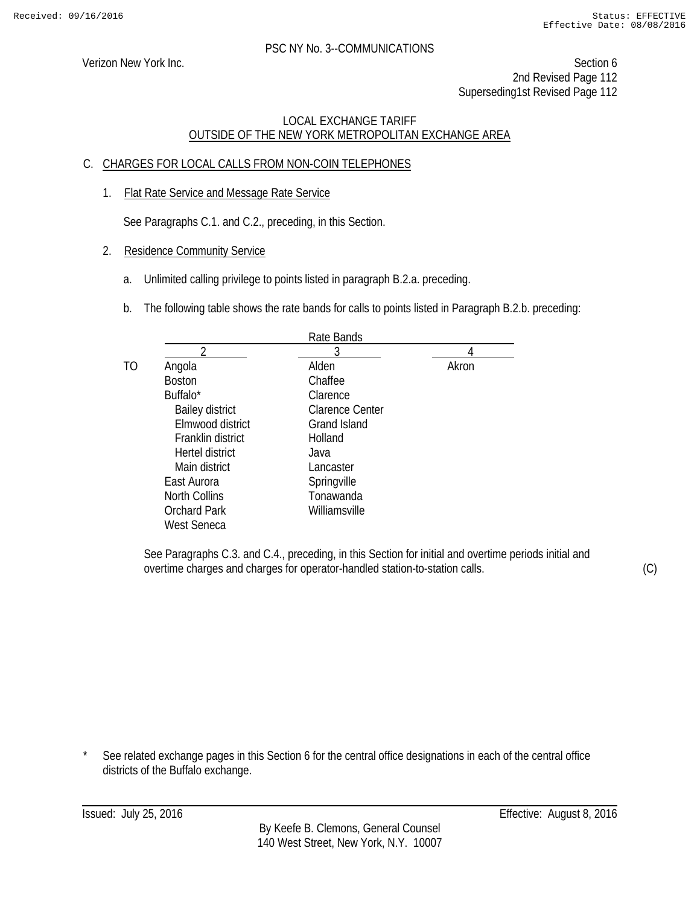Verizon New York Inc. Section 6 2nd Revised Page 112 Superseding1st Revised Page 112

## LOCAL EXCHANGE TARIFF OUTSIDE OF THE NEW YORK METROPOLITAN EXCHANGE AREA

## C. CHARGES FOR LOCAL CALLS FROM NON-COIN TELEPHONES

1. Flat Rate Service and Message Rate Service

See Paragraphs C.1. and C.2., preceding, in this Section.

- 2. Residence Community Service
	- a. Unlimited calling privilege to points listed in paragraph B.2.a. preceding.
	- b. The following table shows the rate bands for calls to points listed in Paragraph B.2.b. preceding:

|                        | Rate Bands             |       |
|------------------------|------------------------|-------|
| ∍                      | 3                      | 4     |
| Angola                 | Alden                  | Akron |
| <b>Boston</b>          | Chaffee                |       |
| Buffalo*               | Clarence               |       |
| <b>Bailey district</b> | <b>Clarence Center</b> |       |
| Elmwood district       | <b>Grand Island</b>    |       |
| Franklin district      | Holland                |       |
| Hertel district        | Java                   |       |
| Main district          | Lancaster              |       |
| East Aurora            | Springville            |       |
| <b>North Collins</b>   | Tonawanda              |       |
| <b>Orchard Park</b>    | Williamsville          |       |
| West Seneca            |                        |       |

See Paragraphs C.3. and C.4., preceding, in this Section for initial and overtime periods initial and overtime charges and charges for operator-handled station-to-station calls.

(C)

See related exchange pages in this Section 6 for the central office designations in each of the central office districts of the Buffalo exchange.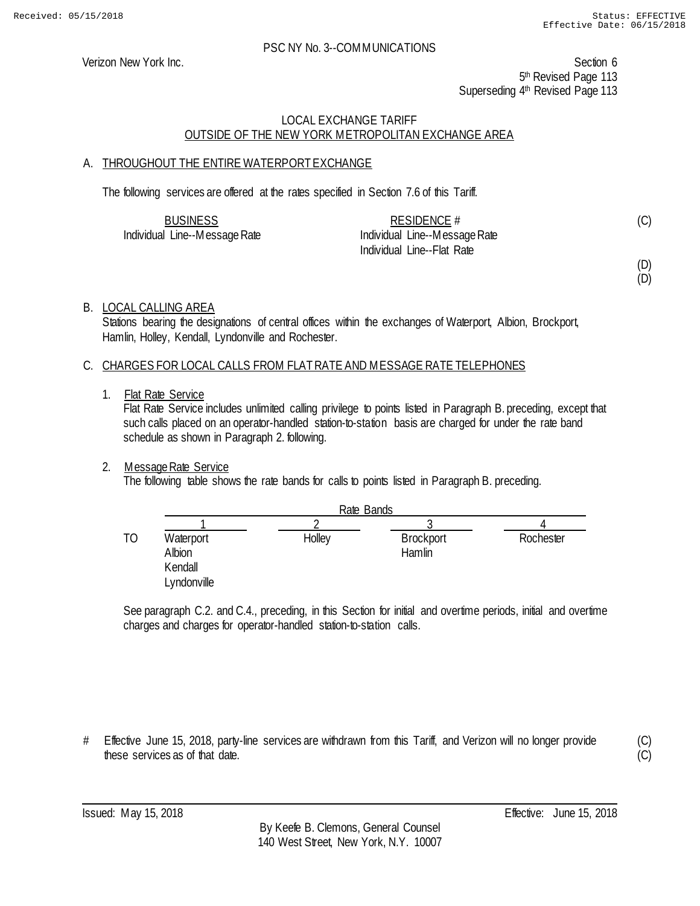Verizon New York Inc. Section 6 5<sup>th</sup> Revised Page 113 Superseding 4<sup>th</sup> Revised Page 113

## LOCAL EXCHANGE TARIFF OUTSIDE OF THE NEW YORK METROPOLITAN EXCHANGE AREA

## A. THROUGHOUT THE ENTIRE WATERPORT EXCHANGE

The following services are offered at the rates specified in Section 7.6 of this Tariff.

| <b>BUSINESS</b>               | RESIDENCE $#$                 | (C) |
|-------------------------------|-------------------------------|-----|
| Individual Line--Message Rate | Individual Line--Message Rate |     |
|                               | Individual Line--Flat Rate    |     |

(D)

# (D)

## B. LOCAL CALLING AREA

Stations bearing the designations of central offices within the exchanges of Waterport, Albion, Brockport, Hamlin, Holley, Kendall, Lyndonville and Rochester.

## C. CHARGES FOR LOCAL CALLS FROM FLAT RATE AND MESSAGE RATE TELEPHONES

1. Flat Rate Service

Flat Rate Service includes unlimited calling privilege to points listed in Paragraph B. preceding, except that such calls placed on an operator-handled station-to-station basis are charged for under the rate band schedule as shown in Paragraph 2. following.

## 2. Message Rate Service

The following table shows the rate bands for calls to points listed in Paragraph B. preceding.

|    |                                               | Rate Bands |                            |           |
|----|-----------------------------------------------|------------|----------------------------|-----------|
|    |                                               |            |                            |           |
| TO | Waterport<br>Albion<br>Kendall<br>Lyndonville | Holley     | <b>Brockport</b><br>Hamlin | Rochester |

See paragraph C.2. and C.4., preceding, in this Section for initial and overtime periods, initial and overtime charges and charges for operator-handled station-to-station calls.

# Effective June 15, 2018, party-line services are withdrawn from this Tariff, and Verizon will no longer provide these services as of that date.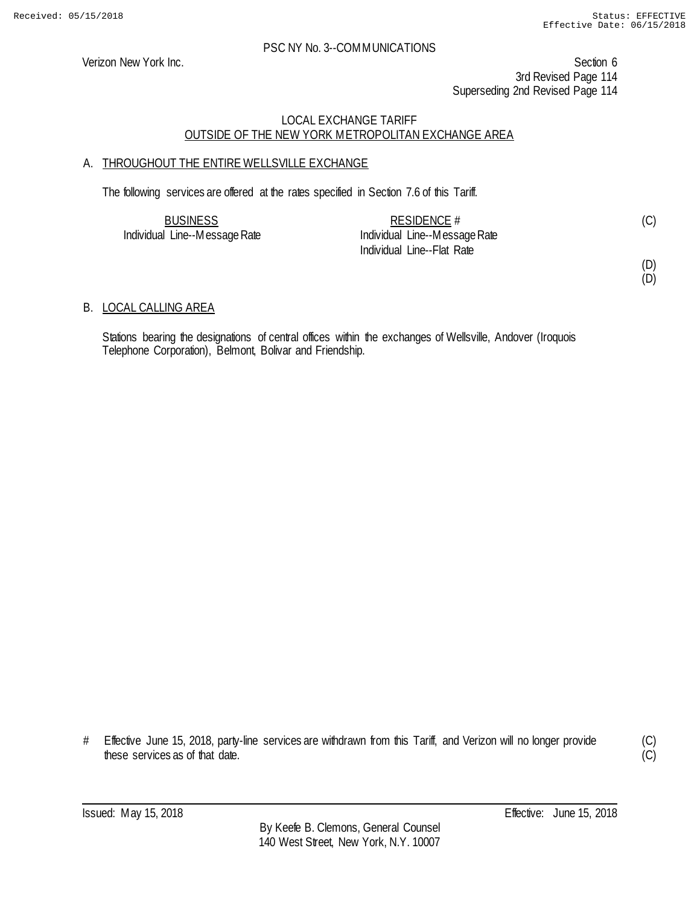Verizon New York Inc. Section 6 3rd Revised Page 114 Superseding 2nd Revised Page 114

## LOCAL EXCHANGE TARIFF OUTSIDE OF THE NEW YORK METROPOLITAN EXCHANGE AREA

## A. THROUGHOUT THE ENTIRE WELLSVILLE EXCHANGE

The following services are offered at the rates specified in Section 7.6 of this Tariff.

| <b>BUSINESS</b>               | RESIDENCE $#$                 |  |
|-------------------------------|-------------------------------|--|
| Individual Line--Message Rate | Individual Line--Message Rate |  |
|                               | Individual Line--Flat Rate    |  |

# (D)

(D)

## B. LOCAL CALLING AREA

Stations bearing the designations of central offices within the exchanges of Wellsville, Andover (Iroquois Telephone Corporation), Belmont, Bolivar and Friendship.

# Effective June 15, 2018, party-line services are withdrawn from this Tariff, and Verizon will no longer provide these services as of that date.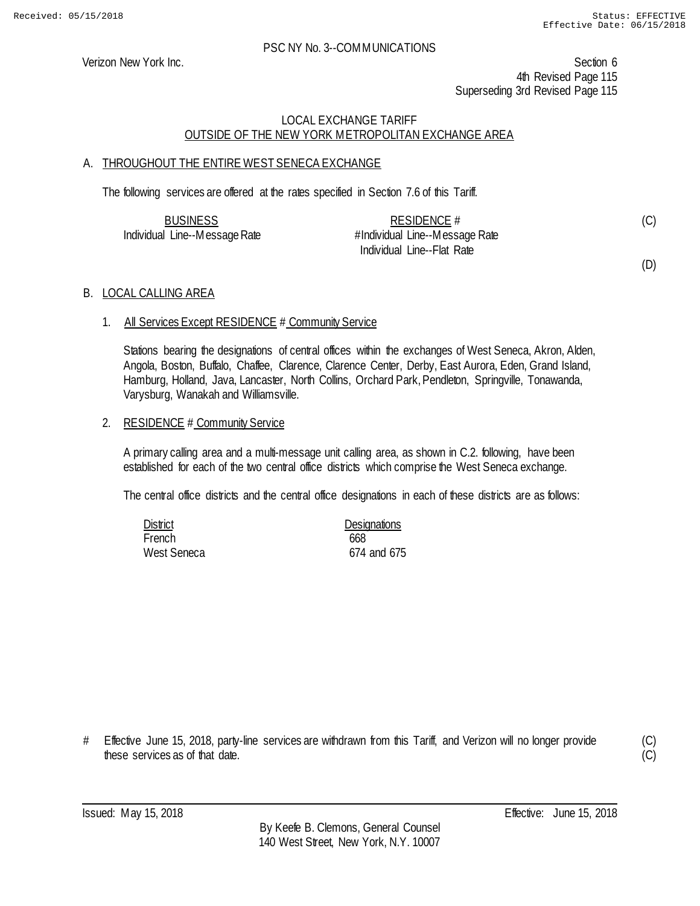Verizon New York Inc. Section 6 4th Revised Page 115 Superseding 3rd Revised Page 115

## LOCAL EXCHANGE TARIFF OUTSIDE OF THE NEW YORK METROPOLITAN EXCHANGE AREA

## A. THROUGHOUT THE ENTIRE WEST SENECA EXCHANGE

The following services are offered at the rates specified in Section 7.6 of this Tariff.

| <b>BUSINESS</b>               | RESIDENCE $#$                  | (C) |
|-------------------------------|--------------------------------|-----|
| Individual Line--Message Rate | #Individual Line--Message Rate |     |
|                               | Individual Line--Flat Rate     |     |

(D)

#### B. LOCAL CALLING AREA

## 1. All Services Except RESIDENCE # Community Service

Stations bearing the designations of central offices within the exchanges of West Seneca, Akron, Alden, Angola, Boston, Buffalo, Chaffee, Clarence, Clarence Center, Derby, East Aurora, Eden, Grand Island, Hamburg, Holland, Java, Lancaster, North Collins, Orchard Park, Pendleton, Springville, Tonawanda, Varysburg, Wanakah and Williamsville.

#### 2. RESIDENCE # Community Service

A primary calling area and a multi-message unit calling area, as shown in C.2. following, have been established for each of the two central office districts which comprise the West Seneca exchange.

The central office districts and the central office designations in each of these districts are as follows:

| District    | <b>Designations</b> |
|-------------|---------------------|
| French      | 668                 |
| West Seneca | 674 and 675         |

# Effective June 15, 2018, party-line services are withdrawn from this Tariff, and Verizon will no longer provide these services as of that date.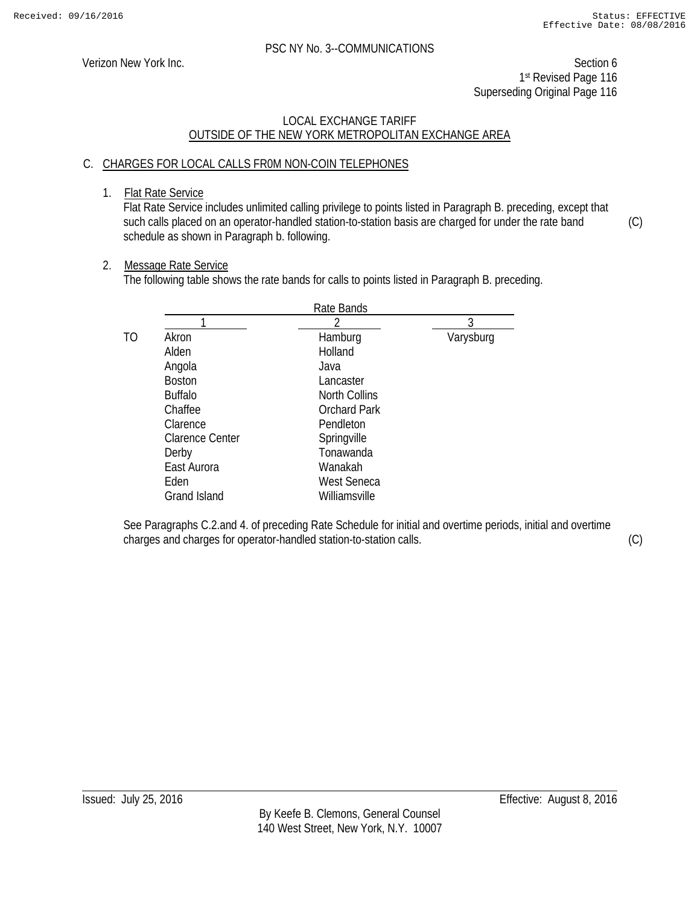Verizon New York Inc. Section 6 1st Revised Page 116 Superseding Original Page 116

## LOCAL EXCHANGE TARIFF OUTSIDE OF THE NEW YORK METROPOLITAN EXCHANGE AREA

## C. CHARGES FOR LOCAL CALLS FR0M NON-COIN TELEPHONES

1. Flat Rate Service

Flat Rate Service includes unlimited calling privilege to points listed in Paragraph B. preceding, except that such calls placed on an operator-handled station-to-station basis are charged for under the rate band schedule as shown in Paragraph b. following. (C)

## 2. Message Rate Service

The following table shows the rate bands for calls to points listed in Paragraph B. preceding.

|    |                        | Rate Bands           |           |
|----|------------------------|----------------------|-----------|
|    |                        |                      | 3         |
| TO | Akron                  | Hamburg              | Varysburg |
|    | Alden                  | Holland              |           |
|    | Angola                 | Java                 |           |
|    | <b>Boston</b>          | Lancaster            |           |
|    | <b>Buffalo</b>         | <b>North Collins</b> |           |
|    | Chaffee                | <b>Orchard Park</b>  |           |
|    | Clarence               | Pendleton            |           |
|    | <b>Clarence Center</b> | Springville          |           |
|    | Derby                  | Tonawanda            |           |
|    | East Aurora            | Wanakah              |           |
|    | Eden                   | <b>West Seneca</b>   |           |
|    | <b>Grand Island</b>    | Williamsville        |           |

See Paragraphs C.2.and 4. of preceding Rate Schedule for initial and overtime periods, initial and overtime charges and charges for operator-handled station-to-station calls.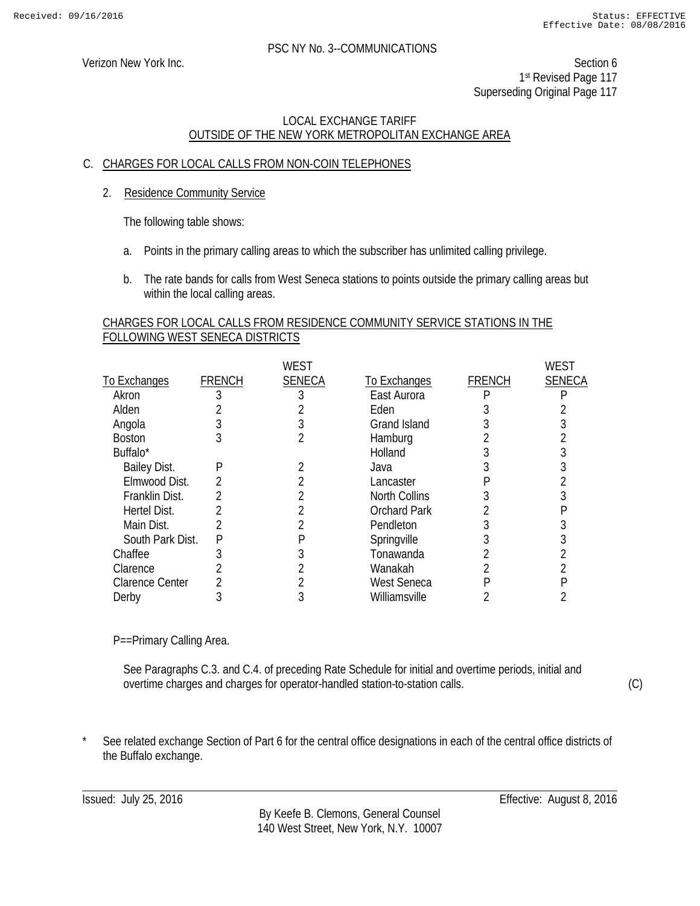Verizon New York Inc. Section 6 1st Revised Page 117 Superseding Original Page 117

## LOCAL EXCHANGE TARIFF OUTSIDE OF THE NEW YORK METROPOLITAN EXCHANGE AREA

## C. CHARGES FOR LOCAL CALLS FROM NON-COIN TELEPHONES

2. Residence Community Service

The following table shows:

- a. Points in the primary calling areas to which the subscriber has unlimited calling privilege.
- b. The rate bands for calls from West Seneca stations to points outside the primary calling areas but within the local calling areas.

### CHARGES FOR LOCAL CALLS FROM RESIDENCE COMMUNITY SERVICE STATIONS IN THE FOLLOWING WEST SENECA DISTRICTS

|                        |               | WEST          |                      |               | WEST          |
|------------------------|---------------|---------------|----------------------|---------------|---------------|
| To Exchanges           | <b>FRENCH</b> | <b>SENECA</b> | To Exchanges         | <b>FRENCH</b> | <b>SENECA</b> |
| Akron                  |               |               | East Aurora          |               |               |
| Alden                  |               |               | Eden                 |               |               |
| Angola                 |               |               | <b>Grand Island</b>  |               |               |
| <b>Boston</b>          | 3             |               | Hamburg              |               |               |
| Buffalo <sup>*</sup>   |               |               | Holland              |               |               |
| Bailey Dist.           | P             |               | Java                 |               |               |
| Elmwood Dist.          | 2             |               | Lancaster            |               |               |
| Franklin Dist.         |               |               | <b>North Collins</b> |               |               |
| Hertel Dist.           |               |               | <b>Orchard Park</b>  |               |               |
| Main Dist.             | 2             |               | Pendleton            |               |               |
| South Park Dist.       | P             |               | Springville          |               |               |
| Chaffee                |               |               | Tonawanda            |               |               |
| Clarence               |               |               | Wanakah              |               |               |
| <b>Clarence Center</b> |               |               | <b>West Seneca</b>   |               |               |
| Derby                  |               |               | Williamsville        |               |               |
|                        |               |               |                      |               |               |

P==Primary Calling Area.

See Paragraphs C.3. and C.4. of preceding Rate Schedule for initial and overtime periods, initial and overtime charges and charges for operator-handled station-to-station calls.

(C)

See related exchange Section of Part 6 for the central office designations in each of the central office districts of the Buffalo exchange.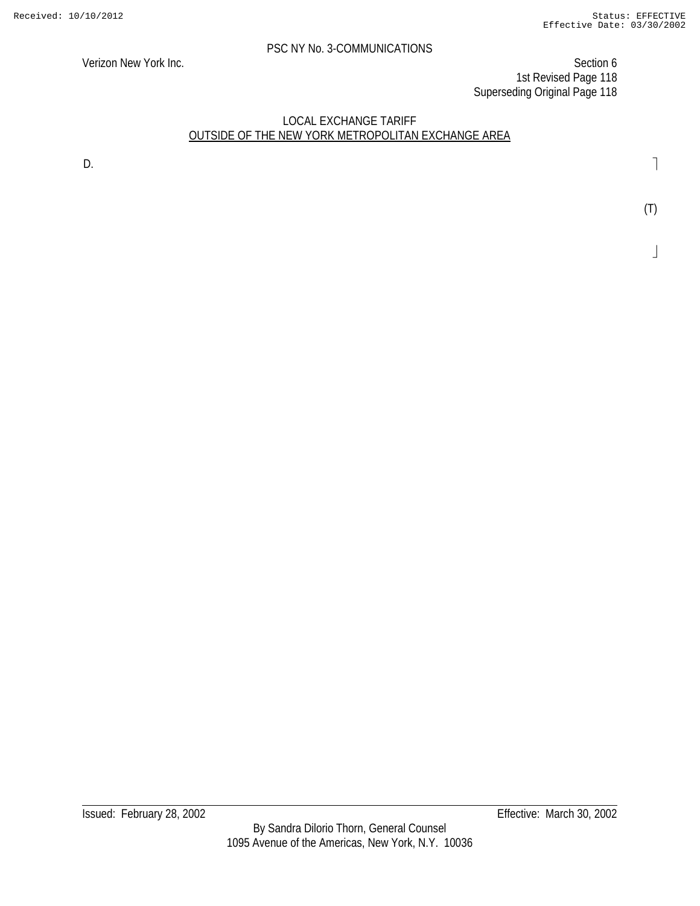Verizon New York Inc. Section 6 1st Revised Page 118 Superseding Original Page 118

## LOCAL EXCHANGE TARIFF OUTSIDE OF THE NEW YORK METROPOLITAN EXCHANGE AREA

D.

(T)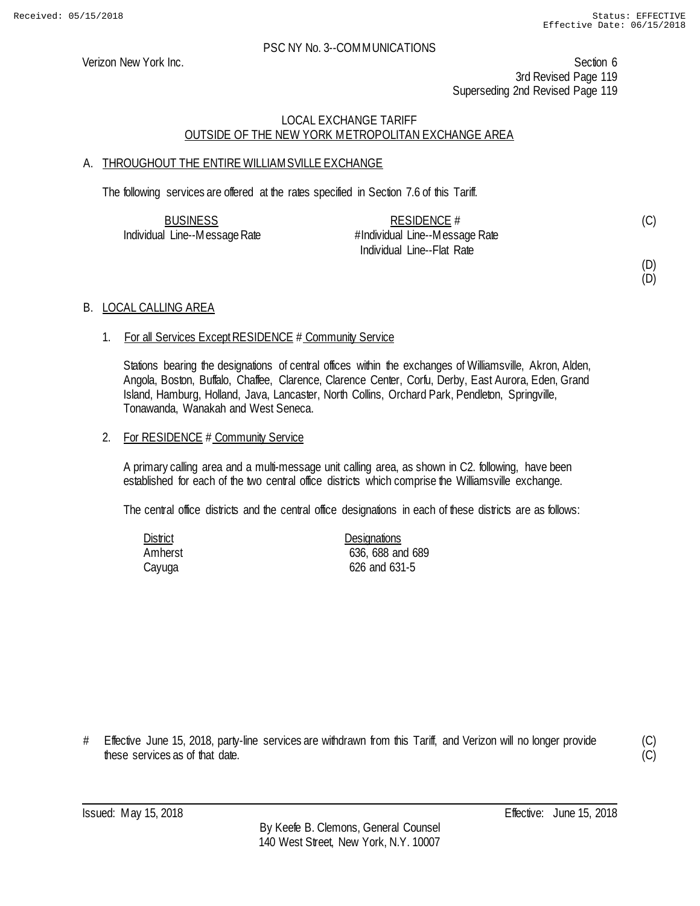Verizon New York Inc. Section 6 3rd Revised Page 119 Superseding 2nd Revised Page 119

## LOCAL EXCHANGE TARIFF OUTSIDE OF THE NEW YORK METROPOLITAN EXCHANGE AREA

## A. THROUGHOUT THE ENTIRE WILLIAMSVILLE EXCHANGE

The following services are offered at the rates specified in Section 7.6 of this Tariff.

| <b>BUSINESS</b>               | RESIDENCE $#$                  | (C) |
|-------------------------------|--------------------------------|-----|
| Individual Line--Message Rate | #Individual Line--Message Rate |     |
|                               | Individual Line--Flat Rate     |     |

## (D) (D)

B. LOCAL CALLING AREA

#### 1. For all Services Except RESIDENCE # Community Service

Stations bearing the designations of central offices within the exchanges of Williamsville, Akron, Alden, Angola, Boston, Buffalo, Chaffee, Clarence, Clarence Center, Corfu, Derby, East Aurora, Eden, Grand Island, Hamburg, Holland, Java, Lancaster, North Collins, Orchard Park, Pendleton, Springville, Tonawanda, Wanakah and West Seneca.

#### 2. For RESIDENCE # Community Service

A primary calling area and a multi-message unit calling area, as shown in C2. following, have been established for each of the two central office districts which comprise the Williamsville exchange.

The central office districts and the central office designations in each of these districts are as follows:

| District | <b>Designations</b> |
|----------|---------------------|
| Amherst  | 636, 688 and 689    |
| Cayuga   | 626 and 631-5       |

# Effective June 15, 2018, party-line services are withdrawn from this Tariff, and Verizon will no longer provide these services as of that date.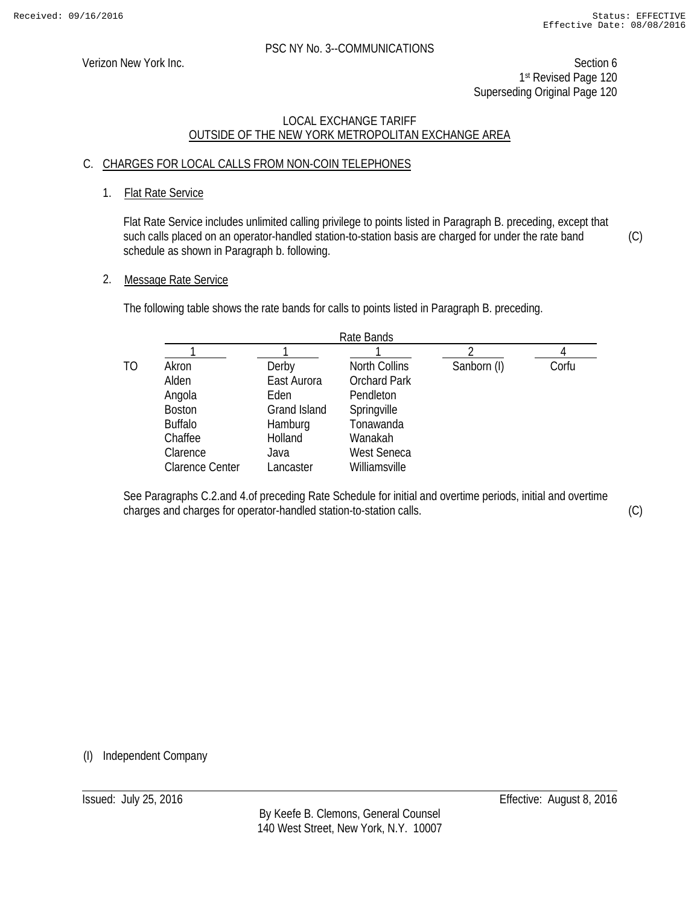Verizon New York Inc. Section 6 1st Revised Page 120 Superseding Original Page 120

## LOCAL EXCHANGE TARIFF OUTSIDE OF THE NEW YORK METROPOLITAN EXCHANGE AREA

## C. CHARGES FOR LOCAL CALLS FROM NON-COIN TELEPHONES

## 1. Flat Rate Service

Flat Rate Service includes unlimited calling privilege to points listed in Paragraph B. preceding, except that such calls placed on an operator-handled station-to-station basis are charged for under the rate band schedule as shown in Paragraph b. following. (C)

## 2. Message Rate Service

The following table shows the rate bands for calls to points listed in Paragraph B. preceding.

|    | Rate Bands             |              |                      |             |       |
|----|------------------------|--------------|----------------------|-------------|-------|
|    |                        |              |                      |             |       |
| ТO | Akron                  | Derby        | <b>North Collins</b> | Sanborn (I) | Corfu |
|    | Alden                  | East Aurora  | <b>Orchard Park</b>  |             |       |
|    | Angola                 | Eden         | Pendleton            |             |       |
|    | <b>Boston</b>          | Grand Island | Springville          |             |       |
|    | <b>Buffalo</b>         | Hamburg      | Tonawanda            |             |       |
|    | Chaffee                | Holland      | Wanakah              |             |       |
|    | Clarence               | Java         | <b>West Seneca</b>   |             |       |
|    | <b>Clarence Center</b> | Lancaster    | Williamsville        |             |       |

See Paragraphs C.2.and 4.of preceding Rate Schedule for initial and overtime periods, initial and overtime charges and charges for operator-handled station-to-station calls.

(C)

(I) Independent Company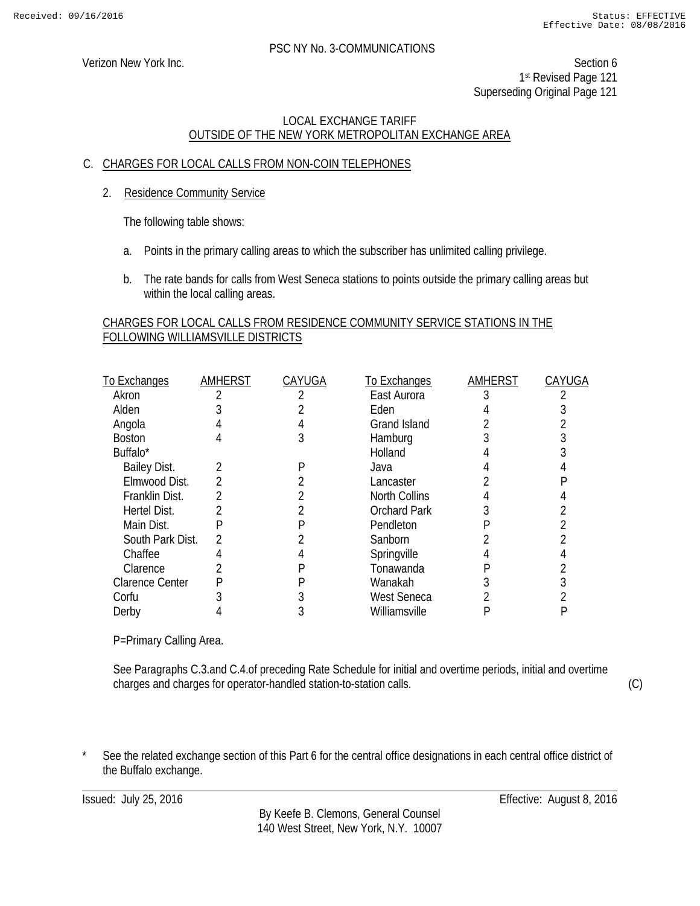Verizon New York Inc. Section 6 1st Revised Page 121 Superseding Original Page 121

## LOCAL EXCHANGE TARIFF OUTSIDE OF THE NEW YORK METROPOLITAN EXCHANGE AREA

## C. CHARGES FOR LOCAL CALLS FROM NON-COIN TELEPHONES

2. Residence Community Service

The following table shows:

- a. Points in the primary calling areas to which the subscriber has unlimited calling privilege.
- b. The rate bands for calls from West Seneca stations to points outside the primary calling areas but within the local calling areas.

## CHARGES FOR LOCAL CALLS FROM RESIDENCE COMMUNITY SERVICE STATIONS IN THE FOLLOWING WILLIAMSVILLE DISTRICTS

| To Exchanges           | AMHERST | CAYUGA | To Exchanges         | AMHERST | CAYUGA |
|------------------------|---------|--------|----------------------|---------|--------|
| Akron                  |         |        | East Aurora          |         |        |
| Alden                  |         |        | Eden                 |         |        |
| Angola                 |         |        | <b>Grand Island</b>  |         |        |
| <b>Boston</b>          |         |        | Hamburg              |         |        |
| Buffalo*               |         |        | Holland              |         |        |
| <b>Bailey Dist.</b>    |         |        | Java                 |         |        |
| Elmwood Dist.          |         |        | Lancaster            |         |        |
| Franklin Dist.         |         |        | <b>North Collins</b> |         |        |
| Hertel Dist.           |         |        | <b>Orchard Park</b>  |         |        |
| Main Dist.             | P       |        | Pendleton            |         |        |
| South Park Dist.       |         |        | Sanborn              |         |        |
| Chaffee                |         |        | Springville          |         |        |
| Clarence               |         |        | Tonawanda            |         |        |
| <b>Clarence Center</b> |         |        | Wanakah              |         |        |
| Corfu                  |         |        | West Seneca          |         |        |
| Derby                  |         |        | Williamsville        |         |        |

P=Primary Calling Area.

See Paragraphs C.3.and C.4.of preceding Rate Schedule for initial and overtime periods, initial and overtime charges and charges for operator-handled station-to-station calls.

(C)

See the related exchange section of this Part 6 for the central office designations in each central office district of the Buffalo exchange.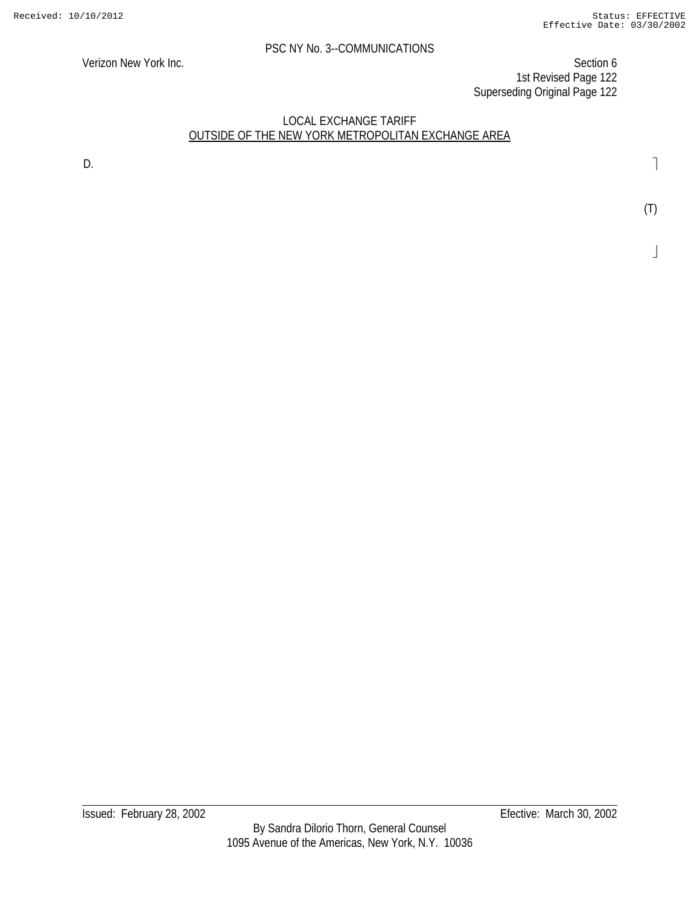Verizon New York Inc. Section 6 1st Revised Page 122 Superseding Original Page 122

## LOCAL EXCHANGE TARIFF OUTSIDE OF THE NEW YORK METROPOLITAN EXCHANGE AREA

D.

(T)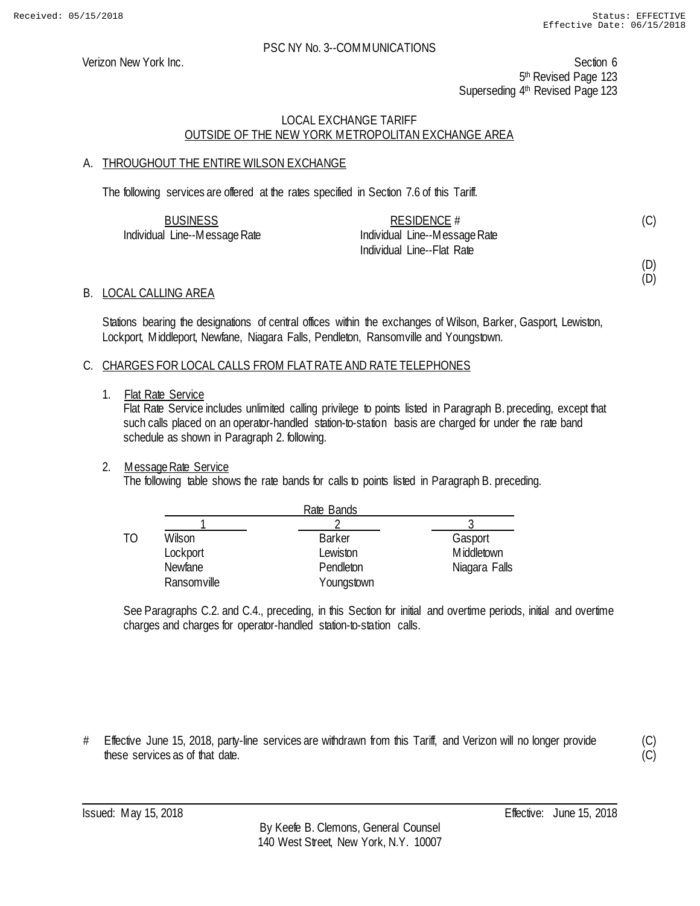(D) (D)

#### PSC NY No. 3--COMMUNICATIONS

Verizon New York Inc. Section 6 5<sup>th</sup> Revised Page 123 Superseding 4<sup>th</sup> Revised Page 123

## LOCAL EXCHANGE TARIFF OUTSIDE OF THE NEW YORK METROPOLITAN EXCHANGE AREA

## A. THROUGHOUT THE ENTIRE WILSON EXCHANGE

The following services are offered at the rates specified in Section 7.6 of this Tariff.

| <b>BUSINESS</b>               | RESIDENCE $#$                 | (C) |
|-------------------------------|-------------------------------|-----|
| Individual Line--Message Rate | Individual Line--Message Rate |     |
|                               | Individual Line--Flat Rate    |     |

#### B. LOCAL CALLING AREA

Stations bearing the designations of central offices within the exchanges of Wilson, Barker, Gasport, Lewiston, Lockport, Middleport, Newfane, Niagara Falls, Pendleton, Ransomville and Youngstown.

#### C. CHARGES FOR LOCAL CALLS FROM FLAT RATE AND RATE TELEPHONES

1. Flat Rate Service

Flat Rate Service includes unlimited calling privilege to points listed in Paragraph B. preceding, except that such calls placed on an operator-handled station-to-station basis are charged for under the rate band schedule as shown in Paragraph 2. following.

#### 2. Message Rate Service

The following table shows the rate bands for calls to points listed in Paragraph B. preceding.

|    |                | Rate Bands    |               |
|----|----------------|---------------|---------------|
|    |                |               |               |
| TΟ | Wilson         | <b>Barker</b> | Gasport       |
|    | Lockport       | Lewiston      | M iddletown   |
|    | <b>Newfane</b> | Pendleton     | Niagara Falls |
|    | Ransomville    | Youngstown    |               |

See Paragraphs C.2. and C.4., preceding, in this Section for initial and overtime periods, initial and overtime charges and charges for operator-handled station-to-station calls.

# Effective June 15, 2018, party-line services are withdrawn from this Tariff, and Verizon will no longer provide these services as of that date.